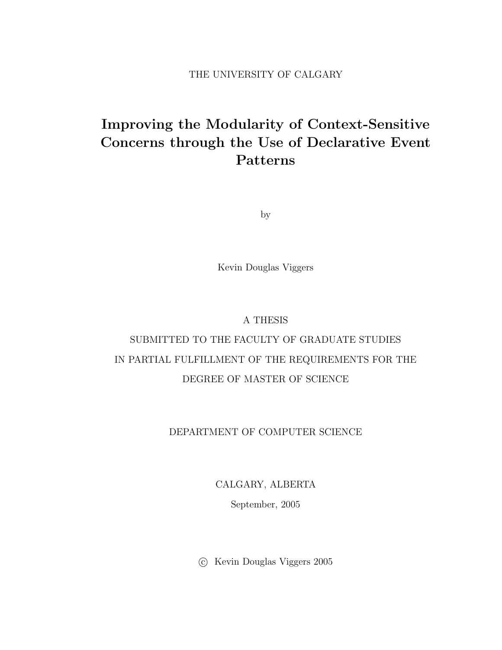#### THE UNIVERSITY OF CALGARY

## Improving the Modularity of Context-Sensitive Concerns through the Use of Declarative Event Patterns

by

Kevin Douglas Viggers

#### A THESIS

## SUBMITTED TO THE FACULTY OF GRADUATE STUDIES IN PARTIAL FULFILLMENT OF THE REQUIREMENTS FOR THE DEGREE OF MASTER OF SCIENCE

#### DEPARTMENT OF COMPUTER SCIENCE

CALGARY, ALBERTA

September, 2005

c Kevin Douglas Viggers 2005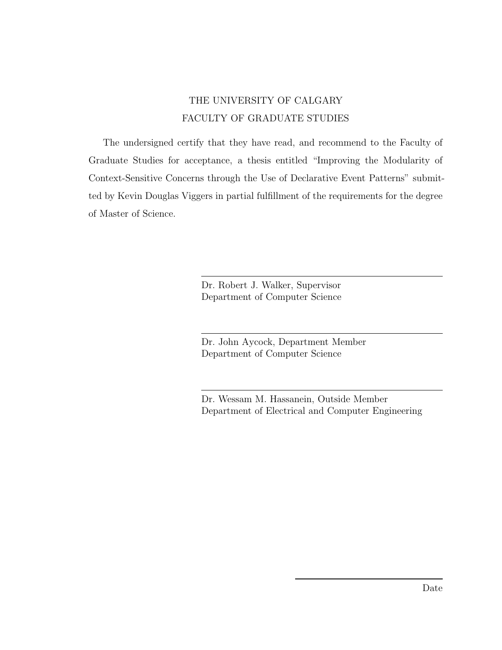### THE UNIVERSITY OF CALGARY FACULTY OF GRADUATE STUDIES

<span id="page-1-0"></span>The undersigned certify that they have read, and recommend to the Faculty of Graduate Studies for acceptance, a thesis entitled "Improving the Modularity of Context-Sensitive Concerns through the Use of Declarative Event Patterns" submitted by Kevin Douglas Viggers in partial fulfillment of the requirements for the degree of Master of Science.

> Dr. Robert J. Walker, Supervisor Department of Computer Science

Dr. John Aycock, Department Member Department of Computer Science

Dr. Wessam M. Hassanein, Outside Member Department of Electrical and Computer Engineering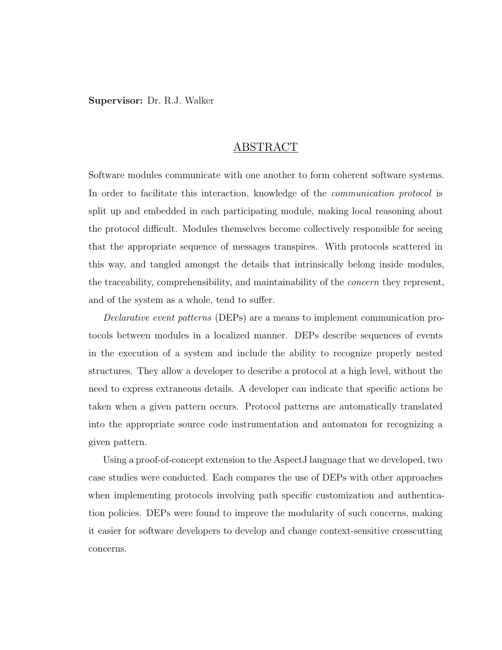Supervisor: Dr. R.J. Walker

#### ABSTRACT

Software modules communicate with one another to form coherent software systems. In order to facilitate this interaction, knowledge of the *communication protocol* is split up and embedded in each participating module, making local reasoning about the protocol difficult. Modules themselves become collectively responsible for seeing that the appropriate sequence of messages transpires. With protocols scattered in this way, and tangled amongst the details that intrinsically belong inside modules, the traceability, comprehensibility, and maintainability of the *concern* they represent, and of the system as a whole, tend to suffer.

Declarative event patterns (DEPs) are a means to implement communication protocols between modules in a localized manner. DEPs describe sequences of events in the execution of a system and include the ability to recognize properly nested structures. They allow a developer to describe a protocol at a high level, without the need to express extraneous details. A developer can indicate that specific actions be taken when a given pattern occurs. Protocol patterns are automatically translated into the appropriate source code instrumentation and automaton for recognizing a given pattern.

Using a proof-of-concept extension to the AspectJ language that we developed, two case studies were conducted. Each compares the use of DEPs with other approaches when implementing protocols involving path specific customization and authentication policies. DEPs were found to improve the modularity of such concerns, making it easier for software developers to develop and change context-sensitive crosscutting concerns.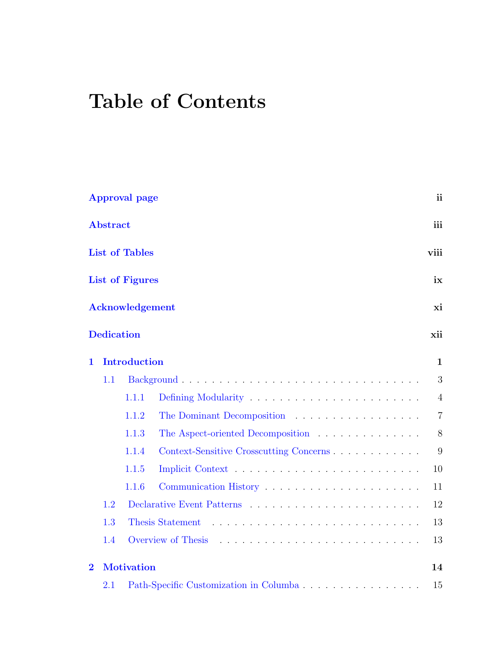# Table of Contents

|                |                   | <b>Approval page</b>   |                                         | ii             |
|----------------|-------------------|------------------------|-----------------------------------------|----------------|
|                | <b>Abstract</b>   |                        |                                         | iii            |
|                |                   | <b>List of Tables</b>  |                                         | viii           |
|                |                   | <b>List of Figures</b> |                                         | ix             |
|                |                   | <b>Acknowledgement</b> |                                         | xi             |
|                | <b>Dedication</b> |                        |                                         | xii            |
| 1              |                   | <b>Introduction</b>    |                                         | $\mathbf{1}$   |
|                | 1.1               |                        |                                         | 3              |
|                |                   | 1.1.1                  |                                         | 4              |
|                |                   | 1.1.2                  | The Dominant Decomposition              | $\overline{7}$ |
|                |                   | 1.1.3                  | The Aspect-oriented Decomposition       | $8\,$          |
|                |                   | 1.1.4                  | Context-Sensitive Crosscutting Concerns | 9              |
|                |                   | 1.1.5                  |                                         | 10             |
|                |                   | 1.1.6                  | Communication History                   | 11             |
|                | 1.2               |                        |                                         | 12             |
|                | 1.3               |                        | Thesis Statement                        | 13             |
|                | 1.4               |                        | Overview of Thesis                      | 13             |
| $\overline{2}$ |                   | <b>Motivation</b>      |                                         | 14             |
|                | 2.1               |                        |                                         | 15             |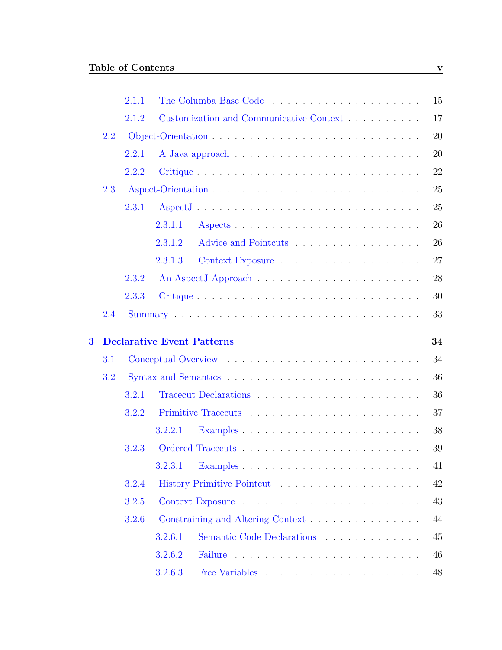|                         |     | 2.1.1 |                                         | 15 |
|-------------------------|-----|-------|-----------------------------------------|----|
|                         |     | 2.1.2 | Customization and Communicative Context | 17 |
|                         | 2.2 |       |                                         | 20 |
|                         |     | 2.2.1 |                                         | 20 |
|                         |     | 2.2.2 | Critique                                | 22 |
|                         | 2.3 |       |                                         | 25 |
|                         |     | 2.3.1 | AspectJ                                 | 25 |
|                         |     |       | 2.3.1.1                                 | 26 |
|                         |     |       | Advice and Pointcuts<br>2.3.1.2         | 26 |
|                         |     |       | 2.3.1.3                                 | 27 |
|                         |     | 2.3.2 |                                         | 28 |
|                         |     | 2.3.3 |                                         | 30 |
|                         | 2.4 |       |                                         | 33 |
|                         |     |       |                                         |    |
|                         |     |       |                                         |    |
| $\overline{\mathbf{3}}$ |     |       | <b>Declarative Event Patterns</b>       | 34 |
|                         | 3.1 |       |                                         | 34 |
|                         | 3.2 |       |                                         | 36 |
|                         |     | 3.2.1 |                                         | 36 |
|                         |     | 3.2.2 |                                         | 37 |
|                         |     |       | 3.2.2.1                                 | 38 |
|                         |     | 3.2.3 |                                         | 39 |
|                         |     |       | 3.2.3.1                                 | 41 |
|                         |     | 3.2.4 |                                         | 42 |
|                         |     | 3.2.5 |                                         | 43 |
|                         |     | 3.2.6 | Constraining and Altering Context       | 44 |
|                         |     |       | Semantic Code Declarations<br>3.2.6.1   | 45 |
|                         |     |       | 3.2.6.2                                 | 46 |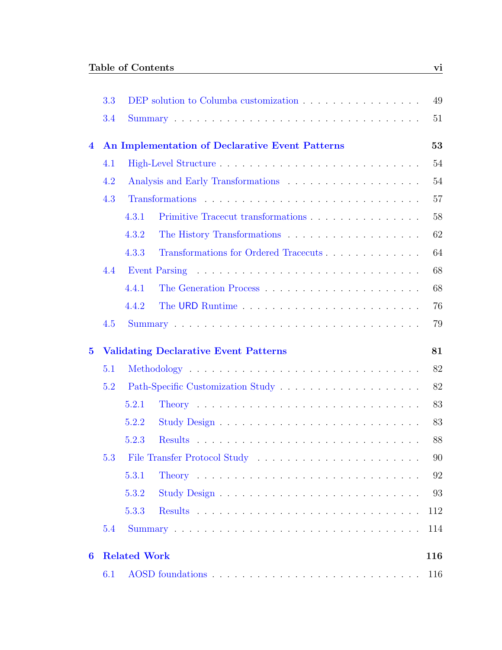|                  | 3.3 | DEP solution to Columba customization           | 49  |
|------------------|-----|-------------------------------------------------|-----|
|                  | 3.4 |                                                 | 51  |
| $\overline{4}$   |     | An Implementation of Declarative Event Patterns | 53  |
|                  | 4.1 |                                                 | 54  |
|                  | 4.2 |                                                 | 54  |
|                  | 4.3 |                                                 | 57  |
|                  |     | 4.3.1                                           | 58  |
|                  |     | 4.3.2                                           | 62  |
|                  |     | Transformations for Ordered Tracecuts<br>4.3.3  | 64  |
|                  | 4.4 |                                                 | 68  |
|                  |     | 4.4.1                                           | 68  |
|                  |     | 4.4.2<br>The URD Runtime                        | 76  |
|                  | 4.5 |                                                 | 79  |
| $\bf{5}$         |     | <b>Validating Declarative Event Patterns</b>    | 81  |
|                  | 5.1 |                                                 | 82  |
|                  | 5.2 |                                                 | 82  |
|                  |     | 5.2.1                                           | 83  |
|                  |     | 5.2.2                                           | 83  |
|                  |     | 5.2.3                                           | 88  |
|                  | 5.3 |                                                 | 90  |
|                  |     | 5.3.1                                           | 92  |
|                  |     | 5.3.2                                           | 93  |
|                  |     | 5.3.3                                           | 112 |
|                  | 5.4 |                                                 | 114 |
| $\boldsymbol{6}$ |     | <b>Related Work</b>                             | 116 |
|                  | 6.1 |                                                 | 116 |
|                  |     |                                                 |     |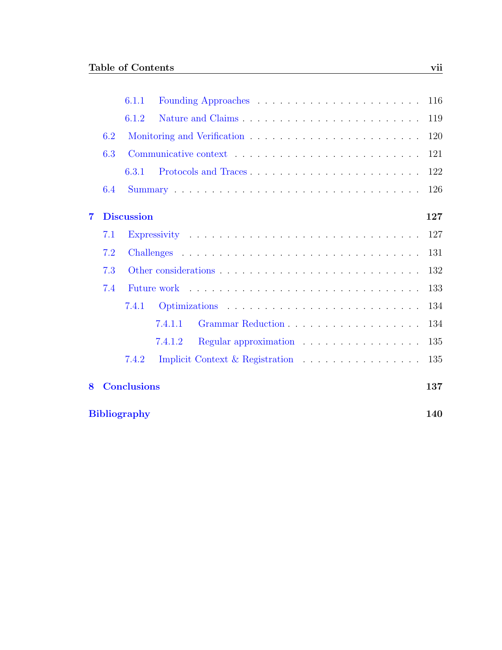|   |                            | 6.1.1              |                                  | 116 |
|---|----------------------------|--------------------|----------------------------------|-----|
|   |                            | 6.1.2              |                                  | 119 |
|   | 6.2                        |                    |                                  | 120 |
|   | 6.3                        |                    |                                  | 121 |
|   |                            | 6.3.1              |                                  | 122 |
|   | 6.4                        |                    |                                  | 126 |
| 7 |                            | <b>Discussion</b>  |                                  | 127 |
|   | 7.1                        |                    |                                  | 127 |
|   | 7.2                        |                    |                                  | 131 |
|   | 7.3                        |                    |                                  | 132 |
|   | 7.4                        |                    |                                  | 133 |
|   |                            | 7.4.1              |                                  | 134 |
|   |                            |                    | 7.4.1.1                          | 134 |
|   |                            |                    | 7.4.1.2<br>Regular approximation | 135 |
|   |                            | 7.4.2              |                                  | 135 |
| 8 |                            | <b>Conclusions</b> |                                  | 137 |
|   | 140<br><b>Bibliography</b> |                    |                                  |     |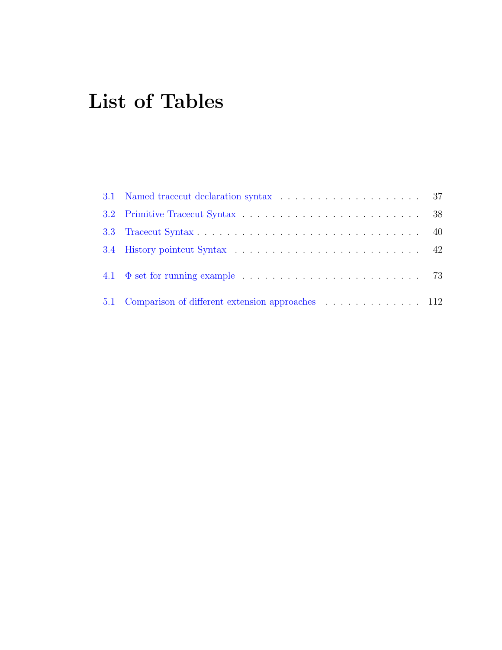# List of Tables

<span id="page-7-0"></span>

| 5.1 Comparison of different extension approaches 112 |  |
|------------------------------------------------------|--|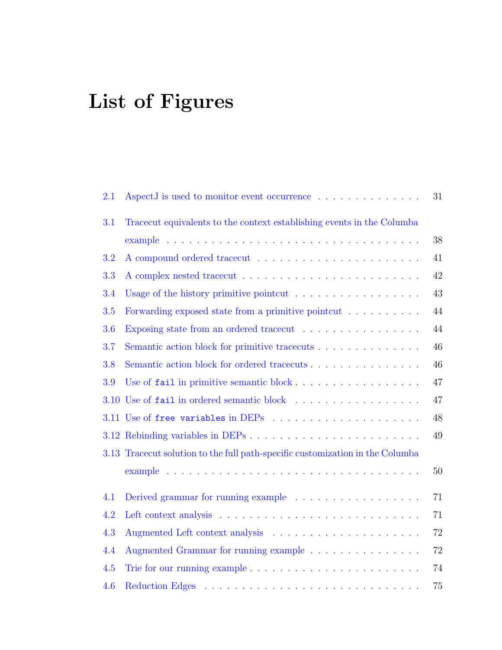# List of Figures

<span id="page-8-0"></span>

| 2.1 | AspectJ is used to monitor event occurrence                                   | 31     |
|-----|-------------------------------------------------------------------------------|--------|
| 3.1 | Tracecut equivalents to the context establishing events in the Columba        | 38     |
| 3.2 |                                                                               | 41     |
| 3.3 |                                                                               | 42     |
| 3.4 | Usage of the history primitive pointcut $\ldots \ldots \ldots \ldots \ldots$  | 43     |
| 3.5 | Forwarding exposed state from a primitive pointcut                            | 44     |
| 3.6 | Exposing state from an ordered tracecut                                       | 44     |
| 3.7 | Semantic action block for primitive tracecuts                                 | 46     |
| 3.8 | Semantic action block for ordered tracecuts                                   | 46     |
| 3.9 | Use of fail in primitive semantic block                                       | 47     |
|     |                                                                               | 47     |
|     |                                                                               | 48     |
|     |                                                                               | 49     |
|     | 3.13 Tracecut solution to the full path-specific customization in the Columba |        |
|     |                                                                               | $50\,$ |
| 4.1 | Derived grammar for running example $\dots \dots \dots \dots \dots \dots$     | 71     |
| 4.2 |                                                                               | 71     |
| 4.3 |                                                                               | 72     |
| 4.4 | Augmented Grammar for running example                                         | $72\,$ |
| 4.5 |                                                                               | 74     |
| 4.6 |                                                                               | 75     |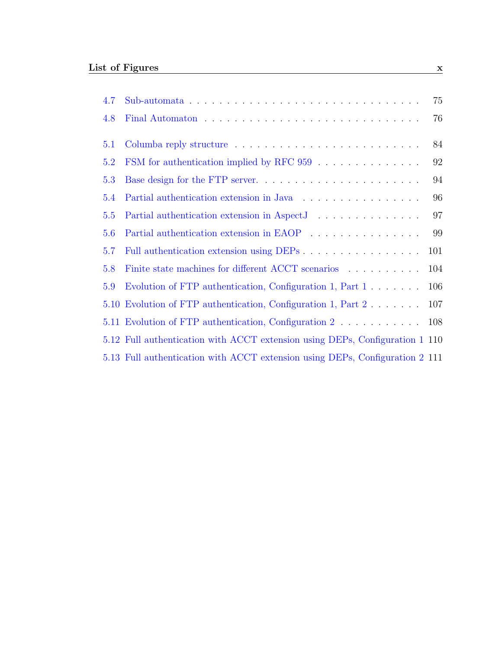| 4.7 |                                                                                                                                                                                                                                  | 75  |
|-----|----------------------------------------------------------------------------------------------------------------------------------------------------------------------------------------------------------------------------------|-----|
| 4.8 |                                                                                                                                                                                                                                  | 76  |
| 5.1 |                                                                                                                                                                                                                                  | 84  |
| 5.2 | FSM for authentication implied by RFC 959                                                                                                                                                                                        | 92  |
| 5.3 |                                                                                                                                                                                                                                  | 94  |
| 5.4 | Partial authentication extension in Java                                                                                                                                                                                         | 96  |
| 5.5 | Partial authentication extension in AspectJ<br>The Manager of Association of Aspect Allen and Aspect Allen and Aspect Allen and Aspect Allen and Allen and Allen and Allen and Allen and Allen and Allen and Allen and Allen and | 97  |
| 5.6 | Partial authentication extension in EAOP                                                                                                                                                                                         | 99  |
| 5.7 | Full authentication extension using DEPs                                                                                                                                                                                         | 101 |
| 5.8 | Finite state machines for different ACCT scenarios                                                                                                                                                                               | 104 |
| 5.9 | Evolution of FTP authentication, Configuration 1, Part 1                                                                                                                                                                         | 106 |
|     | 5.10 Evolution of FTP authentication, Configuration 1, Part 2                                                                                                                                                                    | 107 |
|     | 5.11 Evolution of FTP authentication, Configuration 2                                                                                                                                                                            | 108 |
|     | 5.12 Full authentication with ACCT extension using DEPs, Configuration 1 110                                                                                                                                                     |     |
|     | 5.13 Full authentication with ACCT extension using DEPs, Configuration 2 111                                                                                                                                                     |     |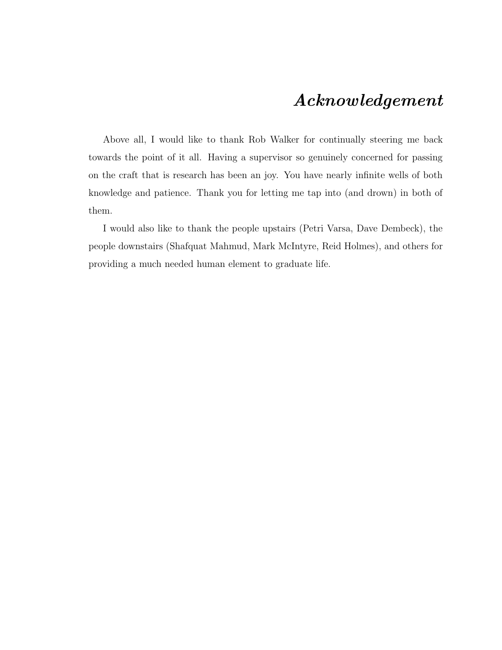### Acknowledgement

Above all, I would like to thank Rob Walker for continually steering me back towards the point of it all. Having a supervisor so genuinely concerned for passing on the craft that is research has been an joy. You have nearly infinite wells of both knowledge and patience. Thank you for letting me tap into (and drown) in both of them.

I would also like to thank the people upstairs (Petri Varsa, Dave Dembeck), the people downstairs (Shafquat Mahmud, Mark McIntyre, Reid Holmes), and others for providing a much needed human element to graduate life.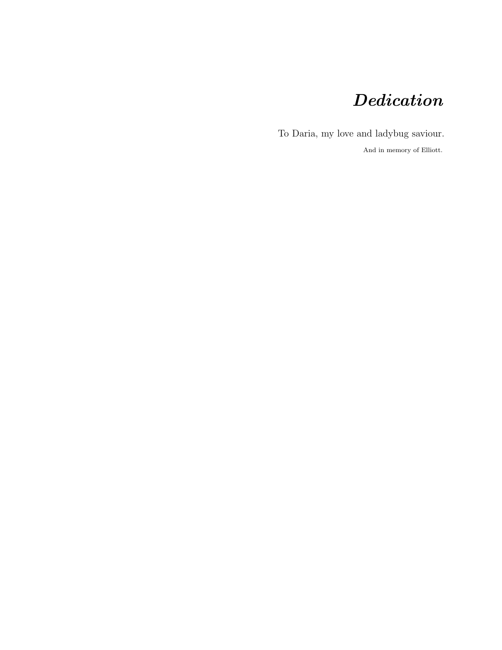## Dedication

To Daria, my love and ladybug saviour.

And in memory of Elliott.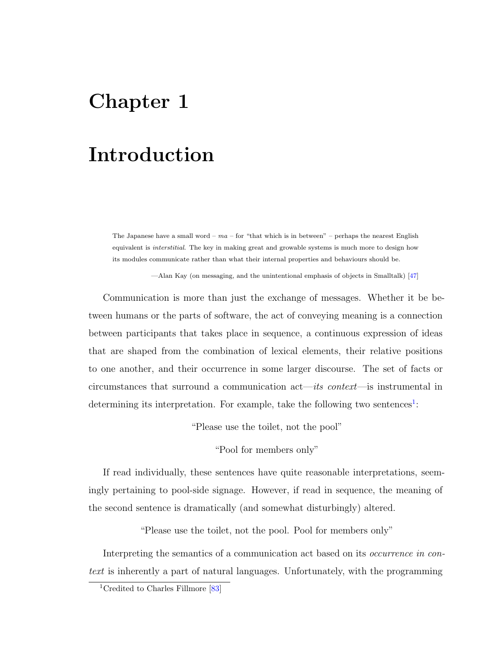## <span id="page-12-0"></span>Chapter 1

## Introduction

The Japanese have a small word –  $ma$  – for "that which is in between" – perhaps the nearest English equivalent is interstitial. The key in making great and growable systems is much more to design how its modules communicate rather than what their internal properties and behaviours should be.

—Alan Kay (on messaging, and the unintentional emphasis of objects in Smalltalk) [\[47\]](#page-155-0)

Communication is more than just the exchange of messages. Whether it be between humans or the parts of software, the act of conveying meaning is a connection between participants that takes place in sequence, a continuous expression of ideas that are shaped from the combination of lexical elements, their relative positions to one another, and their occurrence in some larger discourse. The set of facts or circumstances that surround a communication act—its context—is instrumental in determining its interpretation. For example, take the following two sentences<sup>[1](#page-12-1)</sup>:

"Please use the toilet, not the pool"

"Pool for members only"

If read individually, these sentences have quite reasonable interpretations, seemingly pertaining to pool-side signage. However, if read in sequence, the meaning of the second sentence is dramatically (and somewhat disturbingly) altered.

"Please use the toilet, not the pool. Pool for members only"

Interpreting the semantics of a communication act based on its *occurrence in con*text is inherently a part of natural languages. Unfortunately, with the programming

<span id="page-12-1"></span><sup>&</sup>lt;sup>1</sup>Credited to Charles Fillmore [\[83\]](#page-158-0)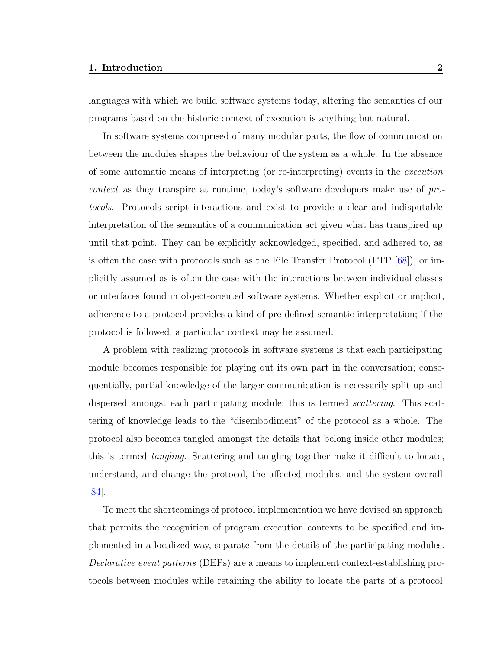#### 1. Introduction 2

languages with which we build software systems today, altering the semantics of our programs based on the historic context of execution is anything but natural.

In software systems comprised of many modular parts, the flow of communication between the modules shapes the behaviour of the system as a whole. In the absence of some automatic means of interpreting (or re-interpreting) events in the execution context as they transpire at runtime, today's software developers make use of protocols. Protocols script interactions and exist to provide a clear and indisputable interpretation of the semantics of a communication act given what has transpired up until that point. They can be explicitly acknowledged, specified, and adhered to, as is often the case with protocols such as the File Transfer Protocol (FTP [\[68\]](#page-156-0)), or implicitly assumed as is often the case with the interactions between individual classes or interfaces found in object-oriented software systems. Whether explicit or implicit, adherence to a protocol provides a kind of pre-defined semantic interpretation; if the protocol is followed, a particular context may be assumed.

A problem with realizing protocols in software systems is that each participating module becomes responsible for playing out its own part in the conversation; consequentially, partial knowledge of the larger communication is necessarily split up and dispersed amongst each participating module; this is termed scattering. This scattering of knowledge leads to the "disembodiment" of the protocol as a whole. The protocol also becomes tangled amongst the details that belong inside other modules; this is termed tangling. Scattering and tangling together make it difficult to locate, understand, and change the protocol, the affected modules, and the system overall [\[84\]](#page-158-1).

To meet the shortcomings of protocol implementation we have devised an approach that permits the recognition of program execution contexts to be specified and implemented in a localized way, separate from the details of the participating modules. Declarative event patterns (DEPs) are a means to implement context-establishing protocols between modules while retaining the ability to locate the parts of a protocol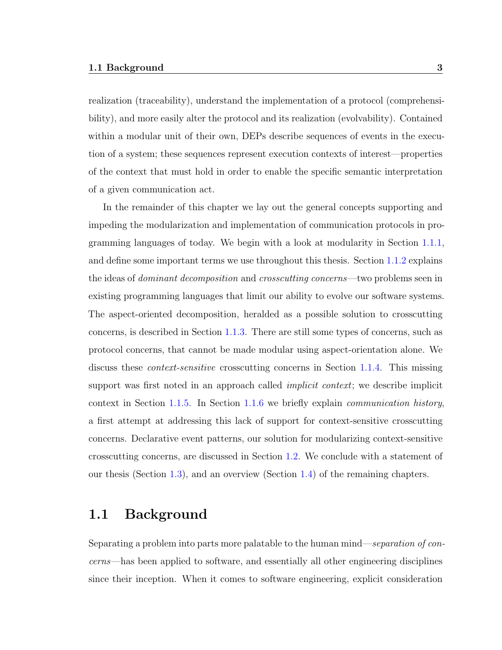realization (traceability), understand the implementation of a protocol (comprehensibility), and more easily alter the protocol and its realization (evolvability). Contained within a modular unit of their own, DEPs describe sequences of events in the execution of a system; these sequences represent execution contexts of interest—properties of the context that must hold in order to enable the specific semantic interpretation of a given communication act.

In the remainder of this chapter we lay out the general concepts supporting and impeding the modularization and implementation of communication protocols in programming languages of today. We begin with a look at modularity in Section [1.1.1,](#page-15-0) and define some important terms we use throughout this thesis. Section [1.1.2](#page-18-0) explains the ideas of *dominant decomposition* and *crosscutting concerns*—two problems seen in existing programming languages that limit our ability to evolve our software systems. The aspect-oriented decomposition, heralded as a possible solution to crosscutting concerns, is described in Section [1.1.3.](#page-19-0) There are still some types of concerns, such as protocol concerns, that cannot be made modular using aspect-orientation alone. We discuss these context-sensitive crosscutting concerns in Section [1.1.4.](#page-20-0) This missing support was first noted in an approach called *implicit context*; we describe implicit context in Section [1.1.5.](#page-21-0) In Section [1.1.6](#page-22-0) we briefly explain communication history, a first attempt at addressing this lack of support for context-sensitive crosscutting concerns. Declarative event patterns, our solution for modularizing context-sensitive crosscutting concerns, are discussed in Section [1.2.](#page-23-0) We conclude with a statement of our thesis (Section [1.3\)](#page-24-0), and an overview (Section [1.4\)](#page-24-1) of the remaining chapters.

### <span id="page-14-0"></span>1.1 Background

Separating a problem into parts more palatable to the human mind—separation of concerns—has been applied to software, and essentially all other engineering disciplines since their inception. When it comes to software engineering, explicit consideration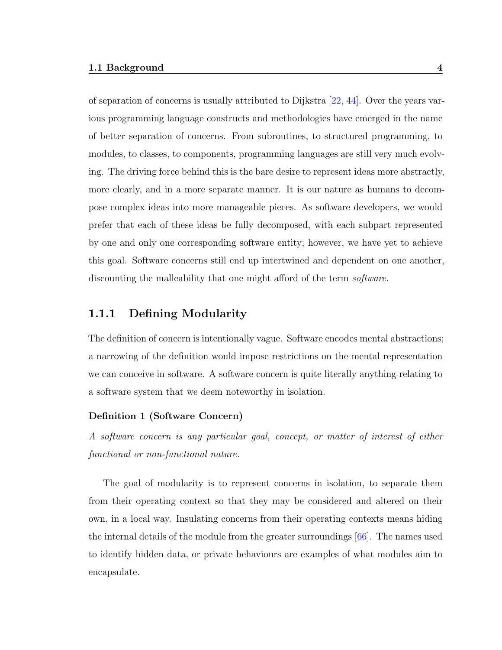of separation of concerns is usually attributed to Dijkstra [\[22,](#page-153-0) [44\]](#page-155-1). Over the years various programming language constructs and methodologies have emerged in the name of better separation of concerns. From subroutines, to structured programming, to modules, to classes, to components, programming languages are still very much evolving. The driving force behind this is the bare desire to represent ideas more abstractly, more clearly, and in a more separate manner. It is our nature as humans to decompose complex ideas into more manageable pieces. As software developers, we would prefer that each of these ideas be fully decomposed, with each subpart represented by one and only one corresponding software entity; however, we have yet to achieve this goal. Software concerns still end up intertwined and dependent on one another, discounting the malleability that one might afford of the term *software*.

#### <span id="page-15-0"></span>1.1.1 Defining Modularity

The definition of concern is intentionally vague. Software encodes mental abstractions; a narrowing of the definition would impose restrictions on the mental representation we can conceive in software. A software concern is quite literally anything relating to a software system that we deem noteworthy in isolation.

#### Definition 1 (Software Concern)

A software concern is any particular goal, concept, or matter of interest of either functional or non-functional nature.

The goal of modularity is to represent concerns in isolation, to separate them from their operating context so that they may be considered and altered on their own, in a local way. Insulating concerns from their operating contexts means hiding the internal details of the module from the greater surroundings [\[66\]](#page-156-1). The names used to identify hidden data, or private behaviours are examples of what modules aim to encapsulate.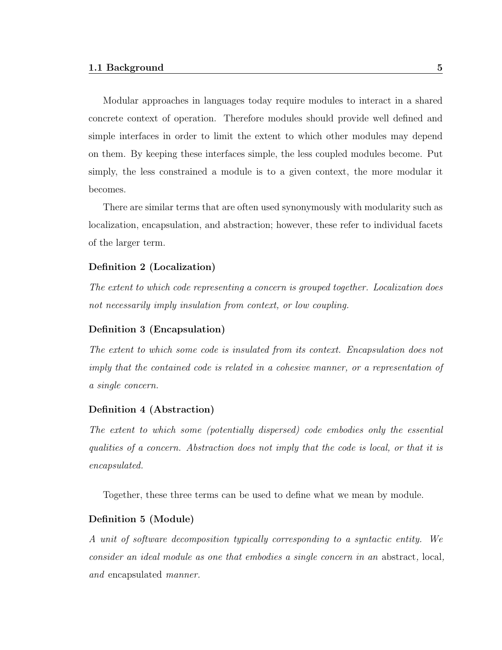Modular approaches in languages today require modules to interact in a shared concrete context of operation. Therefore modules should provide well defined and simple interfaces in order to limit the extent to which other modules may depend on them. By keeping these interfaces simple, the less coupled modules become. Put simply, the less constrained a module is to a given context, the more modular it becomes.

There are similar terms that are often used synonymously with modularity such as localization, encapsulation, and abstraction; however, these refer to individual facets of the larger term.

#### Definition 2 (Localization)

The extent to which code representing a concern is grouped together. Localization does not necessarily imply insulation from context, or low coupling.

#### Definition 3 (Encapsulation)

The extent to which some code is insulated from its context. Encapsulation does not imply that the contained code is related in a cohesive manner, or a representation of a single concern.

#### Definition 4 (Abstraction)

The extent to which some (potentially dispersed) code embodies only the essential qualities of a concern. Abstraction does not imply that the code is local, or that it is encapsulated.

Together, these three terms can be used to define what we mean by module.

#### Definition 5 (Module)

A unit of software decomposition typically corresponding to a syntactic entity. We consider an ideal module as one that embodies a single concern in an abstract, local, and encapsulated manner.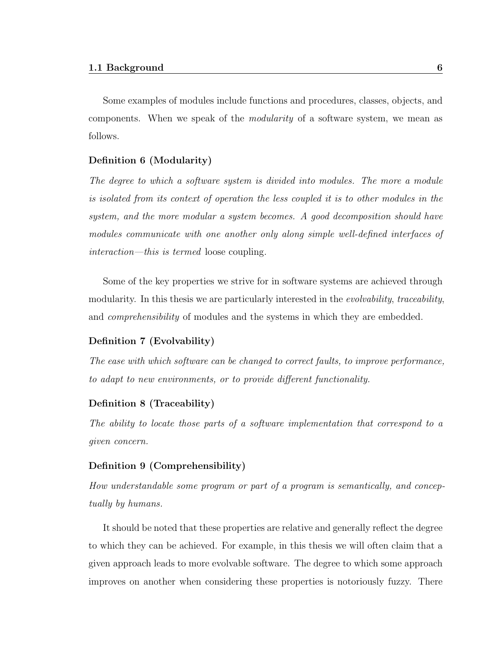Some examples of modules include functions and procedures, classes, objects, and components. When we speak of the *modularity* of a software system, we mean as follows.

#### Definition 6 (Modularity)

The degree to which a software system is divided into modules. The more a module is isolated from its context of operation the less coupled it is to other modules in the system, and the more modular a system becomes. A good decomposition should have modules communicate with one another only along simple well-defined interfaces of interaction—this is termed loose coupling.

Some of the key properties we strive for in software systems are achieved through modularity. In this thesis we are particularly interested in the *evolvability*, *traceability*, and *comprehensibility* of modules and the systems in which they are embedded.

#### Definition 7 (Evolvability)

The ease with which software can be changed to correct faults, to improve performance, to adapt to new environments, or to provide different functionality.

#### Definition 8 (Traceability)

The ability to locate those parts of a software implementation that correspond to a given concern.

#### Definition 9 (Comprehensibility)

How understandable some program or part of a program is semantically, and conceptually by humans.

It should be noted that these properties are relative and generally reflect the degree to which they can be achieved. For example, in this thesis we will often claim that a given approach leads to more evolvable software. The degree to which some approach improves on another when considering these properties is notoriously fuzzy. There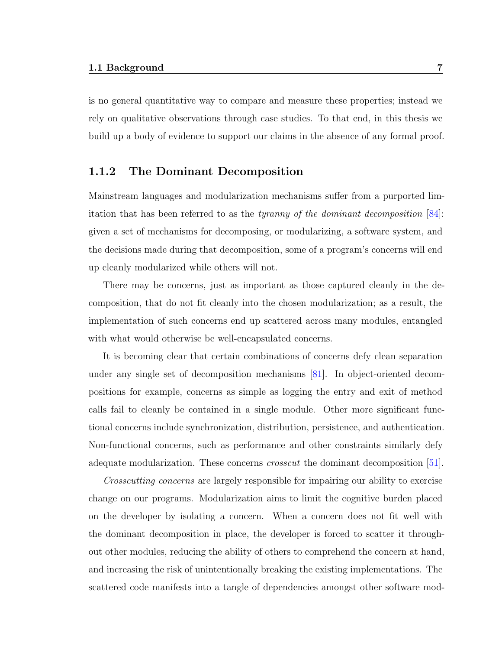is no general quantitative way to compare and measure these properties; instead we rely on qualitative observations through case studies. To that end, in this thesis we build up a body of evidence to support our claims in the absence of any formal proof.

#### <span id="page-18-0"></span>1.1.2 The Dominant Decomposition

Mainstream languages and modularization mechanisms suffer from a purported limitation that has been referred to as the tyranny of the dominant decomposition [\[84\]](#page-158-1): given a set of mechanisms for decomposing, or modularizing, a software system, and the decisions made during that decomposition, some of a program's concerns will end up cleanly modularized while others will not.

There may be concerns, just as important as those captured cleanly in the decomposition, that do not fit cleanly into the chosen modularization; as a result, the implementation of such concerns end up scattered across many modules, entangled with what would otherwise be well-encapsulated concerns.

It is becoming clear that certain combinations of concerns defy clean separation under any single set of decomposition mechanisms [\[81\]](#page-157-0). In object-oriented decompositions for example, concerns as simple as logging the entry and exit of method calls fail to cleanly be contained in a single module. Other more significant functional concerns include synchronization, distribution, persistence, and authentication. Non-functional concerns, such as performance and other constraints similarly defy adequate modularization. These concerns crosscut the dominant decomposition [\[51\]](#page-155-2).

Crosscutting concerns are largely responsible for impairing our ability to exercise change on our programs. Modularization aims to limit the cognitive burden placed on the developer by isolating a concern. When a concern does not fit well with the dominant decomposition in place, the developer is forced to scatter it throughout other modules, reducing the ability of others to comprehend the concern at hand, and increasing the risk of unintentionally breaking the existing implementations. The scattered code manifests into a tangle of dependencies amongst other software mod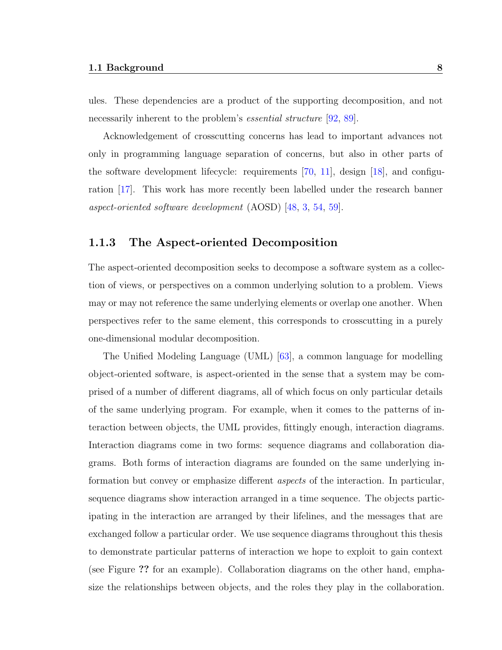ules. These dependencies are a product of the supporting decomposition, and not necessarily inherent to the problem's *essential structure* [\[92,](#page-158-2) [89\]](#page-158-3).

Acknowledgement of crosscutting concerns has lead to important advances not only in programming language separation of concerns, but also in other parts of the software development lifecycle: requirements [\[70,](#page-157-1) [11\]](#page-152-0), design [\[18\]](#page-152-1), and configuration [\[17\]](#page-152-2). This work has more recently been labelled under the research banner aspect-oriented software development (AOSD) [\[48,](#page-155-3) [3,](#page-151-1) [54,](#page-155-4) [59\]](#page-156-2).

#### <span id="page-19-0"></span>1.1.3 The Aspect-oriented Decomposition

The aspect-oriented decomposition seeks to decompose a software system as a collection of views, or perspectives on a common underlying solution to a problem. Views may or may not reference the same underlying elements or overlap one another. When perspectives refer to the same element, this corresponds to crosscutting in a purely one-dimensional modular decomposition.

The Unified Modeling Language (UML) [\[63\]](#page-156-3), a common language for modelling object-oriented software, is aspect-oriented in the sense that a system may be comprised of a number of different diagrams, all of which focus on only particular details of the same underlying program. For example, when it comes to the patterns of interaction between objects, the UML provides, fittingly enough, interaction diagrams. Interaction diagrams come in two forms: sequence diagrams and collaboration diagrams. Both forms of interaction diagrams are founded on the same underlying information but convey or emphasize different aspects of the interaction. In particular, sequence diagrams show interaction arranged in a time sequence. The objects participating in the interaction are arranged by their lifelines, and the messages that are exchanged follow a particular order. We use sequence diagrams throughout this thesis to demonstrate particular patterns of interaction we hope to exploit to gain context (see Figure ?? for an example). Collaboration diagrams on the other hand, emphasize the relationships between objects, and the roles they play in the collaboration.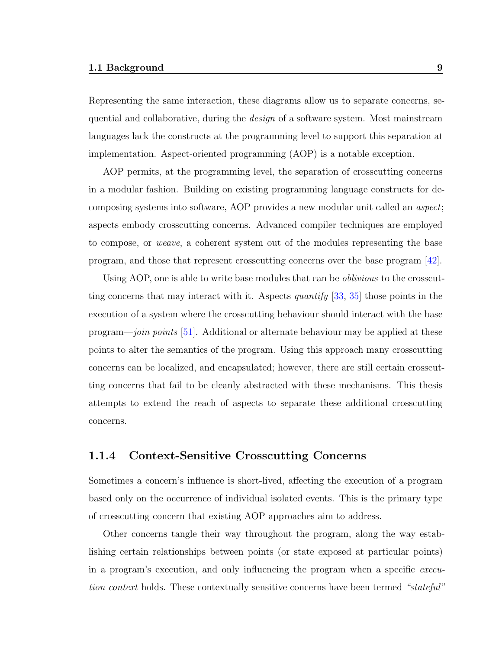Representing the same interaction, these diagrams allow us to separate concerns, sequential and collaborative, during the *design* of a software system. Most mainstream languages lack the constructs at the programming level to support this separation at implementation. Aspect-oriented programming (AOP) is a notable exception.

AOP permits, at the programming level, the separation of crosscutting concerns in a modular fashion. Building on existing programming language constructs for decomposing systems into software, AOP provides a new modular unit called an aspect; aspects embody crosscutting concerns. Advanced compiler techniques are employed to compose, or weave, a coherent system out of the modules representing the base program, and those that represent crosscutting concerns over the base program [\[42\]](#page-154-0).

Using AOP, one is able to write base modules that can be oblivious to the crosscutting concerns that may interact with it. Aspects *quantify* [\[33,](#page-154-1) [35\]](#page-154-2) those points in the execution of a system where the crosscutting behaviour should interact with the base program—join points [\[51\]](#page-155-2). Additional or alternate behaviour may be applied at these points to alter the semantics of the program. Using this approach many crosscutting concerns can be localized, and encapsulated; however, there are still certain crosscutting concerns that fail to be cleanly abstracted with these mechanisms. This thesis attempts to extend the reach of aspects to separate these additional crosscutting concerns.

#### <span id="page-20-0"></span>1.1.4 Context-Sensitive Crosscutting Concerns

Sometimes a concern's influence is short-lived, affecting the execution of a program based only on the occurrence of individual isolated events. This is the primary type of crosscutting concern that existing AOP approaches aim to address.

Other concerns tangle their way throughout the program, along the way establishing certain relationships between points (or state exposed at particular points) in a program's execution, and only influencing the program when a specific execution context holds. These contextually sensitive concerns have been termed "stateful"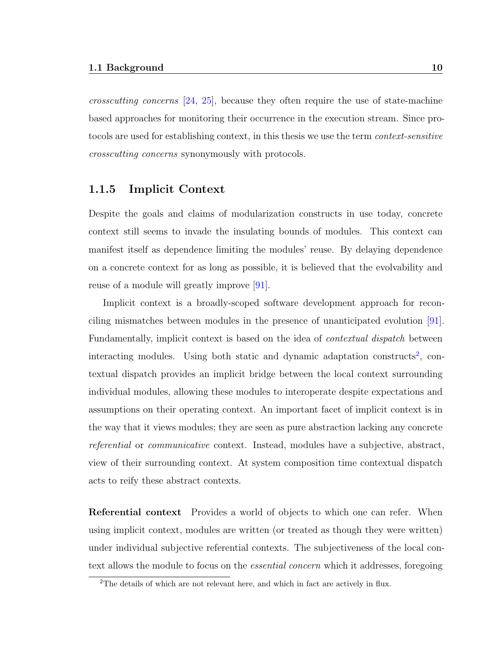crosscutting concerns [\[24,](#page-153-1) [25\]](#page-153-2), because they often require the use of state-machine based approaches for monitoring their occurrence in the execution stream. Since protocols are used for establishing context, in this thesis we use the term context-sensitive crosscutting concerns synonymously with protocols.

#### <span id="page-21-0"></span>1.1.5 Implicit Context

Despite the goals and claims of modularization constructs in use today, concrete context still seems to invade the insulating bounds of modules. This context can manifest itself as dependence limiting the modules' reuse. By delaying dependence on a concrete context for as long as possible, it is believed that the evolvability and reuse of a module will greatly improve [\[91\]](#page-158-4).

Implicit context is a broadly-scoped software development approach for reconciling mismatches between modules in the presence of unanticipated evolution [\[91\]](#page-158-4). Fundamentally, implicit context is based on the idea of contextual dispatch between interacting modules. Using both static and dynamic adaptation constructs<sup>[2](#page-21-1)</sup>, contextual dispatch provides an implicit bridge between the local context surrounding individual modules, allowing these modules to interoperate despite expectations and assumptions on their operating context. An important facet of implicit context is in the way that it views modules; they are seen as pure abstraction lacking any concrete referential or communicative context. Instead, modules have a subjective, abstract, view of their surrounding context. At system composition time contextual dispatch acts to reify these abstract contexts.

**Referential context** Provides a world of objects to which one can refer. When using implicit context, modules are written (or treated as though they were written) under individual subjective referential contexts. The subjectiveness of the local context allows the module to focus on the *essential concern* which it addresses, foregoing

<span id="page-21-1"></span><sup>&</sup>lt;sup>2</sup>The details of which are not relevant here, and which in fact are actively in flux.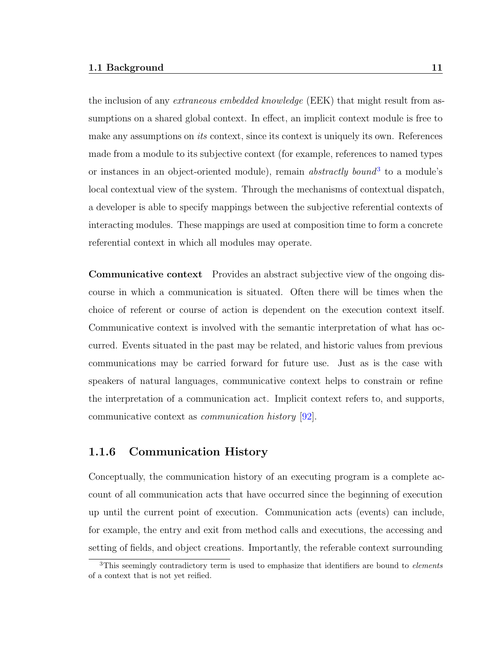the inclusion of any *extraneous embedded knowledge* (EEK) that might result from assumptions on a shared global context. In effect, an implicit context module is free to make any assumptions on *its* context, since its context is uniquely its own. References made from a module to its subjective context (for example, references to named types or instances in an object-oriented module), remain *abstractly bound*<sup>[3](#page-22-1)</sup> to a module's local contextual view of the system. Through the mechanisms of contextual dispatch, a developer is able to specify mappings between the subjective referential contexts of interacting modules. These mappings are used at composition time to form a concrete referential context in which all modules may operate.

Communicative context Provides an abstract subjective view of the ongoing discourse in which a communication is situated. Often there will be times when the choice of referent or course of action is dependent on the execution context itself. Communicative context is involved with the semantic interpretation of what has occurred. Events situated in the past may be related, and historic values from previous communications may be carried forward for future use. Just as is the case with speakers of natural languages, communicative context helps to constrain or refine the interpretation of a communication act. Implicit context refers to, and supports, communicative context as communication history [\[92\]](#page-158-2).

#### <span id="page-22-0"></span>1.1.6 Communication History

Conceptually, the communication history of an executing program is a complete account of all communication acts that have occurred since the beginning of execution up until the current point of execution. Communication acts (events) can include, for example, the entry and exit from method calls and executions, the accessing and setting of fields, and object creations. Importantly, the referable context surrounding

<span id="page-22-1"></span><sup>&</sup>lt;sup>3</sup>This seemingly contradictory term is used to emphasize that identifiers are bound to *elements* of a context that is not yet reified.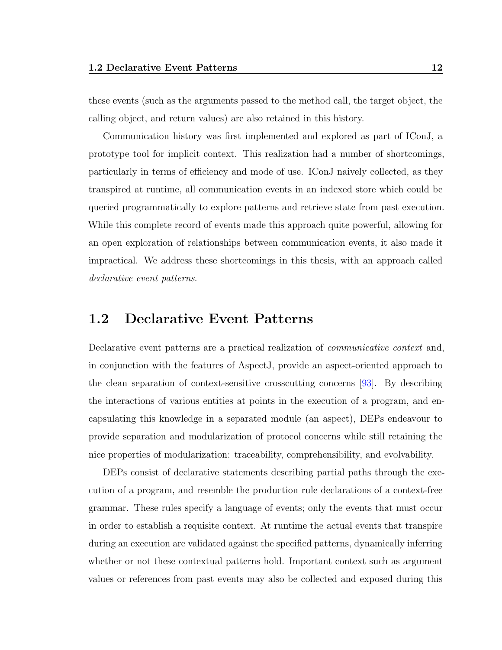these events (such as the arguments passed to the method call, the target object, the calling object, and return values) are also retained in this history.

Communication history was first implemented and explored as part of IConJ, a prototype tool for implicit context. This realization had a number of shortcomings, particularly in terms of efficiency and mode of use. IConJ naively collected, as they transpired at runtime, all communication events in an indexed store which could be queried programmatically to explore patterns and retrieve state from past execution. While this complete record of events made this approach quite powerful, allowing for an open exploration of relationships between communication events, it also made it impractical. We address these shortcomings in this thesis, with an approach called declarative event patterns.

### <span id="page-23-0"></span>1.2 Declarative Event Patterns

Declarative event patterns are a practical realization of communicative context and, in conjunction with the features of AspectJ, provide an aspect-oriented approach to the clean separation of context-sensitive crosscutting concerns [\[93\]](#page-158-5). By describing the interactions of various entities at points in the execution of a program, and encapsulating this knowledge in a separated module (an aspect), DEPs endeavour to provide separation and modularization of protocol concerns while still retaining the nice properties of modularization: traceability, comprehensibility, and evolvability.

DEPs consist of declarative statements describing partial paths through the execution of a program, and resemble the production rule declarations of a context-free grammar. These rules specify a language of events; only the events that must occur in order to establish a requisite context. At runtime the actual events that transpire during an execution are validated against the specified patterns, dynamically inferring whether or not these contextual patterns hold. Important context such as argument values or references from past events may also be collected and exposed during this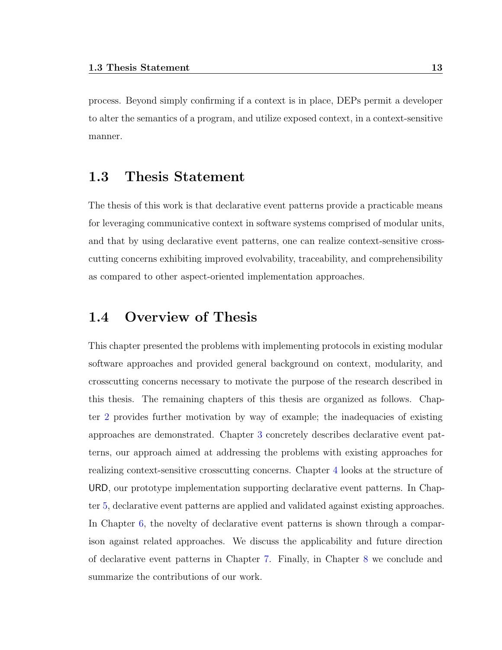process. Beyond simply confirming if a context is in place, DEPs permit a developer to alter the semantics of a program, and utilize exposed context, in a context-sensitive manner.

### <span id="page-24-0"></span>1.3 Thesis Statement

The thesis of this work is that declarative event patterns provide a practicable means for leveraging communicative context in software systems comprised of modular units, and that by using declarative event patterns, one can realize context-sensitive crosscutting concerns exhibiting improved evolvability, traceability, and comprehensibility as compared to other aspect-oriented implementation approaches.

### <span id="page-24-1"></span>1.4 Overview of Thesis

This chapter presented the problems with implementing protocols in existing modular software approaches and provided general background on context, modularity, and crosscutting concerns necessary to motivate the purpose of the research described in this thesis. The remaining chapters of this thesis are organized as follows. Chapter [2](#page-25-0) provides further motivation by way of example; the inadequacies of existing approaches are demonstrated. Chapter [3](#page-45-0) concretely describes declarative event patterns, our approach aimed at addressing the problems with existing approaches for realizing context-sensitive crosscutting concerns. Chapter [4](#page-64-0) looks at the structure of URD, our prototype implementation supporting declarative event patterns. In Chapter [5,](#page-92-0) declarative event patterns are applied and validated against existing approaches. In Chapter [6,](#page-127-0) the novelty of declarative event patterns is shown through a comparison against related approaches. We discuss the applicability and future direction of declarative event patterns in Chapter [7.](#page-138-0) Finally, in Chapter [8](#page-148-0) we conclude and summarize the contributions of our work.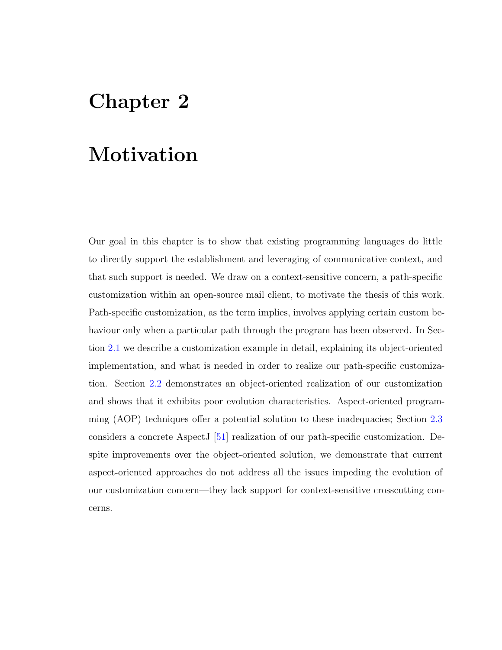## <span id="page-25-0"></span>Chapter 2

## Motivation

Our goal in this chapter is to show that existing programming languages do little to directly support the establishment and leveraging of communicative context, and that such support is needed. We draw on a context-sensitive concern, a path-specific customization within an open-source mail client, to motivate the thesis of this work. Path-specific customization, as the term implies, involves applying certain custom behaviour only when a particular path through the program has been observed. In Section [2.1](#page-26-0) we describe a customization example in detail, explaining its object-oriented implementation, and what is needed in order to realize our path-specific customization. Section [2.2](#page-31-0) demonstrates an object-oriented realization of our customization and shows that it exhibits poor evolution characteristics. Aspect-oriented programming (AOP) techniques offer a potential solution to these inadequacies; Section [2.3](#page-36-0) considers a concrete AspectJ [\[51\]](#page-155-2) realization of our path-specific customization. Despite improvements over the object-oriented solution, we demonstrate that current aspect-oriented approaches do not address all the issues impeding the evolution of our customization concern—they lack support for context-sensitive crosscutting concerns.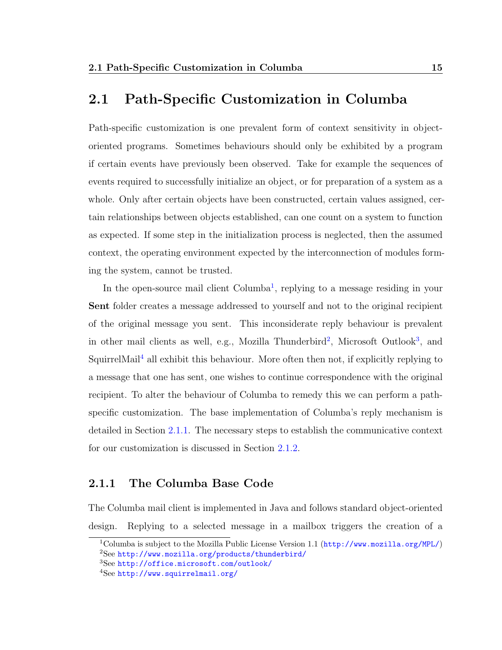### <span id="page-26-0"></span>2.1 Path-Specific Customization in Columba

Path-specific customization is one prevalent form of context sensitivity in objectoriented programs. Sometimes behaviours should only be exhibited by a program if certain events have previously been observed. Take for example the sequences of events required to successfully initialize an object, or for preparation of a system as a whole. Only after certain objects have been constructed, certain values assigned, certain relationships between objects established, can one count on a system to function as expected. If some step in the initialization process is neglected, then the assumed context, the operating environment expected by the interconnection of modules forming the system, cannot be trusted.

In the open-source mail client Columba<sup>[1](#page-26-2)</sup>, replying to a message residing in your Sent folder creates a message addressed to yourself and not to the original recipient of the original message you sent. This inconsiderate reply behaviour is prevalent in other mail clients as well, e.g., Mozilla Thunderbird<sup>[2](#page-26-3)</sup>, Microsoft Outlook<sup>[3](#page-26-4)</sup>, and SquirrelMail<sup>[4](#page-26-5)</sup> all exhibit this behaviour. More often then not, if explicitly replying to a message that one has sent, one wishes to continue correspondence with the original recipient. To alter the behaviour of Columba to remedy this we can perform a pathspecific customization. The base implementation of Columba's reply mechanism is detailed in Section [2.1.1.](#page-26-1) The necessary steps to establish the communicative context for our customization is discussed in Section [2.1.2.](#page-28-0)

#### <span id="page-26-1"></span>2.1.1 The Columba Base Code

The Columba mail client is implemented in Java and follows standard object-oriented design. Replying to a selected message in a mailbox triggers the creation of a

<span id="page-26-3"></span><span id="page-26-2"></span><sup>&</sup>lt;sup>1</sup>Columba is subject to the Mozilla Public License Version 1.1 (<http://www.mozilla.org/MPL/>) <sup>2</sup>See <http://www.mozilla.org/products/thunderbird/>

<span id="page-26-4"></span><sup>3</sup>See <http://office.microsoft.com/outlook/>

<span id="page-26-5"></span><sup>4</sup>See <http://www.squirrelmail.org/>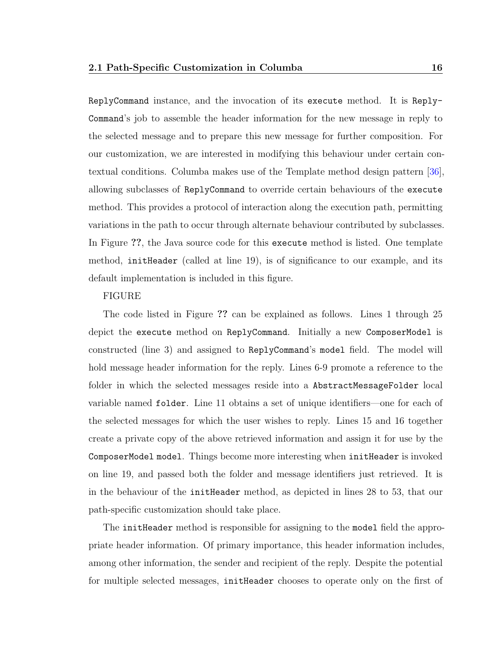ReplyCommand instance, and the invocation of its execute method. It is Reply-Command's job to assemble the header information for the new message in reply to the selected message and to prepare this new message for further composition. For our customization, we are interested in modifying this behaviour under certain contextual conditions. Columba makes use of the Template method design pattern [\[36\]](#page-154-3), allowing subclasses of ReplyCommand to override certain behaviours of the execute method. This provides a protocol of interaction along the execution path, permitting variations in the path to occur through alternate behaviour contributed by subclasses. In Figure ??, the Java source code for this execute method is listed. One template method, initHeader (called at line 19), is of significance to our example, and its default implementation is included in this figure.

#### FIGURE

The code listed in Figure ?? can be explained as follows. Lines 1 through 25 depict the execute method on ReplyCommand. Initially a new ComposerModel is constructed (line 3) and assigned to ReplyCommand's model field. The model will hold message header information for the reply. Lines 6-9 promote a reference to the folder in which the selected messages reside into a AbstractMessageFolder local variable named folder. Line 11 obtains a set of unique identifiers—one for each of the selected messages for which the user wishes to reply. Lines 15 and 16 together create a private copy of the above retrieved information and assign it for use by the ComposerModel model. Things become more interesting when initHeader is invoked on line 19, and passed both the folder and message identifiers just retrieved. It is in the behaviour of the initHeader method, as depicted in lines 28 to 53, that our path-specific customization should take place.

The initHeader method is responsible for assigning to the model field the appropriate header information. Of primary importance, this header information includes, among other information, the sender and recipient of the reply. Despite the potential for multiple selected messages, initHeader chooses to operate only on the first of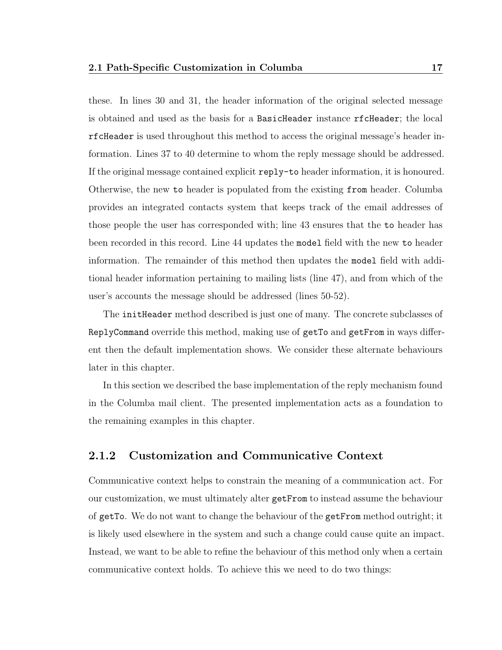these. In lines 30 and 31, the header information of the original selected message is obtained and used as the basis for a BasicHeader instance rfcHeader; the local rfcHeader is used throughout this method to access the original message's header information. Lines 37 to 40 determine to whom the reply message should be addressed. If the original message contained explicit reply-to header information, it is honoured. Otherwise, the new to header is populated from the existing from header. Columba provides an integrated contacts system that keeps track of the email addresses of those people the user has corresponded with; line 43 ensures that the to header has been recorded in this record. Line 44 updates the model field with the new to header information. The remainder of this method then updates the model field with additional header information pertaining to mailing lists (line 47), and from which of the user's accounts the message should be addressed (lines 50-52).

The initHeader method described is just one of many. The concrete subclasses of ReplyCommand override this method, making use of getTo and getFrom in ways different then the default implementation shows. We consider these alternate behaviours later in this chapter.

In this section we described the base implementation of the reply mechanism found in the Columba mail client. The presented implementation acts as a foundation to the remaining examples in this chapter.

#### <span id="page-28-0"></span>2.1.2 Customization and Communicative Context

Communicative context helps to constrain the meaning of a communication act. For our customization, we must ultimately alter getFrom to instead assume the behaviour of getTo. We do not want to change the behaviour of the getFrom method outright; it is likely used elsewhere in the system and such a change could cause quite an impact. Instead, we want to be able to refine the behaviour of this method only when a certain communicative context holds. To achieve this we need to do two things: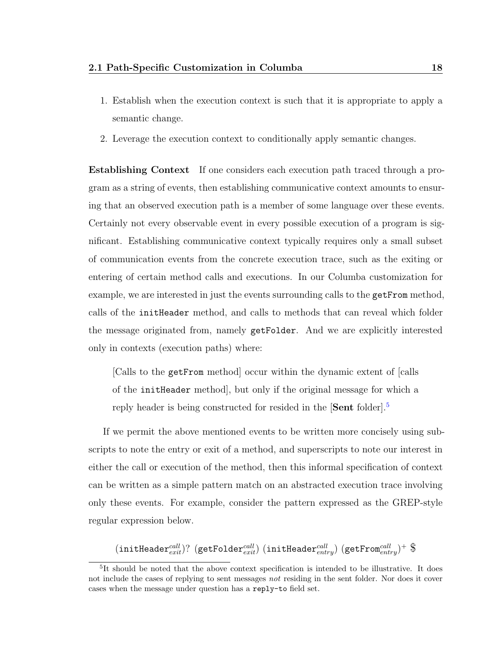- 1. Establish when the execution context is such that it is appropriate to apply a semantic change.
- 2. Leverage the execution context to conditionally apply semantic changes.

Establishing Context If one considers each execution path traced through a program as a string of events, then establishing communicative context amounts to ensuring that an observed execution path is a member of some language over these events. Certainly not every observable event in every possible execution of a program is significant. Establishing communicative context typically requires only a small subset of communication events from the concrete execution trace, such as the exiting or entering of certain method calls and executions. In our Columba customization for example, we are interested in just the events surrounding calls to the getFrom method, calls of the initHeader method, and calls to methods that can reveal which folder the message originated from, namely getFolder. And we are explicitly interested only in contexts (execution paths) where:

[Calls to the getFrom method] occur within the dynamic extent of [calls of the initHeader method], but only if the original message for which a reply header is being constructed for resided in the **Sent** folder<sup>[[5](#page-29-0)]</sup>.

If we permit the above mentioned events to be written more concisely using subscripts to note the entry or exit of a method, and superscripts to note our interest in either the call or execution of the method, then this informal specification of context can be written as a simple pattern match on an abstracted execution trace involving only these events. For example, consider the pattern expressed as the GREP-style regular expression below.

 $(\texttt{initHeader}^{call}_{exit}) ?$   $(\texttt{getFolder}^{call}_{exit})$   $(\texttt{initHeader}^{call}_{entry})$   $(\texttt{getFrom}^{call}_{entry})^+$   $\$$ 

<span id="page-29-0"></span><sup>&</sup>lt;sup>5</sup>It should be noted that the above context specification is intended to be illustrative. It does not include the cases of replying to sent messages not residing in the sent folder. Nor does it cover cases when the message under question has a reply-to field set.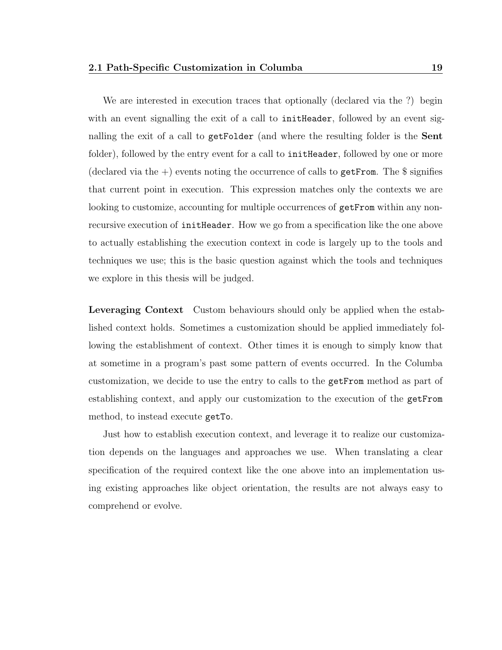We are interested in execution traces that optionally (declared via the ?) begin with an event signalling the exit of a call to **initHeader**, followed by an event signalling the exit of a call to getFolder (and where the resulting folder is the Sent folder), followed by the entry event for a call to inite Header, followed by one or more (declared via the  $+)$ ) events noting the occurrence of calls to get From. The  $\frac{1}{2}$  signifies that current point in execution. This expression matches only the contexts we are looking to customize, accounting for multiple occurrences of getFrom within any nonrecursive execution of initHeader. How we go from a specification like the one above to actually establishing the execution context in code is largely up to the tools and techniques we use; this is the basic question against which the tools and techniques we explore in this thesis will be judged.

Leveraging Context Custom behaviours should only be applied when the established context holds. Sometimes a customization should be applied immediately following the establishment of context. Other times it is enough to simply know that at sometime in a program's past some pattern of events occurred. In the Columba customization, we decide to use the entry to calls to the getFrom method as part of establishing context, and apply our customization to the execution of the getFrom method, to instead execute getTo.

Just how to establish execution context, and leverage it to realize our customization depends on the languages and approaches we use. When translating a clear specification of the required context like the one above into an implementation using existing approaches like object orientation, the results are not always easy to comprehend or evolve.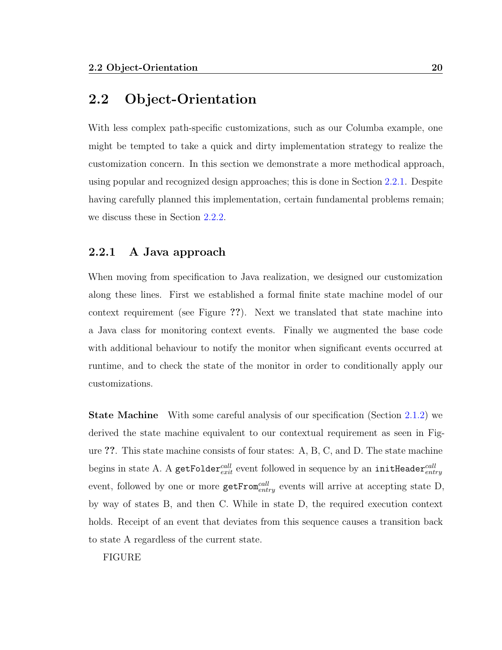### <span id="page-31-0"></span>2.2 Object-Orientation

With less complex path-specific customizations, such as our Columba example, one might be tempted to take a quick and dirty implementation strategy to realize the customization concern. In this section we demonstrate a more methodical approach, using popular and recognized design approaches; this is done in Section [2.2.1.](#page-31-1) Despite having carefully planned this implementation, certain fundamental problems remain; we discuss these in Section [2.2.2.](#page-33-0)

#### <span id="page-31-1"></span>2.2.1 A Java approach

When moving from specification to Java realization, we designed our customization along these lines. First we established a formal finite state machine model of our context requirement (see Figure ??). Next we translated that state machine into a Java class for monitoring context events. Finally we augmented the base code with additional behaviour to notify the monitor when significant events occurred at runtime, and to check the state of the monitor in order to conditionally apply our customizations.

**State Machine** With some careful analysis of our specification (Section [2.1.2\)](#page-28-0) we derived the state machine equivalent to our contextual requirement as seen in Figure ??. This state machine consists of four states: A, B, C, and D. The state machine begins in state A. A getFolder $_{exit}^{call}$  event followed in sequence by an initHeader $_{entry}^{call}$ event, followed by one or more  $\texttt{getFrom}^{call}_{entry}$  events will arrive at accepting state D, by way of states B, and then C. While in state D, the required execution context holds. Receipt of an event that deviates from this sequence causes a transition back to state A regardless of the current state.

FIGURE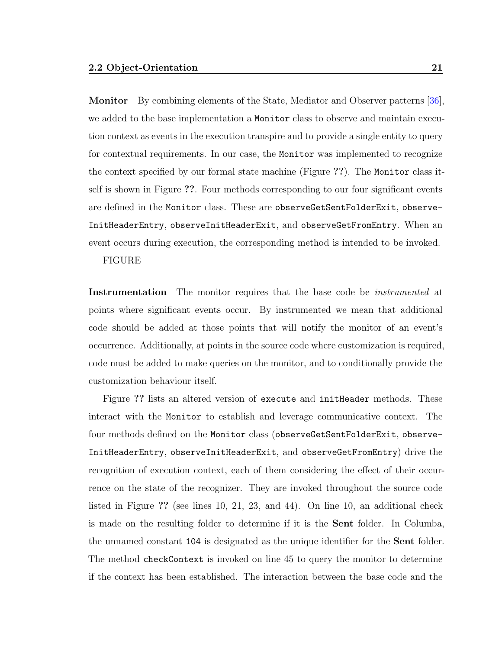Monitor By combining elements of the State, Mediator and Observer patterns [\[36\]](#page-154-3), we added to the base implementation a Monitor class to observe and maintain execution context as events in the execution transpire and to provide a single entity to query for contextual requirements. In our case, the Monitor was implemented to recognize the context specified by our formal state machine (Figure ??). The Monitor class itself is shown in Figure ??. Four methods corresponding to our four significant events are defined in the Monitor class. These are observeGetSentFolderExit, observe-InitHeaderEntry, observeInitHeaderExit, and observeGetFromEntry. When an event occurs during execution, the corresponding method is intended to be invoked.

#### FIGURE

Instrumentation The monitor requires that the base code be *instrumented* at points where significant events occur. By instrumented we mean that additional code should be added at those points that will notify the monitor of an event's occurrence. Additionally, at points in the source code where customization is required, code must be added to make queries on the monitor, and to conditionally provide the customization behaviour itself.

Figure ?? lists an altered version of execute and initHeader methods. These interact with the Monitor to establish and leverage communicative context. The four methods defined on the Monitor class (observeGetSentFolderExit, observe-InitHeaderEntry, observeInitHeaderExit, and observeGetFromEntry) drive the recognition of execution context, each of them considering the effect of their occurrence on the state of the recognizer. They are invoked throughout the source code listed in Figure ?? (see lines 10, 21, 23, and 44). On line 10, an additional check is made on the resulting folder to determine if it is the Sent folder. In Columba, the unnamed constant 104 is designated as the unique identifier for the Sent folder. The method checkContext is invoked on line 45 to query the monitor to determine if the context has been established. The interaction between the base code and the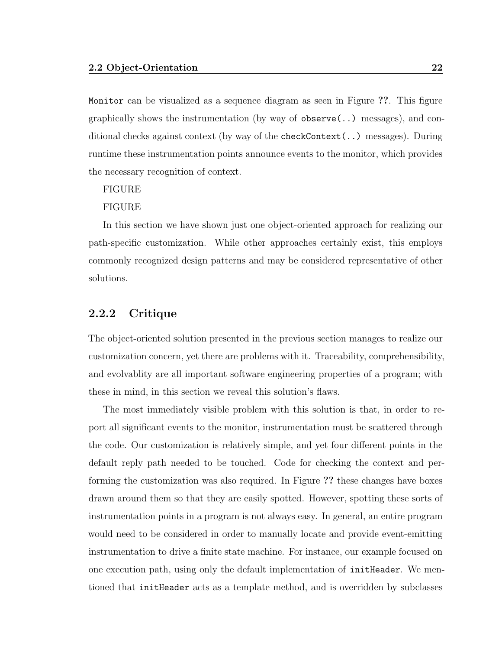Monitor can be visualized as a sequence diagram as seen in Figure ??. This figure graphically shows the instrumentation (by way of  $\alpha$ ) observe(..) messages), and conditional checks against context (by way of the checkContext(..) messages). During runtime these instrumentation points announce events to the monitor, which provides the necessary recognition of context.

#### FIGURE

#### FIGURE

In this section we have shown just one object-oriented approach for realizing our path-specific customization. While other approaches certainly exist, this employs commonly recognized design patterns and may be considered representative of other solutions.

#### <span id="page-33-0"></span>2.2.2 Critique

The object-oriented solution presented in the previous section manages to realize our customization concern, yet there are problems with it. Traceability, comprehensibility, and evolvablity are all important software engineering properties of a program; with these in mind, in this section we reveal this solution's flaws.

The most immediately visible problem with this solution is that, in order to report all significant events to the monitor, instrumentation must be scattered through the code. Our customization is relatively simple, and yet four different points in the default reply path needed to be touched. Code for checking the context and performing the customization was also required. In Figure ?? these changes have boxes drawn around them so that they are easily spotted. However, spotting these sorts of instrumentation points in a program is not always easy. In general, an entire program would need to be considered in order to manually locate and provide event-emitting instrumentation to drive a finite state machine. For instance, our example focused on one execution path, using only the default implementation of initHeader. We mentioned that initHeader acts as a template method, and is overridden by subclasses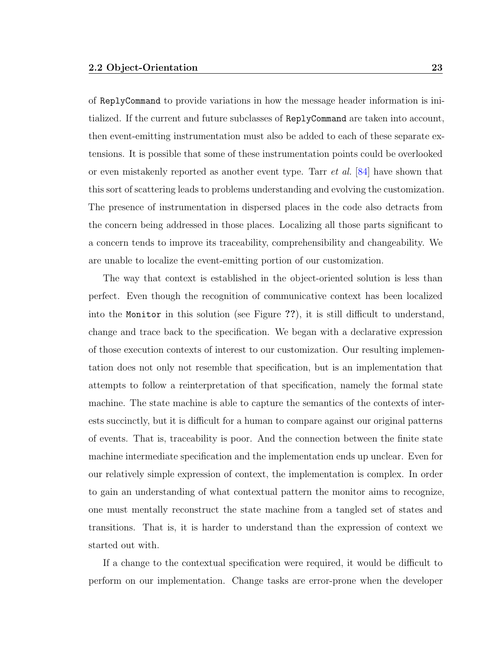of ReplyCommand to provide variations in how the message header information is initialized. If the current and future subclasses of ReplyCommand are taken into account, then event-emitting instrumentation must also be added to each of these separate extensions. It is possible that some of these instrumentation points could be overlooked or even mistakenly reported as another event type. Tarr et al. [\[84\]](#page-158-1) have shown that this sort of scattering leads to problems understanding and evolving the customization. The presence of instrumentation in dispersed places in the code also detracts from the concern being addressed in those places. Localizing all those parts significant to a concern tends to improve its traceability, comprehensibility and changeability. We are unable to localize the event-emitting portion of our customization.

The way that context is established in the object-oriented solution is less than perfect. Even though the recognition of communicative context has been localized into the Monitor in this solution (see Figure ??), it is still difficult to understand, change and trace back to the specification. We began with a declarative expression of those execution contexts of interest to our customization. Our resulting implementation does not only not resemble that specification, but is an implementation that attempts to follow a reinterpretation of that specification, namely the formal state machine. The state machine is able to capture the semantics of the contexts of interests succinctly, but it is difficult for a human to compare against our original patterns of events. That is, traceability is poor. And the connection between the finite state machine intermediate specification and the implementation ends up unclear. Even for our relatively simple expression of context, the implementation is complex. In order to gain an understanding of what contextual pattern the monitor aims to recognize, one must mentally reconstruct the state machine from a tangled set of states and transitions. That is, it is harder to understand than the expression of context we started out with.

If a change to the contextual specification were required, it would be difficult to perform on our implementation. Change tasks are error-prone when the developer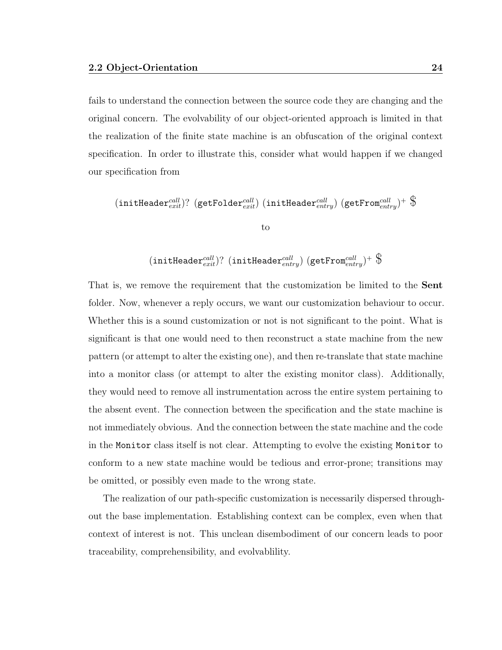fails to understand the connection between the source code they are changing and the original concern. The evolvability of our object-oriented approach is limited in that the realization of the finite state machine is an obfuscation of the original context specification. In order to illustrate this, consider what would happen if we changed our specification from

$$
(\texttt{initHeader}_{exit}^{call})?~(\texttt{getFolder}_{exit}^{call})~(\texttt{initHeader}_{entry}^{call})~(\texttt{getFrom}_{entry}^{call})^+~\text{\$} \\
$$

 $(\texttt{initHeader}^{call}_{exit}) ?$   $(\texttt{initHeader}^{call}_{entry})$   $(\texttt{getFrom}^{call}_{entry})^+$   $\$$ 

That is, we remove the requirement that the customization be limited to the Sent folder. Now, whenever a reply occurs, we want our customization behaviour to occur. Whether this is a sound customization or not is not significant to the point. What is significant is that one would need to then reconstruct a state machine from the new pattern (or attempt to alter the existing one), and then re-translate that state machine into a monitor class (or attempt to alter the existing monitor class). Additionally, they would need to remove all instrumentation across the entire system pertaining to the absent event. The connection between the specification and the state machine is not immediately obvious. And the connection between the state machine and the code in the Monitor class itself is not clear. Attempting to evolve the existing Monitor to conform to a new state machine would be tedious and error-prone; transitions may be omitted, or possibly even made to the wrong state.

The realization of our path-specific customization is necessarily dispersed throughout the base implementation. Establishing context can be complex, even when that context of interest is not. This unclean disembodiment of our concern leads to poor traceability, comprehensibility, and evolvablility.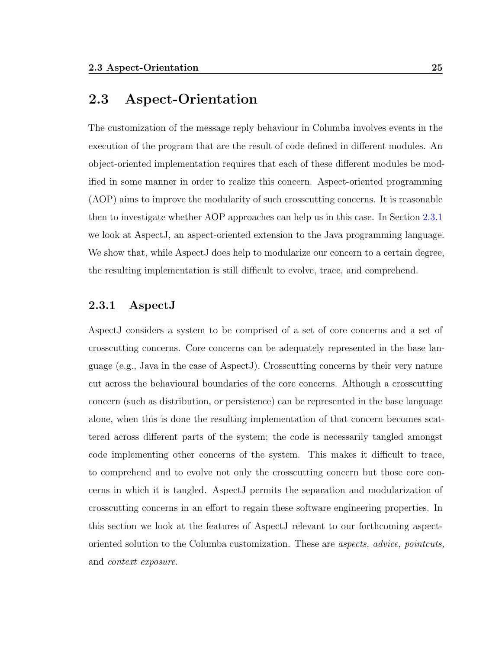## 2.3 Aspect-Orientation

The customization of the message reply behaviour in Columba involves events in the execution of the program that are the result of code defined in different modules. An object-oriented implementation requires that each of these different modules be modified in some manner in order to realize this concern. Aspect-oriented programming (AOP) aims to improve the modularity of such crosscutting concerns. It is reasonable then to investigate whether AOP approaches can help us in this case. In Section [2.3.1](#page-36-0) we look at AspectJ, an aspect-oriented extension to the Java programming language. We show that, while AspectJ does help to modularize our concern to a certain degree, the resulting implementation is still difficult to evolve, trace, and comprehend.

#### <span id="page-36-0"></span>2.3.1 AspectJ

AspectJ considers a system to be comprised of a set of core concerns and a set of crosscutting concerns. Core concerns can be adequately represented in the base language (e.g., Java in the case of AspectJ). Crosscutting concerns by their very nature cut across the behavioural boundaries of the core concerns. Although a crosscutting concern (such as distribution, or persistence) can be represented in the base language alone, when this is done the resulting implementation of that concern becomes scattered across different parts of the system; the code is necessarily tangled amongst code implementing other concerns of the system. This makes it difficult to trace, to comprehend and to evolve not only the crosscutting concern but those core concerns in which it is tangled. AspectJ permits the separation and modularization of crosscutting concerns in an effort to regain these software engineering properties. In this section we look at the features of AspectJ relevant to our forthcoming aspectoriented solution to the Columba customization. These are aspects, advice, pointcuts, and context exposure.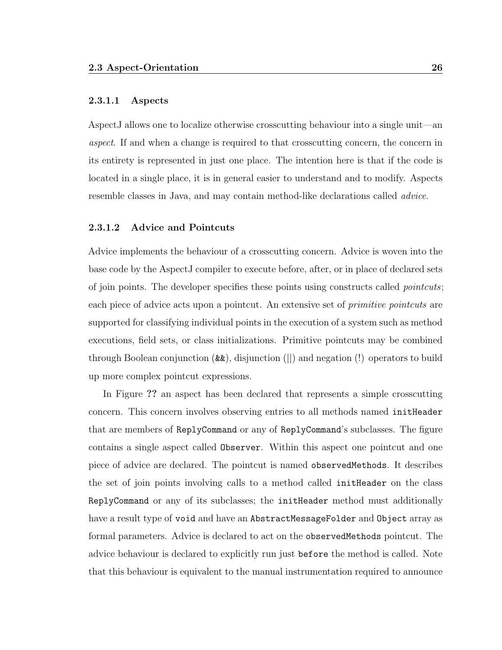#### 2.3.1.1 Aspects

AspectJ allows one to localize otherwise crosscutting behaviour into a single unit—an aspect. If and when a change is required to that crosscutting concern, the concern in its entirety is represented in just one place. The intention here is that if the code is located in a single place, it is in general easier to understand and to modify. Aspects resemble classes in Java, and may contain method-like declarations called advice.

#### 2.3.1.2 Advice and Pointcuts

Advice implements the behaviour of a crosscutting concern. Advice is woven into the base code by the AspectJ compiler to execute before, after, or in place of declared sets of join points. The developer specifies these points using constructs called *pointcuts*; each piece of advice acts upon a pointcut. An extensive set of *primitive pointcuts* are supported for classifying individual points in the execution of a system such as method executions, field sets, or class initializations. Primitive pointcuts may be combined through Boolean conjunction (&&), disjunction (||) and negation (!) operators to build up more complex pointcut expressions.

In Figure ?? an aspect has been declared that represents a simple crosscutting concern. This concern involves observing entries to all methods named initHeader that are members of ReplyCommand or any of ReplyCommand's subclasses. The figure contains a single aspect called Observer. Within this aspect one pointcut and one piece of advice are declared. The pointcut is named observedMethods. It describes the set of join points involving calls to a method called initHeader on the class ReplyCommand or any of its subclasses; the initHeader method must additionally have a result type of void and have an AbstractMessageFolder and Object array as formal parameters. Advice is declared to act on the observedMethods pointcut. The advice behaviour is declared to explicitly run just before the method is called. Note that this behaviour is equivalent to the manual instrumentation required to announce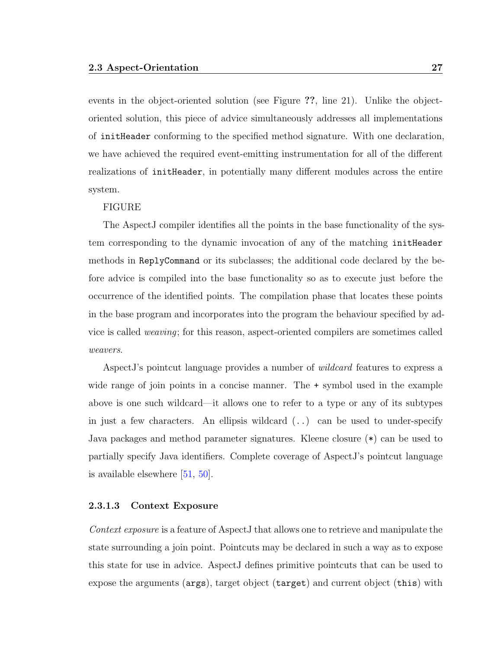events in the object-oriented solution (see Figure ??, line 21). Unlike the objectoriented solution, this piece of advice simultaneously addresses all implementations of initHeader conforming to the specified method signature. With one declaration, we have achieved the required event-emitting instrumentation for all of the different realizations of initHeader, in potentially many different modules across the entire system.

#### FIGURE

The AspectJ compiler identifies all the points in the base functionality of the system corresponding to the dynamic invocation of any of the matching initHeader methods in ReplyCommand or its subclasses; the additional code declared by the before advice is compiled into the base functionality so as to execute just before the occurrence of the identified points. The compilation phase that locates these points in the base program and incorporates into the program the behaviour specified by advice is called weaving; for this reason, aspect-oriented compilers are sometimes called weavers.

AspectJ's pointcut language provides a number of *wildcard* features to express a wide range of join points in a concise manner. The + symbol used in the example above is one such wildcard—it allows one to refer to a type or any of its subtypes in just a few characters. An ellipsis wildcard  $(.)$  can be used to under-specify Java packages and method parameter signatures. Kleene closure (\*) can be used to partially specify Java identifiers. Complete coverage of AspectJ's pointcut language is available elsewhere [\[51,](#page-155-0) [50\]](#page-155-1).

#### <span id="page-38-0"></span>2.3.1.3 Context Exposure

Context exposure is a feature of AspectJ that allows one to retrieve and manipulate the state surrounding a join point. Pointcuts may be declared in such a way as to expose this state for use in advice. AspectJ defines primitive pointcuts that can be used to expose the arguments (args), target object (target) and current object (this) with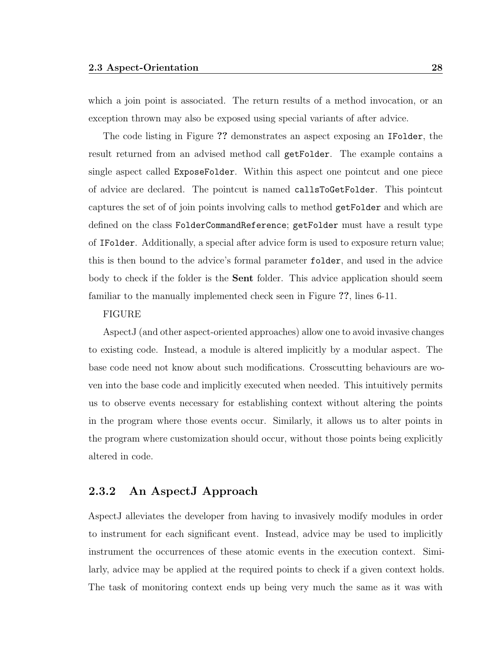which a join point is associated. The return results of a method invocation, or an exception thrown may also be exposed using special variants of after advice.

The code listing in Figure ?? demonstrates an aspect exposing an IFolder, the result returned from an advised method call getFolder. The example contains a single aspect called ExposeFolder. Within this aspect one pointcut and one piece of advice are declared. The pointcut is named callsToGetFolder. This pointcut captures the set of of join points involving calls to method getFolder and which are defined on the class FolderCommandReference; getFolder must have a result type of IFolder. Additionally, a special after advice form is used to exposure return value; this is then bound to the advice's formal parameter folder, and used in the advice body to check if the folder is the **Sent** folder. This advice application should seem familiar to the manually implemented check seen in Figure ??, lines 6-11.

#### FIGURE

AspectJ (and other aspect-oriented approaches) allow one to avoid invasive changes to existing code. Instead, a module is altered implicitly by a modular aspect. The base code need not know about such modifications. Crosscutting behaviours are woven into the base code and implicitly executed when needed. This intuitively permits us to observe events necessary for establishing context without altering the points in the program where those events occur. Similarly, it allows us to alter points in the program where customization should occur, without those points being explicitly altered in code.

#### 2.3.2 An AspectJ Approach

AspectJ alleviates the developer from having to invasively modify modules in order to instrument for each significant event. Instead, advice may be used to implicitly instrument the occurrences of these atomic events in the execution context. Similarly, advice may be applied at the required points to check if a given context holds. The task of monitoring context ends up being very much the same as it was with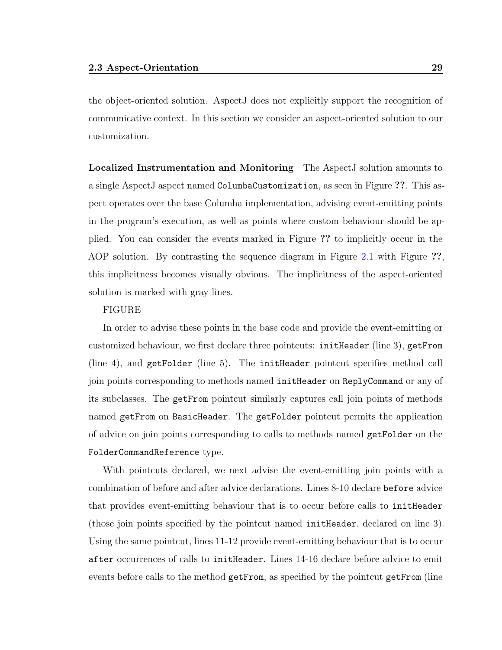the object-oriented solution. AspectJ does not explicitly support the recognition of communicative context. In this section we consider an aspect-oriented solution to our customization.

Localized Instrumentation and Monitoring The AspectJ solution amounts to a single AspectJ aspect named ColumbaCustomization, as seen in Figure ??. This aspect operates over the base Columba implementation, advising event-emitting points in the program's execution, as well as points where custom behaviour should be applied. You can consider the events marked in Figure ?? to implicitly occur in the AOP solution. By contrasting the sequence diagram in Figure [2.1](#page-42-0) with Figure ??, this implicitness becomes visually obvious. The implicitness of the aspect-oriented solution is marked with gray lines.

#### FIGURE

In order to advise these points in the base code and provide the event-emitting or customized behaviour, we first declare three pointcuts: initHeader (line 3), getFrom (line 4), and getFolder (line 5). The initHeader pointcut specifies method call join points corresponding to methods named initHeader on ReplyCommand or any of its subclasses. The getFrom pointcut similarly captures call join points of methods named getFrom on BasicHeader. The getFolder pointcut permits the application of advice on join points corresponding to calls to methods named getFolder on the FolderCommandReference type.

With pointcuts declared, we next advise the event-emitting join points with a combination of before and after advice declarations. Lines 8-10 declare before advice that provides event-emitting behaviour that is to occur before calls to initHeader (those join points specified by the pointcut named initHeader, declared on line 3). Using the same pointcut, lines 11-12 provide event-emitting behaviour that is to occur after occurrences of calls to initHeader. Lines 14-16 declare before advice to emit events before calls to the method getFrom, as specified by the pointcut getFrom (line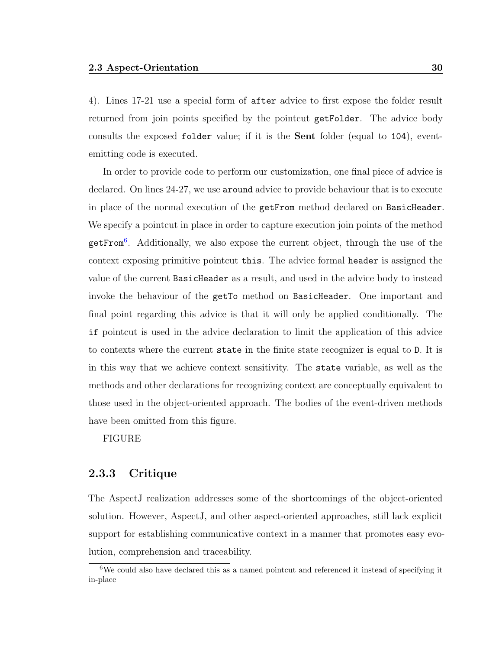4). Lines 17-21 use a special form of after advice to first expose the folder result returned from join points specified by the pointcut getFolder. The advice body consults the exposed folder value; if it is the Sent folder (equal to 104), eventemitting code is executed.

In order to provide code to perform our customization, one final piece of advice is declared. On lines 24-27, we use around advice to provide behaviour that is to execute in place of the normal execution of the getFrom method declared on BasicHeader. We specify a pointcut in place in order to capture execution join points of the method getFrom[6](#page-41-0) . Additionally, we also expose the current object, through the use of the context exposing primitive pointcut this. The advice formal header is assigned the value of the current BasicHeader as a result, and used in the advice body to instead invoke the behaviour of the getTo method on BasicHeader. One important and final point regarding this advice is that it will only be applied conditionally. The if pointcut is used in the advice declaration to limit the application of this advice to contexts where the current state in the finite state recognizer is equal to D. It is in this way that we achieve context sensitivity. The state variable, as well as the methods and other declarations for recognizing context are conceptually equivalent to those used in the object-oriented approach. The bodies of the event-driven methods have been omitted from this figure.

FIGURE

#### 2.3.3 Critique

The AspectJ realization addresses some of the shortcomings of the object-oriented solution. However, AspectJ, and other aspect-oriented approaches, still lack explicit support for establishing communicative context in a manner that promotes easy evolution, comprehension and traceability.

<span id="page-41-0"></span><sup>6</sup>We could also have declared this as a named pointcut and referenced it instead of specifying it in-place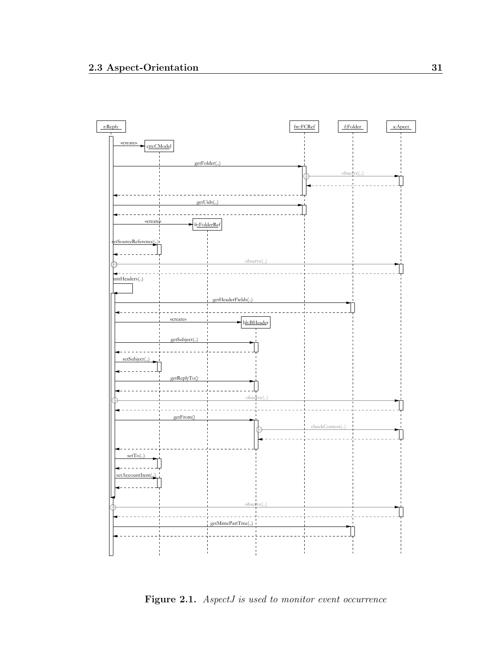

<span id="page-42-0"></span>Figure 2.1. AspectJ is used to monitor event occurrence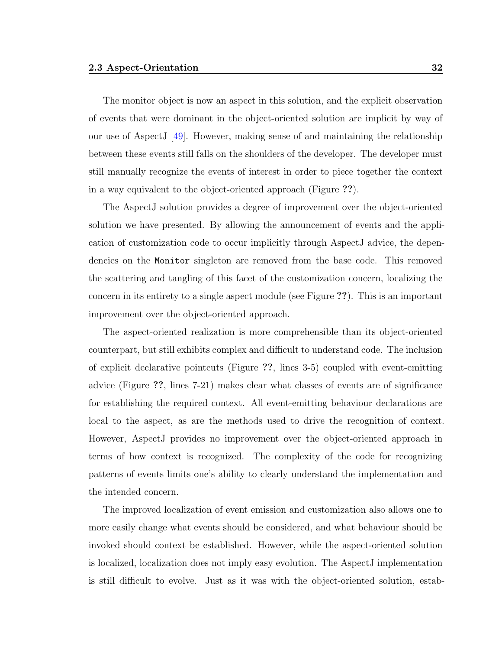The monitor object is now an aspect in this solution, and the explicit observation of events that were dominant in the object-oriented solution are implicit by way of our use of AspectJ [\[49\]](#page-155-2). However, making sense of and maintaining the relationship between these events still falls on the shoulders of the developer. The developer must still manually recognize the events of interest in order to piece together the context in a way equivalent to the object-oriented approach (Figure ??).

The AspectJ solution provides a degree of improvement over the object-oriented solution we have presented. By allowing the announcement of events and the application of customization code to occur implicitly through AspectJ advice, the dependencies on the Monitor singleton are removed from the base code. This removed the scattering and tangling of this facet of the customization concern, localizing the concern in its entirety to a single aspect module (see Figure ??). This is an important improvement over the object-oriented approach.

The aspect-oriented realization is more comprehensible than its object-oriented counterpart, but still exhibits complex and difficult to understand code. The inclusion of explicit declarative pointcuts (Figure ??, lines 3-5) coupled with event-emitting advice (Figure ??, lines 7-21) makes clear what classes of events are of significance for establishing the required context. All event-emitting behaviour declarations are local to the aspect, as are the methods used to drive the recognition of context. However, AspectJ provides no improvement over the object-oriented approach in terms of how context is recognized. The complexity of the code for recognizing patterns of events limits one's ability to clearly understand the implementation and the intended concern.

The improved localization of event emission and customization also allows one to more easily change what events should be considered, and what behaviour should be invoked should context be established. However, while the aspect-oriented solution is localized, localization does not imply easy evolution. The AspectJ implementation is still difficult to evolve. Just as it was with the object-oriented solution, estab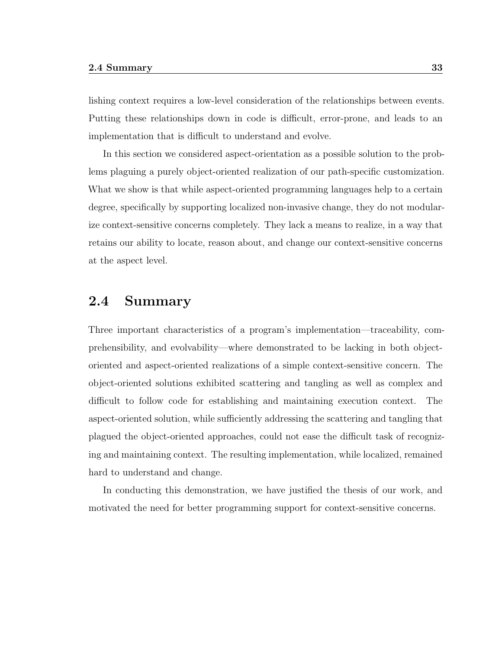lishing context requires a low-level consideration of the relationships between events. Putting these relationships down in code is difficult, error-prone, and leads to an implementation that is difficult to understand and evolve.

In this section we considered aspect-orientation as a possible solution to the problems plaguing a purely object-oriented realization of our path-specific customization. What we show is that while aspect-oriented programming languages help to a certain degree, specifically by supporting localized non-invasive change, they do not modularize context-sensitive concerns completely. They lack a means to realize, in a way that retains our ability to locate, reason about, and change our context-sensitive concerns at the aspect level.

## 2.4 Summary

Three important characteristics of a program's implementation—traceability, comprehensibility, and evolvability—where demonstrated to be lacking in both objectoriented and aspect-oriented realizations of a simple context-sensitive concern. The object-oriented solutions exhibited scattering and tangling as well as complex and difficult to follow code for establishing and maintaining execution context. The aspect-oriented solution, while sufficiently addressing the scattering and tangling that plagued the object-oriented approaches, could not ease the difficult task of recognizing and maintaining context. The resulting implementation, while localized, remained hard to understand and change.

In conducting this demonstration, we have justified the thesis of our work, and motivated the need for better programming support for context-sensitive concerns.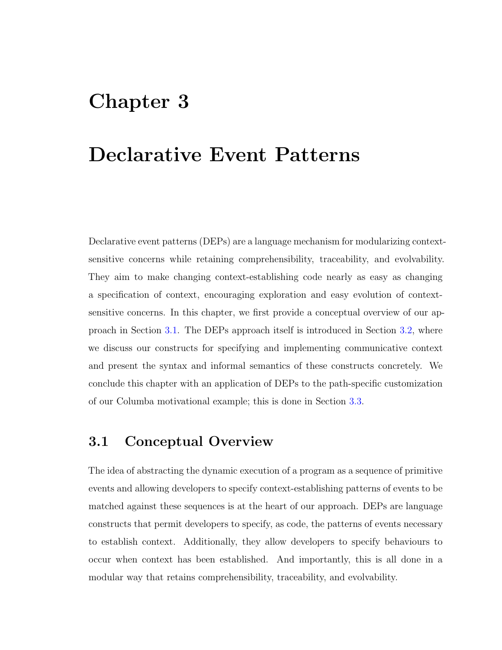# <span id="page-45-1"></span>Chapter 3

# Declarative Event Patterns

Declarative event patterns (DEPs) are a language mechanism for modularizing contextsensitive concerns while retaining comprehensibility, traceability, and evolvability. They aim to make changing context-establishing code nearly as easy as changing a specification of context, encouraging exploration and easy evolution of contextsensitive concerns. In this chapter, we first provide a conceptual overview of our approach in Section [3.1.](#page-45-0) The DEPs approach itself is introduced in Section [3.2,](#page-47-0) where we discuss our constructs for specifying and implementing communicative context and present the syntax and informal semantics of these constructs concretely. We conclude this chapter with an application of DEPs to the path-specific customization of our Columba motivational example; this is done in Section [3.3.](#page-60-0)

## <span id="page-45-0"></span>3.1 Conceptual Overview

The idea of abstracting the dynamic execution of a program as a sequence of primitive events and allowing developers to specify context-establishing patterns of events to be matched against these sequences is at the heart of our approach. DEPs are language constructs that permit developers to specify, as code, the patterns of events necessary to establish context. Additionally, they allow developers to specify behaviours to occur when context has been established. And importantly, this is all done in a modular way that retains comprehensibility, traceability, and evolvability.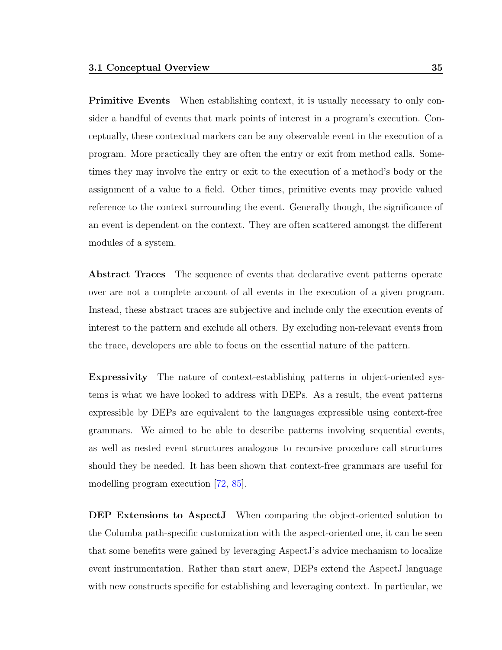**Primitive Events** When establishing context, it is usually necessary to only consider a handful of events that mark points of interest in a program's execution. Conceptually, these contextual markers can be any observable event in the execution of a program. More practically they are often the entry or exit from method calls. Sometimes they may involve the entry or exit to the execution of a method's body or the assignment of a value to a field. Other times, primitive events may provide valued reference to the context surrounding the event. Generally though, the significance of an event is dependent on the context. They are often scattered amongst the different modules of a system.

Abstract Traces The sequence of events that declarative event patterns operate over are not a complete account of all events in the execution of a given program. Instead, these abstract traces are subjective and include only the execution events of interest to the pattern and exclude all others. By excluding non-relevant events from the trace, developers are able to focus on the essential nature of the pattern.

Expressivity The nature of context-establishing patterns in object-oriented systems is what we have looked to address with DEPs. As a result, the event patterns expressible by DEPs are equivalent to the languages expressible using context-free grammars. We aimed to be able to describe patterns involving sequential events, as well as nested event structures analogous to recursive procedure call structures should they be needed. It has been shown that context-free grammars are useful for modelling program execution [\[72,](#page-157-0) [85\]](#page-158-0).

DEP Extensions to AspectJ When comparing the object-oriented solution to the Columba path-specific customization with the aspect-oriented one, it can be seen that some benefits were gained by leveraging AspectJ's advice mechanism to localize event instrumentation. Rather than start anew, DEPs extend the AspectJ language with new constructs specific for establishing and leveraging context. In particular, we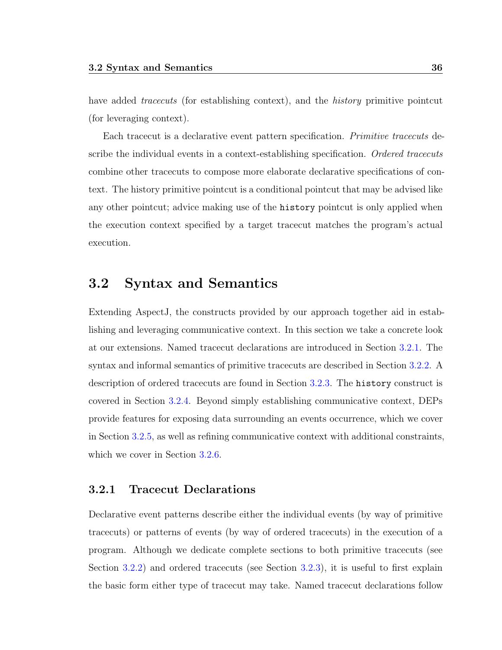have added *tracecuts* (for establishing context), and the *history* primitive pointcut (for leveraging context).

Each tracecut is a declarative event pattern specification. Primitive tracecuts describe the individual events in a context-establishing specification. Ordered tracecuts combine other tracecuts to compose more elaborate declarative specifications of context. The history primitive pointcut is a conditional pointcut that may be advised like any other pointcut; advice making use of the history pointcut is only applied when the execution context specified by a target tracecut matches the program's actual execution.

## <span id="page-47-0"></span>3.2 Syntax and Semantics

Extending AspectJ, the constructs provided by our approach together aid in establishing and leveraging communicative context. In this section we take a concrete look at our extensions. Named tracecut declarations are introduced in Section [3.2.1.](#page-47-1) The syntax and informal semantics of primitive tracecuts are described in Section [3.2.2.](#page-48-0) A description of ordered tracecuts are found in Section [3.2.3.](#page-50-0) The history construct is covered in Section [3.2.4.](#page-53-0) Beyond simply establishing communicative context, DEPs provide features for exposing data surrounding an events occurrence, which we cover in Section [3.2.5,](#page-54-0) as well as refining communicative context with additional constraints, which we cover in Section [3.2.6.](#page-55-0)

#### <span id="page-47-1"></span>3.2.1 Tracecut Declarations

Declarative event patterns describe either the individual events (by way of primitive tracecuts) or patterns of events (by way of ordered tracecuts) in the execution of a program. Although we dedicate complete sections to both primitive tracecuts (see Section [3.2.2\)](#page-48-0) and ordered tracecuts (see Section [3.2.3\)](#page-50-0), it is useful to first explain the basic form either type of tracecut may take. Named tracecut declarations follow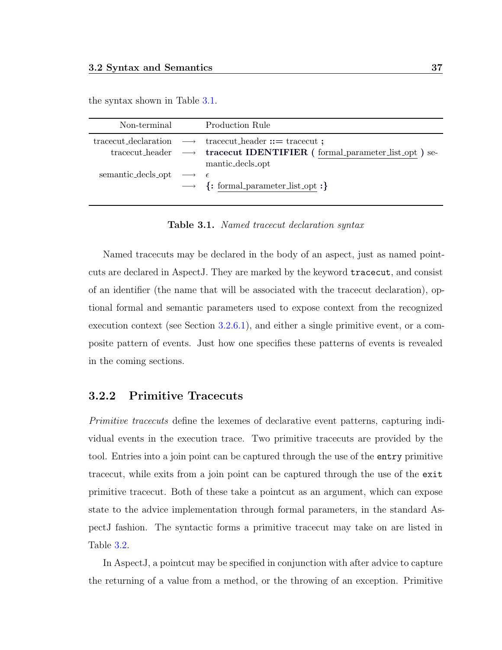the syntax shown in Table [3.1.](#page-48-1)

| Non-terminal                                    | <b>Production Rule</b>                                                                                                                                                                    |
|-------------------------------------------------|-------------------------------------------------------------------------------------------------------------------------------------------------------------------------------------------|
|                                                 | tracecut_declaration $\longrightarrow$ tracecut_header ::= tracecut ;<br>tracecut_header $\longrightarrow$ <b>tracecut IDENTIFIER</b> (formal_parameter_list_opt) se-<br>mantic_decls_opt |
| semantic_decls_opt $\longrightarrow$ $\epsilon$ | $\rightarrow \{:\text{formal-parameter\_list\_opt}:\}$                                                                                                                                    |

<span id="page-48-1"></span>Table 3.1. Named tracecut declaration syntax

Named tracecuts may be declared in the body of an aspect, just as named pointcuts are declared in AspectJ. They are marked by the keyword tracecut, and consist of an identifier (the name that will be associated with the tracecut declaration), optional formal and semantic parameters used to expose context from the recognized execution context (see Section [3.2.6.1\)](#page-56-0), and either a single primitive event, or a composite pattern of events. Just how one specifies these patterns of events is revealed in the coming sections.

#### <span id="page-48-0"></span>3.2.2 Primitive Tracecuts

Primitive tracecuts define the lexemes of declarative event patterns, capturing individual events in the execution trace. Two primitive tracecuts are provided by the tool. Entries into a join point can be captured through the use of the entry primitive tracecut, while exits from a join point can be captured through the use of the exit primitive tracecut. Both of these take a pointcut as an argument, which can expose state to the advice implementation through formal parameters, in the standard AspectJ fashion. The syntactic forms a primitive tracecut may take on are listed in Table [3.2.](#page-49-0)

In AspectJ, a pointcut may be specified in conjunction with after advice to capture the returning of a value from a method, or the throwing of an exception. Primitive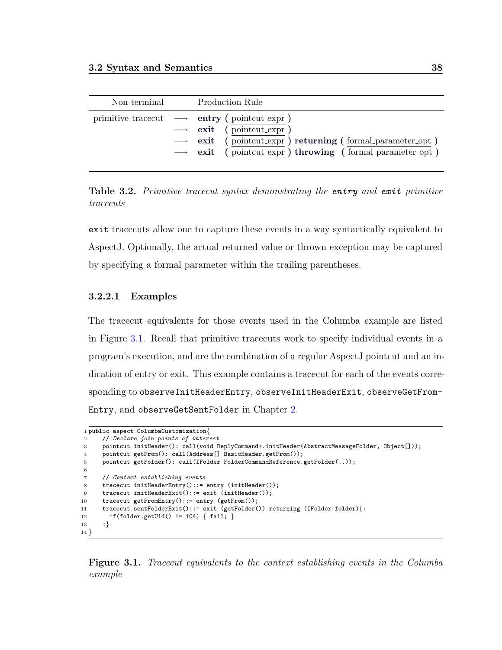| Non-terminal | <b>Production Rule</b>                                                                                                                                                                                                                                |
|--------------|-------------------------------------------------------------------------------------------------------------------------------------------------------------------------------------------------------------------------------------------------------|
|              | primitive_tracecut $\longrightarrow$ entry (pointcut_expr)<br>$\longrightarrow$ exit (pointcut_expr)<br>$\longrightarrow$ exit (pointcut_expr) returning (formal_parameter_opt)<br>$\rightarrow$ exit (pointcut_expr) throwing (formal_parameter_opt) |

<span id="page-49-0"></span>Table 3.2. Primitive tracecut syntax demonstrating the entry and exit primitive tracecuts

exit tracecuts allow one to capture these events in a way syntactically equivalent to AspectJ. Optionally, the actual returned value or thrown exception may be captured by specifying a formal parameter within the trailing parentheses.

#### 3.2.2.1 Examples

The tracecut equivalents for those events used in the Columba example are listed in Figure [3.1.](#page-49-1) Recall that primitive tracecuts work to specify individual events in a program's execution, and are the combination of a regular AspectJ pointcut and an indication of entry or exit. This example contains a tracecut for each of the events corresponding to observeInitHeaderEntry, observeInitHeaderExit, observeGetFrom-Entry, and observeGetSentFolder in Chapter [2.](#page-25-0)

```
1 public aspect ColumbaCustomization{
 2 // Declare join points of interest
3 pointcut initHeader(): call(void ReplyCommand+.initHeader(AbstractMessageFolder, Object[]));
 4 pointcut getFrom(): call(Address[] BasicHeader.getFrom());
5 pointcut getFolder(): call(IFolder FolderCommandReference.getFolder(..));
 6
7 // Context establishing events
8 tracecut initHeaderEntry()::= entry (initHeader());
9 tracecut initHeaderExit()::= exit (initHeader());
10 tracecut getFromEntry()::= entry (getFrom());
11 tracecut sentFolderExit()::= exit (getFolder()) returning (IFolder folder){:
12 if(folder.getUid() != 104) { fail; }
13 :}
14 }
```
<span id="page-49-1"></span>Figure 3.1. Tracecut equivalents to the context establishing events in the Columba example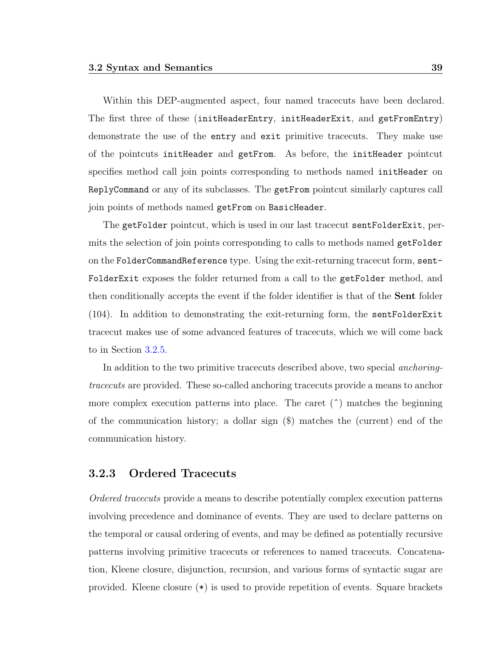Within this DEP-augmented aspect, four named tracecuts have been declared. The first three of these (initHeaderEntry, initHeaderExit, and getFromEntry) demonstrate the use of the entry and exit primitive tracecuts. They make use of the pointcuts initHeader and getFrom. As before, the initHeader pointcut specifies method call join points corresponding to methods named initHeader on ReplyCommand or any of its subclasses. The getFrom pointcut similarly captures call join points of methods named getFrom on BasicHeader.

The getFolder pointcut, which is used in our last tracecut sentFolderExit, permits the selection of join points corresponding to calls to methods named getFolder on the FolderCommandReference type. Using the exit-returning tracecut form, sent-FolderExit exposes the folder returned from a call to the getFolder method, and then conditionally accepts the event if the folder identifier is that of the Sent folder (104). In addition to demonstrating the exit-returning form, the sentFolderExit tracecut makes use of some advanced features of tracecuts, which we will come back to in Section [3.2.5.](#page-54-0)

In addition to the two primitive tracecuts described above, two special anchoringtracecuts are provided. These so-called anchoring tracecuts provide a means to anchor more complex execution patterns into place. The caret  $(^{\text{A}})$  matches the beginning of the communication history; a dollar sign (\$) matches the (current) end of the communication history.

#### <span id="page-50-0"></span>3.2.3 Ordered Tracecuts

Ordered tracecuts provide a means to describe potentially complex execution patterns involving precedence and dominance of events. They are used to declare patterns on the temporal or causal ordering of events, and may be defined as potentially recursive patterns involving primitive tracecuts or references to named tracecuts. Concatenation, Kleene closure, disjunction, recursion, and various forms of syntactic sugar are provided. Kleene closure (\*) is used to provide repetition of events. Square brackets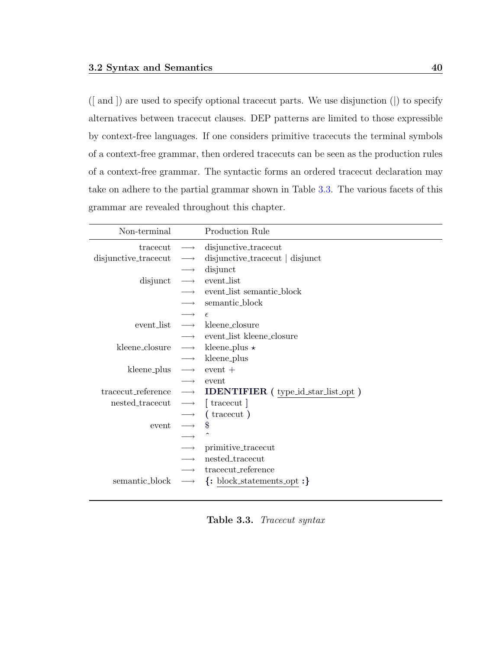([ and ]) are used to specify optional tracecut parts. We use disjunction (|) to specify alternatives between tracecut clauses. DEP patterns are limited to those expressible by context-free languages. If one considers primitive tracecuts the terminal symbols of a context-free grammar, then ordered tracecuts can be seen as the production rules of a context-free grammar. The syntactic forms an ordered tracecut declaration may take on adhere to the partial grammar shown in Table [3.3.](#page-51-0) The various facets of this grammar are revealed throughout this chapter.

| Non-terminal         |                      | Production Rule                                                                |
|----------------------|----------------------|--------------------------------------------------------------------------------|
| tracecut             | $\longrightarrow$    | disjunctive_tracecut                                                           |
| disjunctive_tracecut | $\longrightarrow$    | disjunctive_tracecut   disjunct                                                |
|                      |                      | disjunct                                                                       |
| disjunct             | $\longrightarrow$    | event_list                                                                     |
|                      |                      | event_list semantic_block                                                      |
|                      |                      | semantic_block                                                                 |
|                      |                      | $\epsilon$                                                                     |
| event_list           |                      | $\longrightarrow$ kleene_closure                                               |
|                      |                      | $\longrightarrow$ event_list kleene_closure                                    |
| kleene_closure       |                      | $\longrightarrow$ kleene_plus $\star$                                          |
|                      | $\longrightarrow$    | kleene_plus                                                                    |
| kleene_plus          | $\longrightarrow$    | $\mathrm{event}$ +                                                             |
|                      | $\longrightarrow$    | event                                                                          |
|                      |                      | tracecut_reference $\longrightarrow$ <b>IDENTIFIER</b> (type_id_star_list_opt) |
| nested_tracecut      | $\longrightarrow$    | [tracecut]                                                                     |
|                      | $\longrightarrow$    | (tracecut)                                                                     |
| event                | $\longrightarrow$ \$ |                                                                                |
|                      |                      |                                                                                |
|                      |                      | primitive_tracecut                                                             |
|                      |                      | nested_tracecut                                                                |
|                      |                      | tracecut_reference                                                             |
| semantic_block       | $\longrightarrow$    | $\{\colon \text{block\_statements\_opt} : \}$                                  |

<span id="page-51-0"></span>Table 3.3. Tracecut syntax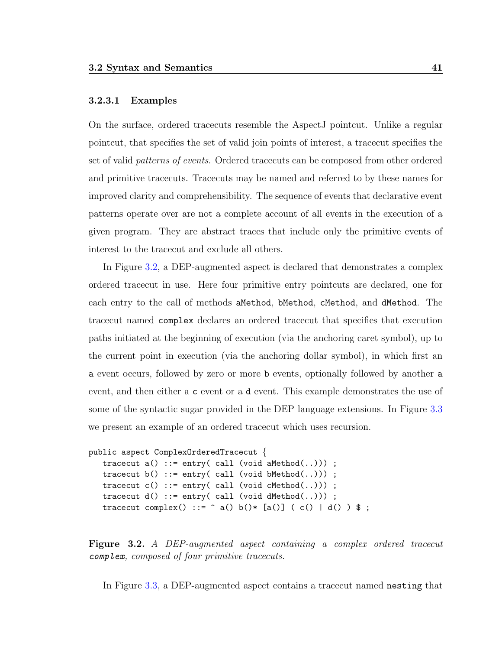#### 3.2.3.1 Examples

On the surface, ordered tracecuts resemble the AspectJ pointcut. Unlike a regular pointcut, that specifies the set of valid join points of interest, a tracecut specifies the set of valid patterns of events. Ordered tracecuts can be composed from other ordered and primitive tracecuts. Tracecuts may be named and referred to by these names for improved clarity and comprehensibility. The sequence of events that declarative event patterns operate over are not a complete account of all events in the execution of a given program. They are abstract traces that include only the primitive events of interest to the tracecut and exclude all others.

In Figure [3.2,](#page-52-0) a DEP-augmented aspect is declared that demonstrates a complex ordered tracecut in use. Here four primitive entry pointcuts are declared, one for each entry to the call of methods aMethod, bMethod, cMethod, and dMethod. The tracecut named complex declares an ordered tracecut that specifies that execution paths initiated at the beginning of execution (via the anchoring caret symbol), up to the current point in execution (via the anchoring dollar symbol), in which first an a event occurs, followed by zero or more b events, optionally followed by another a event, and then either a c event or a d event. This example demonstrates the use of some of the syntactic sugar provided in the DEP language extensions. In Figure [3.3](#page-53-1) we present an example of an ordered tracecut which uses recursion.

```
public aspect ComplexOrderedTracecut {
   tracecut a() ::= entry(call (void adMethod(.)));
   tracecut b() ::= entry(call (void bMethod(.)));
   tracecut c() ::= entry(call (void cMethod(.)));
   tracecut d() ::= entry(call (void <math>dMethod(.)))</math> ;tracecut complex() ::= \hat{a} a() b()* [a()] ( c() | d() ) $ ;
```
<span id="page-52-0"></span>Figure 3.2. A DEP-augmented aspect containing a complex ordered tracecut complex, composed of four primitive tracecuts.

In Figure [3.3,](#page-53-1) a DEP-augmented aspect contains a tracecut named nesting that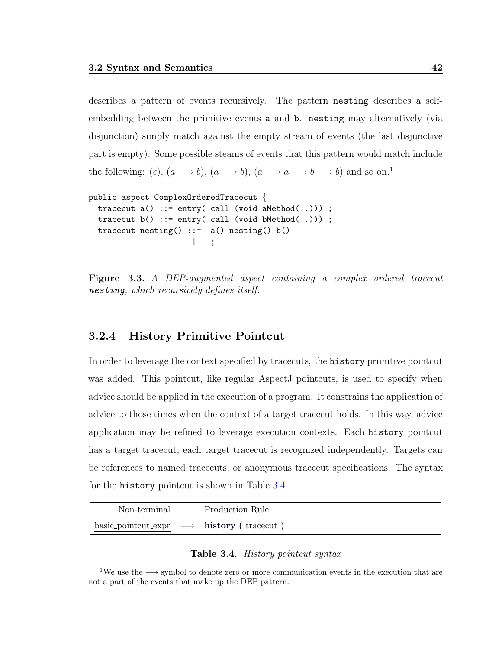describes a pattern of events recursively. The pattern nesting describes a selfembedding between the primitive events a and b. nesting may alternatively (via disjunction) simply match against the empty stream of events (the last disjunctive part is empty). Some possible steams of events that this pattern would match include the following:  $(\epsilon)$ ,  $(a \rightarrow b)$ ,  $(a \rightarrow b)$ ,  $(a \rightarrow a \rightarrow b \rightarrow b)$  and so on.<sup>[1](#page-53-2)</sup>

```
public aspect ComplexOrderedTracecut {
 tracecut a() ::= entry(call (void aMethod(.)));
 tracecut b() ::= entry(call (void bMethod(.)));
 tracecut nesting() ::= a() nesting() b()| ;
```
<span id="page-53-1"></span>Figure 3.3. A DEP-augmented aspect containing a complex ordered tracecut nesting, which recursively defines itself.

#### <span id="page-53-0"></span>3.2.4 History Primitive Pointcut

In order to leverage the context specified by tracecuts, the history primitive pointcut was added. This pointcut, like regular AspectJ pointcuts, is used to specify when advice should be applied in the execution of a program. It constrains the application of advice to those times when the context of a target tracecut holds. In this way, advice application may be refined to leverage execution contexts. Each history pointcut has a target tracecut; each target tracecut is recognized independently. Targets can be references to named tracecuts, or anonymous tracecut specifications. The syntax for the history pointcut is shown in Table [3.4.](#page-53-3)

| Non-terminal | Production Rule                                          |
|--------------|----------------------------------------------------------|
|              | basic_pointcut_expr $\longrightarrow$ history (tracecut) |

#### <span id="page-53-3"></span>Table 3.4. History pointcut syntax

<span id="page-53-2"></span><sup>&</sup>lt;sup>1</sup>We use the  $\longrightarrow$  symbol to denote zero or more communication events in the execution that are not a part of the events that make up the DEP pattern.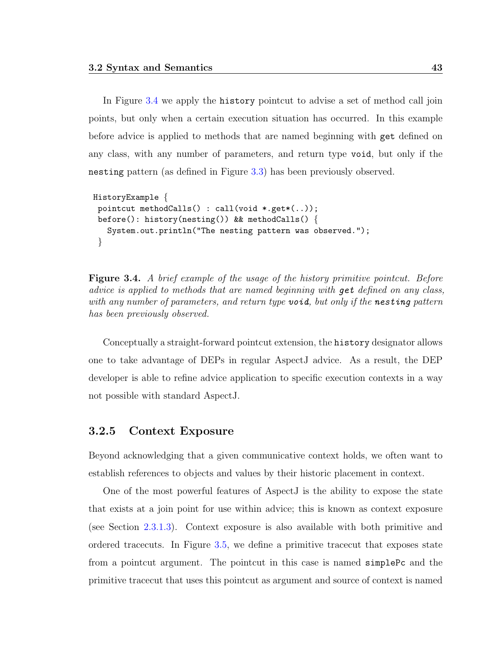In Figure [3.4](#page-54-1) we apply the history pointcut to advise a set of method call join points, but only when a certain execution situation has occurred. In this example before advice is applied to methods that are named beginning with get defined on any class, with any number of parameters, and return type void, but only if the nesting pattern (as defined in Figure [3.3\)](#page-53-1) has been previously observed.

```
HistoryExample {
 pointcut methodCalls() : call(void *.get*(..));
 before(): history(nesting()) && methodCalls() {
   System.out.println("The nesting pattern was observed.");
 }
```
<span id="page-54-1"></span>**Figure 3.4.** A brief example of the usage of the history primitive pointcut. Before advice is applied to methods that are named beginning with get defined on any class, with any number of parameters, and return type **void**, but only if the **nesting** pattern has been previously observed.

Conceptually a straight-forward pointcut extension, the history designator allows one to take advantage of DEPs in regular AspectJ advice. As a result, the DEP developer is able to refine advice application to specific execution contexts in a way not possible with standard AspectJ.

#### <span id="page-54-0"></span>3.2.5 Context Exposure

Beyond acknowledging that a given communicative context holds, we often want to establish references to objects and values by their historic placement in context.

One of the most powerful features of AspectJ is the ability to expose the state that exists at a join point for use within advice; this is known as context exposure (see Section [2.3.1.3\)](#page-38-0). Context exposure is also available with both primitive and ordered tracecuts. In Figure [3.5,](#page-55-1) we define a primitive tracecut that exposes state from a pointcut argument. The pointcut in this case is named simplePc and the primitive tracecut that uses this pointcut as argument and source of context is named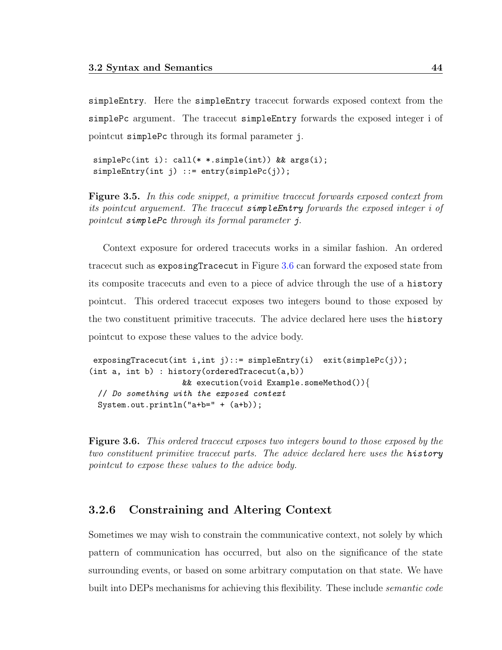simpleEntry. Here the simpleEntry tracecut forwards exposed context from the simplePc argument. The tracecut simpleEntry forwards the exposed integer i of pointcut simplePc through its formal parameter j.

simplePc(int i): call(\* \*.simple(int)) && args(i); simpleEntry(int j) ::= entry(simplePc(j));

<span id="page-55-1"></span>Figure 3.5. In this code snippet, a primitive tracecut forwards exposed context from its pointcut arguement. The tracecut simpleEntry forwards the exposed integer i of pointcut simplePc through its formal parameter j.

Context exposure for ordered tracecuts works in a similar fashion. An ordered tracecut such as exposingTracecut in Figure [3.6](#page-55-2) can forward the exposed state from its composite tracecuts and even to a piece of advice through the use of a history pointcut. This ordered tracecut exposes two integers bound to those exposed by the two constituent primitive tracecuts. The advice declared here uses the history pointcut to expose these values to the advice body.

```
exposingTracecut(int i,int j)::= simpleEntry(i) exit(simplePc(j));
(int a, int b) : history(orderedTracecut(a,b))
                    && execution(void Example.someMethod()){
 // Do something with the exposed context
 System.out.println("a+b=" + (a+b));
```
<span id="page-55-2"></span>**Figure 3.6.** This ordered tracecut exposes two integers bound to those exposed by the two constituent primitive tracecut parts. The advice declared here uses the history pointcut to expose these values to the advice body.

#### <span id="page-55-0"></span>3.2.6 Constraining and Altering Context

Sometimes we may wish to constrain the communicative context, not solely by which pattern of communication has occurred, but also on the significance of the state surrounding events, or based on some arbitrary computation on that state. We have built into DEPs mechanisms for achieving this flexibility. These include *semantic code*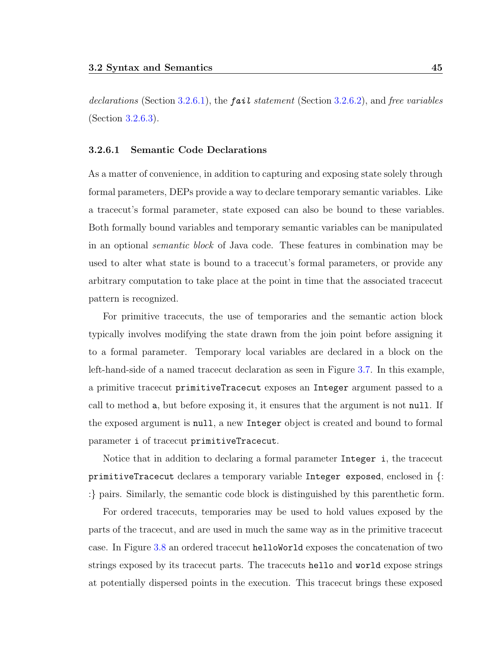declarations (Section [3.2.6.1\)](#page-56-0), the **fail** statement (Section [3.2.6.2\)](#page-57-0), and free variables (Section [3.2.6.3\)](#page-59-0).

#### <span id="page-56-0"></span>3.2.6.1 Semantic Code Declarations

As a matter of convenience, in addition to capturing and exposing state solely through formal parameters, DEPs provide a way to declare temporary semantic variables. Like a tracecut's formal parameter, state exposed can also be bound to these variables. Both formally bound variables and temporary semantic variables can be manipulated in an optional semantic block of Java code. These features in combination may be used to alter what state is bound to a tracecut's formal parameters, or provide any arbitrary computation to take place at the point in time that the associated tracecut pattern is recognized.

For primitive tracecuts, the use of temporaries and the semantic action block typically involves modifying the state drawn from the join point before assigning it to a formal parameter. Temporary local variables are declared in a block on the left-hand-side of a named tracecut declaration as seen in Figure [3.7.](#page-57-1) In this example, a primitive tracecut primitiveTracecut exposes an Integer argument passed to a call to method a, but before exposing it, it ensures that the argument is not null. If the exposed argument is null, a new Integer object is created and bound to formal parameter i of tracecut primitiveTracecut.

Notice that in addition to declaring a formal parameter Integer i, the tracecut primitiveTracecut declares a temporary variable Integer exposed, enclosed in {: :} pairs. Similarly, the semantic code block is distinguished by this parenthetic form.

For ordered tracecuts, temporaries may be used to hold values exposed by the parts of the tracecut, and are used in much the same way as in the primitive tracecut case. In Figure [3.8](#page-57-2) an ordered tracecut helloWorld exposes the concatenation of two strings exposed by its tracecut parts. The tracecuts hello and world expose strings at potentially dispersed points in the execution. This tracecut brings these exposed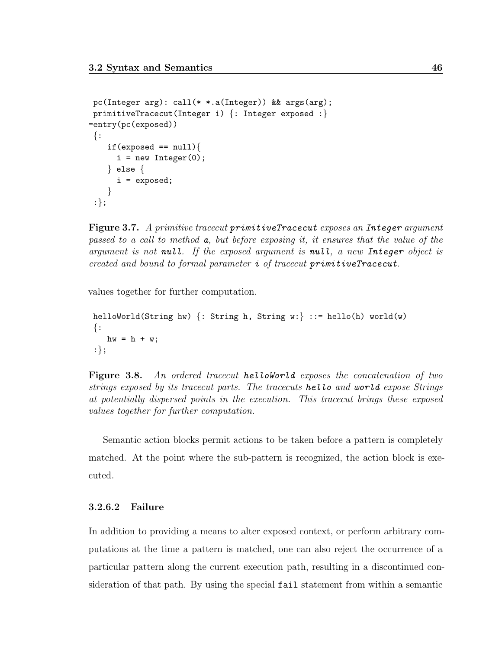```
pc(Integer arg): call(* *.a(Integer)) && args(arg);
primitiveTracecut(Integer i) {: Integer exposed :}
=entry(pc(exposed))
\{\colonif(exposed == null)i = new Integer(0);} else {
      i = exposed;
    }
 :};
```
<span id="page-57-1"></span>Figure 3.7. A primitive tracecut primitiveTracecut exposes an Integer argument passed to a call to method a, but before exposing it, it ensures that the value of the argument is not null. If the exposed argument is null, a new Integer object is created and bound to formal parameter  $i$  of tracecut primitiveTracecut.

values together for further computation.

```
helloWorld(String hw) \{: String h, String w:\} ::= hello(h) world(w)
\{\colonhw = h + w;:};
```
<span id="page-57-2"></span>Figure 3.8. An ordered tracecut helloworld exposes the concatenation of two strings exposed by its tracecut parts. The tracecuts hello and world expose Strings at potentially dispersed points in the execution. This tracecut brings these exposed values together for further computation.

Semantic action blocks permit actions to be taken before a pattern is completely matched. At the point where the sub-pattern is recognized, the action block is executed.

#### <span id="page-57-0"></span>3.2.6.2 Failure

In addition to providing a means to alter exposed context, or perform arbitrary computations at the time a pattern is matched, one can also reject the occurrence of a particular pattern along the current execution path, resulting in a discontinued consideration of that path. By using the special fail statement from within a semantic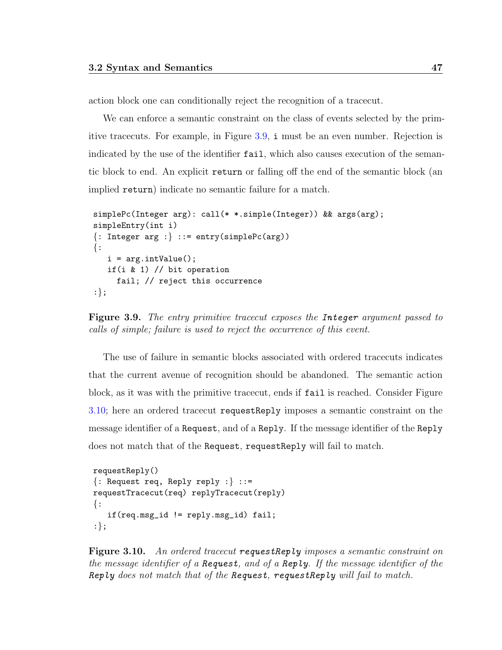action block one can conditionally reject the recognition of a tracecut.

We can enforce a semantic constraint on the class of events selected by the primitive tracecuts. For example, in Figure [3.9,](#page-58-0) i must be an even number. Rejection is indicated by the use of the identifier fail, which also causes execution of the semantic block to end. An explicit return or falling off the end of the semantic block (an implied return) indicate no semantic failure for a match.

```
simplePc(Integer arg): call(* *.simple(Integer)) && args(arg);
simpleEntry(int i)
\{: Integer arg :\} ::= entry(simplePc(arg))
\{\coloni = arg.intValue();if(i & 1) // bit operation
     fail; // reject this occurrence
:};
```
<span id="page-58-0"></span>Figure 3.9. The entry primitive tracecut exposes the Integer argument passed to calls of simple; failure is used to reject the occurrence of this event.

The use of failure in semantic blocks associated with ordered tracecuts indicates that the current avenue of recognition should be abandoned. The semantic action block, as it was with the primitive tracecut, ends if fail is reached. Consider Figure [3.10;](#page-58-1) here an ordered tracecut requestReply imposes a semantic constraint on the message identifier of a Request, and of a Reply. If the message identifier of the Reply does not match that of the Request, requestReply will fail to match.

```
requestReply()
\{:\text{Request } \text{req}, \text{ Reply } \text{reply } :\} :: =requestTracecut(req) replyTracecut(reply)
\{\cdot\}if(req.msg_id != reply.msg_id) fail;
:};
```
<span id="page-58-1"></span>Figure 3.10. An ordered tracecut requestReply imposes a semantic constraint on the message identifier of a Request, and of a Reply. If the message identifier of the Reply does not match that of the Request, request  $\text{Reply will fail to match.}$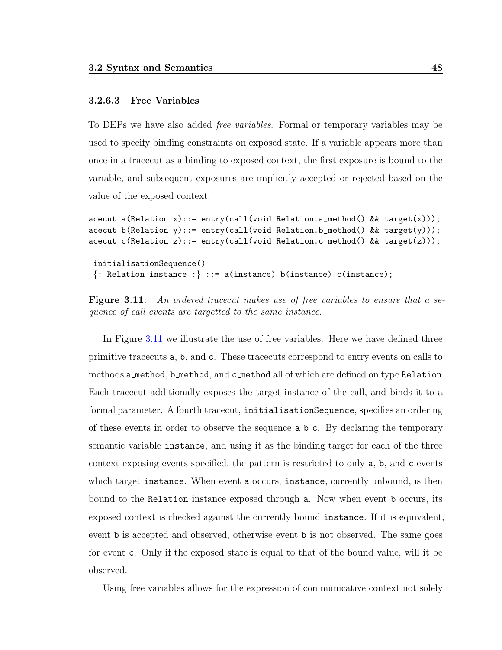#### <span id="page-59-0"></span>3.2.6.3 Free Variables

To DEPs we have also added free variables. Formal or temporary variables may be used to specify binding constraints on exposed state. If a variable appears more than once in a tracecut as a binding to exposed context, the first exposure is bound to the variable, and subsequent exposures are implicitly accepted or rejected based on the value of the exposed context.

```
acecut a(Relation x)::= entry(call(void Relation.a_method() && target(x)));
acecut b(Relation y)::= entry(call(void Relation.b_method() && target(y)));
acecut c(Relation z)::= entry(call(void Relation.c_method() && target(z)));
 initialisationSequence()
 \{:\text{Relation instance :}\} ::= \text{a}(\text{instance}) \text{b}(\text{instance}) \text{c}(\text{instance});
```
<span id="page-59-1"></span>Figure 3.11. An ordered tracecut makes use of free variables to ensure that a sequence of call events are targetted to the same instance.

In Figure [3.11](#page-59-1) we illustrate the use of free variables. Here we have defined three primitive tracecuts a, b, and c. These tracecuts correspond to entry events on calls to methods a method, b method, and c method all of which are defined on type Relation. Each tracecut additionally exposes the target instance of the call, and binds it to a formal parameter. A fourth tracecut, initialisationSequence, specifies an ordering of these events in order to observe the sequence a b c. By declaring the temporary semantic variable instance, and using it as the binding target for each of the three context exposing events specified, the pattern is restricted to only a, b, and c events which target instance. When event a occurs, instance, currently unbound, is then bound to the Relation instance exposed through a. Now when event b occurs, its exposed context is checked against the currently bound instance. If it is equivalent, event b is accepted and observed, otherwise event b is not observed. The same goes for event c. Only if the exposed state is equal to that of the bound value, will it be observed.

Using free variables allows for the expression of communicative context not solely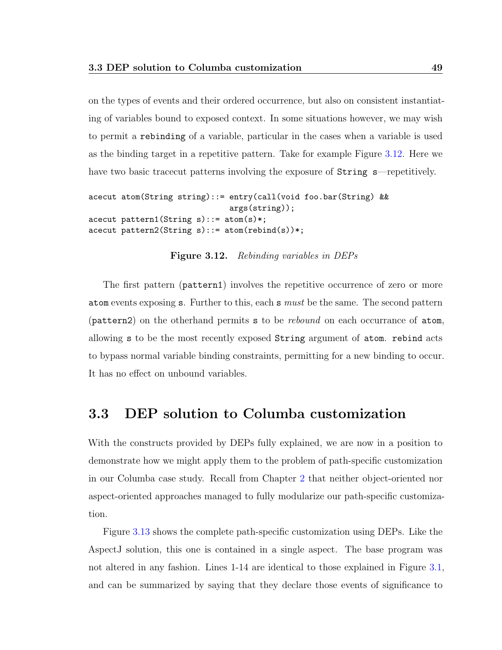on the types of events and their ordered occurrence, but also on consistent instantiating of variables bound to exposed context. In some situations however, we may wish to permit a rebinding of a variable, particular in the cases when a variable is used as the binding target in a repetitive pattern. Take for example Figure [3.12.](#page-60-1) Here we have two basic tracecut patterns involving the exposure of String s—repetitively.

```
acecut atom(String string)::= entry(call(void foo.bar(String) &&
                                  args(string));
acecut pattern1(String s): := atom(s)*;
\text{accept pattern2}(String s) ::= \text{atom}(\text{rebind}(s))*,
```
<span id="page-60-1"></span>Figure 3.12. Rebinding variables in DEPs

The first pattern (pattern1) involves the repetitive occurrence of zero or more atom events exposing s. Further to this, each s must be the same. The second pattern (pattern2) on the otherhand permits s to be rebound on each occurrance of atom, allowing s to be the most recently exposed String argument of atom. rebind acts to bypass normal variable binding constraints, permitting for a new binding to occur. It has no effect on unbound variables.

## <span id="page-60-0"></span>3.3 DEP solution to Columba customization

With the constructs provided by DEPs fully explained, we are now in a position to demonstrate how we might apply them to the problem of path-specific customization in our Columba case study. Recall from Chapter [2](#page-25-0) that neither object-oriented nor aspect-oriented approaches managed to fully modularize our path-specific customization.

Figure [3.13](#page-61-0) shows the complete path-specific customization using DEPs. Like the AspectJ solution, this one is contained in a single aspect. The base program was not altered in any fashion. Lines 1-14 are identical to those explained in Figure [3.1,](#page-49-1) and can be summarized by saying that they declare those events of significance to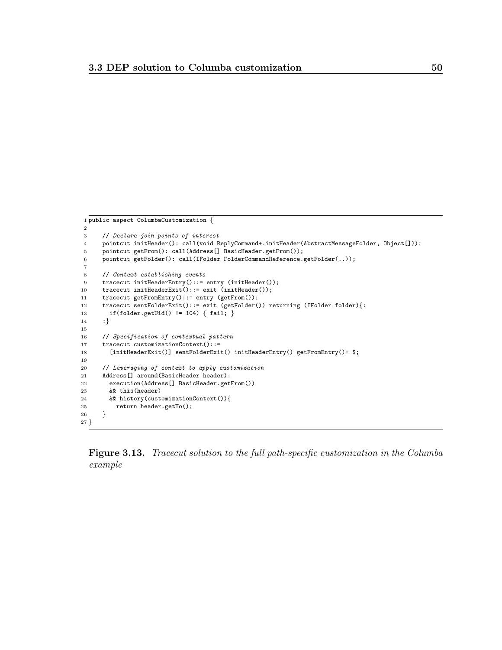```
1 public aspect ColumbaCustomization {
2
3 // Declare join points of interest
4 pointcut initHeader(): call(void ReplyCommand+.initHeader(AbstractMessageFolder, Object[]));
5 pointcut getFrom(): call(Address[] BasicHeader.getFrom());
6 pointcut getFolder(): call(IFolder FolderCommandReference.getFolder(..));
 7
8 // Context establishing events
9 tracecut initHeaderEntry()::= entry (initHeader());
10 tracecut initHeaderExit()::= exit (initHeader());
11 tracecut getFromEntry()::= entry (getFrom());
12 tracecut sentFolderExit()::= exit (getFolder()) returning (IFolder folder){:
13 if(folder.getUid() != 104) { fail; }
14 :}
15
16 // Specification of contextual pattern
17 tracecut customizationContext()::=
18 [initHeaderExit()] sentFolderExit() initHeaderEntry() getFromEntry()+ $;
19
20 // Leveraging of context to apply customization
21 Address[] around(BasicHeader header):
22 execution(Address[] BasicHeader.getFrom())
23 && this(header)
24 && history(customizationContext()){
25 return header.getTo();<br>26 }
26 }
27 }
```
<span id="page-61-0"></span>Figure 3.13. Tracecut solution to the full path-specific customization in the Columba example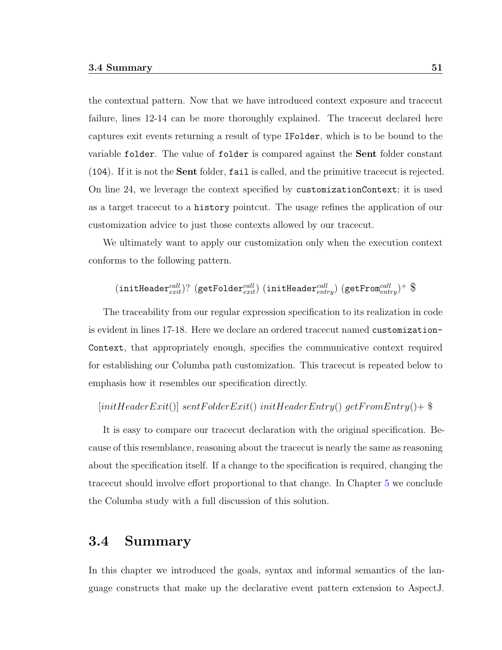the contextual pattern. Now that we have introduced context exposure and tracecut failure, lines 12-14 can be more thoroughly explained. The tracecut declared here captures exit events returning a result of type IFolder, which is to be bound to the variable folder. The value of folder is compared against the Sent folder constant (104). If it is not the Sent folder, fail is called, and the primitive tracecut is rejected. On line 24, we leverage the context specified by customizationContext; it is used as a target tracecut to a history pointcut. The usage refines the application of our customization advice to just those contexts allowed by our tracecut.

We ultimately want to apply our customization only when the execution context conforms to the following pattern.

 $(\texttt{initHeader}^{call}_{exit}) ?$   $(\texttt{getFolder}^{call}_{exit})$   $(\texttt{initHeader}^{call}_{entry})$   $(\texttt{getFrom}^{call}_{entry})^+$   $\$$ 

The traceability from our regular expression specification to its realization in code is evident in lines 17-18. Here we declare an ordered tracecut named customization-Context, that appropriately enough, specifies the communicative context required for establishing our Columba path customization. This tracecut is repeated below to emphasis how it resembles our specification directly.

 $[\text{initHeaderExit}()] \ \text{sentFolderExit}() \ \text{initHeaderEntry}() \ \text{getFromEntry}() +$ 

It is easy to compare our tracecut declaration with the original specification. Because of this resemblance, reasoning about the tracecut is nearly the same as reasoning about the specification itself. If a change to the specification is required, changing the tracecut should involve effort proportional to that change. In Chapter [5](#page-92-0) we conclude the Columba study with a full discussion of this solution.

### 3.4 Summary

In this chapter we introduced the goals, syntax and informal semantics of the language constructs that make up the declarative event pattern extension to AspectJ.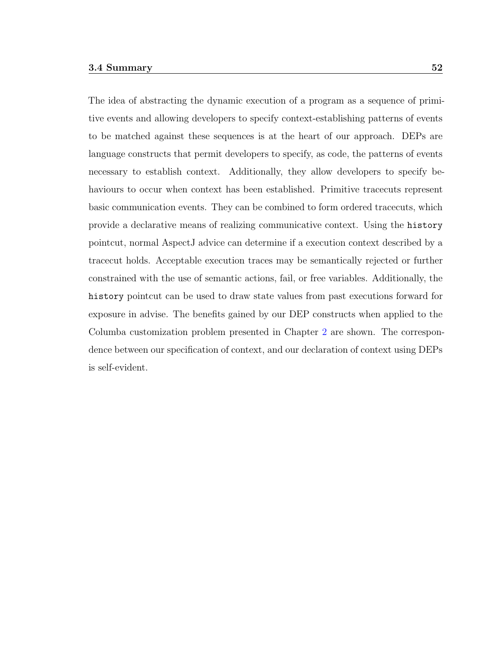The idea of abstracting the dynamic execution of a program as a sequence of primitive events and allowing developers to specify context-establishing patterns of events to be matched against these sequences is at the heart of our approach. DEPs are language constructs that permit developers to specify, as code, the patterns of events necessary to establish context. Additionally, they allow developers to specify behaviours to occur when context has been established. Primitive tracecuts represent basic communication events. They can be combined to form ordered tracecuts, which provide a declarative means of realizing communicative context. Using the history pointcut, normal AspectJ advice can determine if a execution context described by a tracecut holds. Acceptable execution traces may be semantically rejected or further constrained with the use of semantic actions, fail, or free variables. Additionally, the history pointcut can be used to draw state values from past executions forward for exposure in advise. The benefits gained by our DEP constructs when applied to the Columba customization problem presented in Chapter [2](#page-25-0) are shown. The correspondence between our specification of context, and our declaration of context using DEPs is self-evident.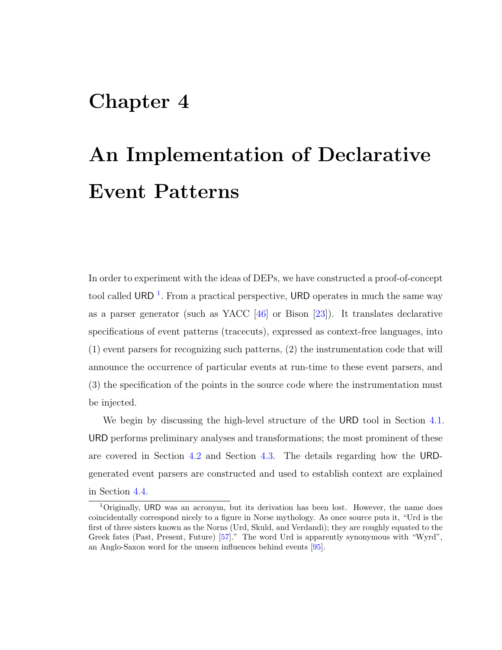## Chapter 4

# An Implementation of Declarative Event Patterns

In order to experiment with the ideas of DEPs, we have constructed a proof-of-concept tool called URD<sup>[1](#page-64-0)</sup>. From a practical perspective, URD operates in much the same way as a parser generator (such as YACC  $[46]$  or Bison  $[23]$ ). It translates declarative specifications of event patterns (tracecuts), expressed as context-free languages, into (1) event parsers for recognizing such patterns, (2) the instrumentation code that will announce the occurrence of particular events at run-time to these event parsers, and (3) the specification of the points in the source code where the instrumentation must be injected.

We begin by discussing the high-level structure of the URD tool in Section [4.1.](#page-65-0) URD performs preliminary analyses and transformations; the most prominent of these are covered in Section [4.2](#page-65-1) and Section [4.3.](#page-68-0) The details regarding how the URDgenerated event parsers are constructed and used to establish context are explained in Section [4.4.](#page-79-0)

<span id="page-64-0"></span> $1$ Originally, URD was an acronym, but its derivation has been lost. However, the name does coincidentally correspond nicely to a figure in Norse mythology. As once source puts it, "Urd is the first of three sisters known as the Norns (Urd, Skuld, and Verdandi); they are roughly equated to the Greek fates (Past, Present, Future) [\[57\]](#page-156-0)." The word Urd is apparently synonymous with "Wyrd", an Anglo-Saxon word for the unseen influences behind events [\[95\]](#page-159-0).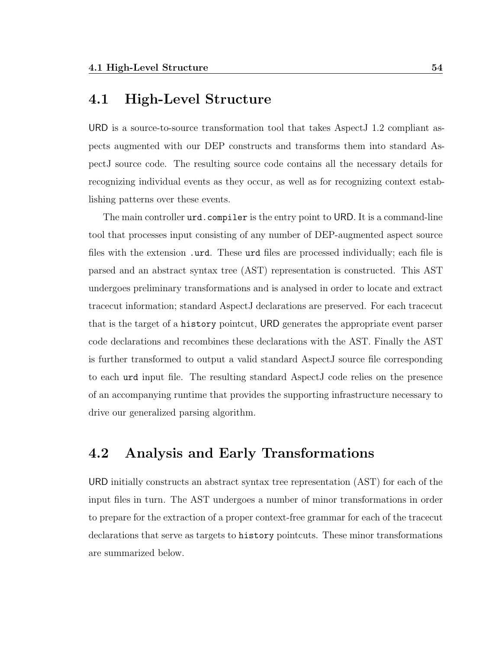## <span id="page-65-0"></span>4.1 High-Level Structure

URD is a source-to-source transformation tool that takes AspectJ 1.2 compliant aspects augmented with our DEP constructs and transforms them into standard AspectJ source code. The resulting source code contains all the necessary details for recognizing individual events as they occur, as well as for recognizing context establishing patterns over these events.

The main controller urd.compiler is the entry point to URD. It is a command-line tool that processes input consisting of any number of DEP-augmented aspect source files with the extension .urd. These urd files are processed individually; each file is parsed and an abstract syntax tree (AST) representation is constructed. This AST undergoes preliminary transformations and is analysed in order to locate and extract tracecut information; standard AspectJ declarations are preserved. For each tracecut that is the target of a history pointcut, URD generates the appropriate event parser code declarations and recombines these declarations with the AST. Finally the AST is further transformed to output a valid standard AspectJ source file corresponding to each urd input file. The resulting standard AspectJ code relies on the presence of an accompanying runtime that provides the supporting infrastructure necessary to drive our generalized parsing algorithm.

## <span id="page-65-1"></span>4.2 Analysis and Early Transformations

URD initially constructs an abstract syntax tree representation (AST) for each of the input files in turn. The AST undergoes a number of minor transformations in order to prepare for the extraction of a proper context-free grammar for each of the tracecut declarations that serve as targets to history pointcuts. These minor transformations are summarized below.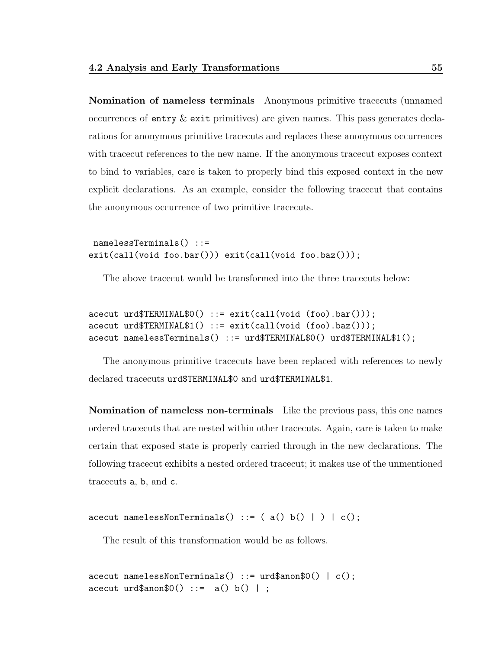Nomination of nameless terminals Anonymous primitive tracecuts (unnamed occurrences of entry  $\&$  exit primitives) are given names. This pass generates declarations for anonymous primitive tracecuts and replaces these anonymous occurrences with tracecut references to the new name. If the anonymous tracecut exposes context to bind to variables, care is taken to properly bind this exposed context in the new explicit declarations. As an example, consider the following tracecut that contains the anonymous occurrence of two primitive tracecuts.

namelessTerminals() ::= exit(call(void foo.bar())) exit(call(void foo.baz()));

The above tracecut would be transformed into the three tracecuts below:

```
acecut urd$TERMINAL$0() ::= exit(call(void (foo).bar()));
acecut urd$TERMINAL$1() ::= exit(call(void (foo).baz()));
acecut namelessTerminals() ::= urd$TERMINAL$0() urd$TERMINAL$1();
```
The anonymous primitive tracecuts have been replaced with references to newly declared tracecuts urd\$TERMINAL\$0 and urd\$TERMINAL\$1.

Nomination of nameless non-terminals Like the previous pass, this one names ordered tracecuts that are nested within other tracecuts. Again, care is taken to make certain that exposed state is properly carried through in the new declarations. The following tracecut exhibits a nested ordered tracecut; it makes use of the unmentioned tracecuts a, b, and c.

acecut namelessNonTerminals() ::=  $(a() b() | ) | c();$ 

The result of this transformation would be as follows.

```
\text{accept } \text{namelessNonTerminals()} ::= \text{urd$}\text{\$anon$0() | c();}acecut urd$anon$0() ::= a() b() ;
```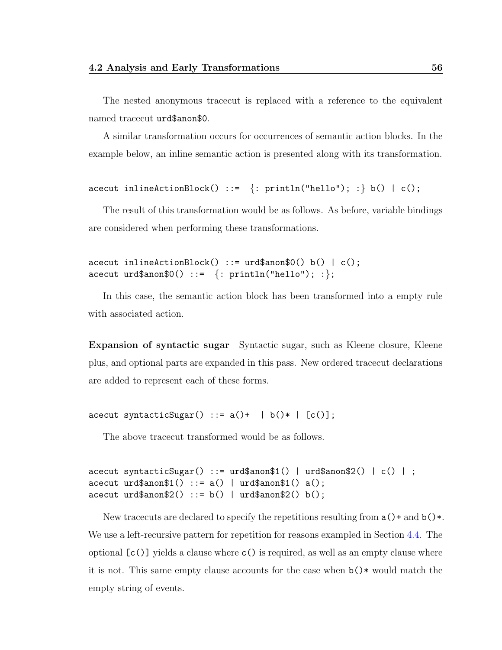The nested anonymous tracecut is replaced with a reference to the equivalent named tracecut urd\$anon\$0.

A similar transformation occurs for occurrences of semantic action blocks. In the example below, an inline semantic action is presented along with its transformation.

```
acecut inlineActionBlock() ::= \{ : printIn("hello"); :} b() | c();
```
The result of this transformation would be as follows. As before, variable bindings are considered when performing these transformations.

```
\text{accept inlineActionBlock()} ::= \text{urd$\$anon$0() b() | c();acecut urd$anon$0() ::= \{ : \text{printhIn("hello"); :} \};
```
In this case, the semantic action block has been transformed into a empty rule with associated action.

Expansion of syntactic sugar Syntactic sugar, such as Kleene closure, Kleene plus, and optional parts are expanded in this pass. New ordered tracecut declarations are added to represent each of these forms.

acecut syntacticSugar() ::=  $a() + | b() * | [c()];$ 

The above tracecut transformed would be as follows.

```
acecut syntacticSugar() ::= urd$anon$1() | urd$anon$2() | c() | ;
\text{accept } \text{urd}\anon1() ::= a() | \text{urd}\anon1() a();
\text{accept } \text{urd}\anon\$2() ::= b() | \text{urd}\anon\$2() b();
```
New tracecuts are declared to specify the repetitions resulting from  $a()$  + and  $b()$  \*. We use a left-recursive pattern for repetition for reasons exampled in Section [4.4.](#page-79-0) The optional  $[c()$  yields a clause where  $c()$  is required, as well as an empty clause where it is not. This same empty clause accounts for the case when b()\* would match the empty string of events.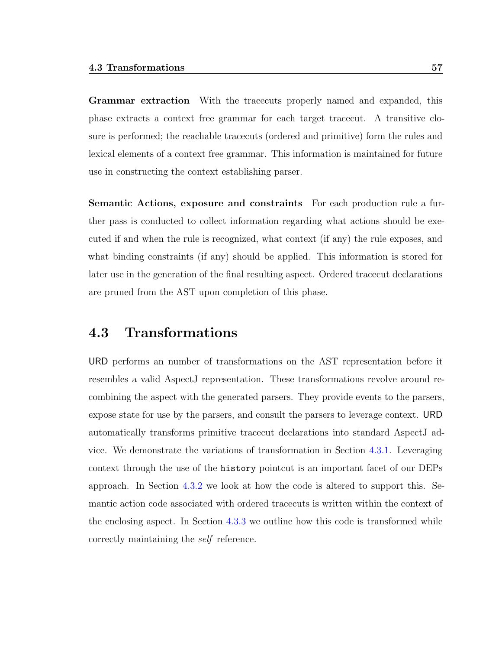Grammar extraction With the tracecuts properly named and expanded, this phase extracts a context free grammar for each target tracecut. A transitive closure is performed; the reachable tracecuts (ordered and primitive) form the rules and lexical elements of a context free grammar. This information is maintained for future use in constructing the context establishing parser.

Semantic Actions, exposure and constraints For each production rule a further pass is conducted to collect information regarding what actions should be executed if and when the rule is recognized, what context (if any) the rule exposes, and what binding constraints (if any) should be applied. This information is stored for later use in the generation of the final resulting aspect. Ordered tracecut declarations are pruned from the AST upon completion of this phase.

## <span id="page-68-0"></span>4.3 Transformations

URD performs an number of transformations on the AST representation before it resembles a valid AspectJ representation. These transformations revolve around recombining the aspect with the generated parsers. They provide events to the parsers, expose state for use by the parsers, and consult the parsers to leverage context. URD automatically transforms primitive tracecut declarations into standard AspectJ advice. We demonstrate the variations of transformation in Section [4.3.1.](#page-69-0) Leveraging context through the use of the history pointcut is an important facet of our DEPs approach. In Section [4.3.2](#page-73-0) we look at how the code is altered to support this. Semantic action code associated with ordered tracecuts is written within the context of the enclosing aspect. In Section [4.3.3](#page-75-0) we outline how this code is transformed while correctly maintaining the self reference.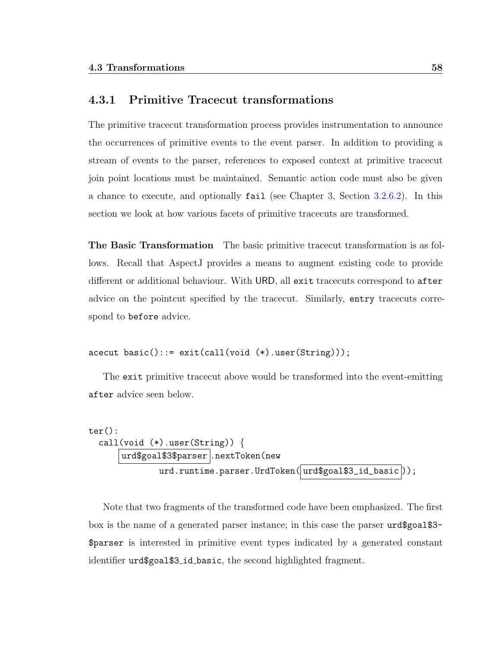#### <span id="page-69-0"></span>4.3.1 Primitive Tracecut transformations

The primitive tracecut transformation process provides instrumentation to announce the occurrences of primitive events to the event parser. In addition to providing a stream of events to the parser, references to exposed context at primitive tracecut join point locations must be maintained. Semantic action code must also be given a chance to execute, and optionally fail (see Chapter [3,](#page-45-1) Section [3.2.6.2\)](#page-57-0). In this section we look at how various facets of primitive tracecuts are transformed.

The Basic Transformation The basic primitive tracecut transformation is as follows. Recall that AspectJ provides a means to augment existing code to provide different or additional behaviour. With URD, all exit tracecuts correspond to after advice on the pointcut specified by the tracecut. Similarly, entry tracecuts correspond to before advice.

```
acecut basic()::= exit(call(void (*).user(String)));
```
The exit primitive tracecut above would be transformed into the event-emitting after advice seen below.

```
ter():
  call(void (*).user(String)) {
      urd$goal$3$parser .nextToken(new
              urd.runtime.parser.UrdToken( urd$goal$3_id_basic));
```
Note that two fragments of the transformed code have been emphasized. The first box is the name of a generated parser instance; in this case the parser urd\$goal\$3- \$parser is interested in primitive event types indicated by a generated constant identifier urd\$goal\$3 id basic, the second highlighted fragment.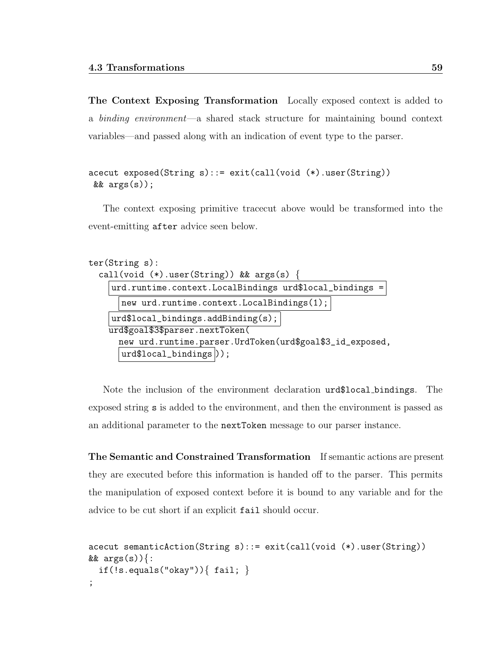The Context Exposing Transformation Locally exposed context is added to a binding environment—a shared stack structure for maintaining bound context variables—and passed along with an indication of event type to the parser.

```
acecut exposed(String s)::= exit(call(void (*).user(String))
& args(s));
```
The context exposing primitive tracecut above would be transformed into the event-emitting after advice seen below.

```
ter(String s):
  call(void (*).user(String)) && args(s) {
    urd.runtime.context.LocalBindings urd$local_bindings =
      new urd.runtime.context.LocalBindings(1);
    urd$local_bindings.addBinding(s);
    urd$goal$3$parser.nextToken(
      new urd.runtime.parser.UrdToken(urd$goal$3_id_exposed,
      urd$local_bindings );
```
Note the inclusion of the environment declaration urd\$local bindings. The exposed string s is added to the environment, and then the environment is passed as an additional parameter to the nextToken message to our parser instance.

The Semantic and Constrained Transformation If semantic actions are present they are executed before this information is handed off to the parser. This permits the manipulation of exposed context before it is bound to any variable and for the advice to be cut short if an explicit fail should occur.

```
acecut semanticAction(String s)::= exit(call(void (*).user(String))
&& args(s)) {:
  if(!s.equals("okay")){ fail; }
;
```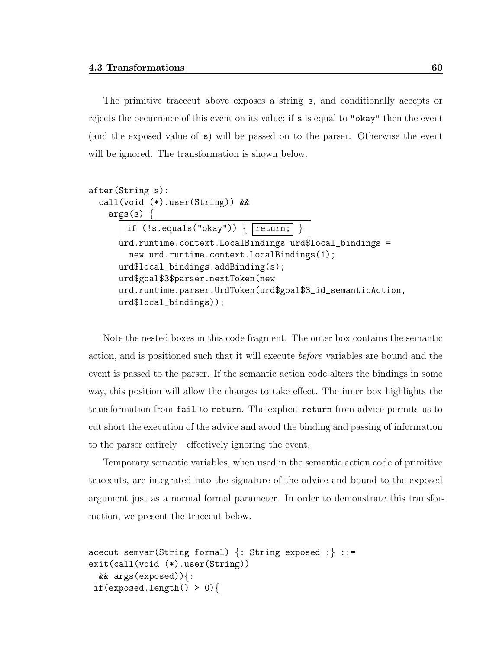The primitive tracecut above exposes a string s, and conditionally accepts or rejects the occurrence of this event on its value; if s is equal to "okay" then the event (and the exposed value of s) will be passed on to the parser. Otherwise the event will be ignored. The transformation is shown below.

```
after(String s):
  call(void (*).user(String)) &&
    args(s) {
       if (!s.equals("okay")) { | return; }urd.runtime.context.LocalBindings urd$local_bindings =
        new urd.runtime.context.LocalBindings(1);
      urd$local_bindings.addBinding(s);
      urd$goal$3$parser.nextToken(new
      urd.runtime.parser.UrdToken(urd$goal$3_id_semanticAction,
      urd$local_bindings));
```
Note the nested boxes in this code fragment. The outer box contains the semantic action, and is positioned such that it will execute before variables are bound and the event is passed to the parser. If the semantic action code alters the bindings in some way, this position will allow the changes to take effect. The inner box highlights the transformation from fail to return. The explicit return from advice permits us to cut short the execution of the advice and avoid the binding and passing of information to the parser entirely—effectively ignoring the event.

Temporary semantic variables, when used in the semantic action code of primitive tracecuts, are integrated into the signature of the advice and bound to the exposed argument just as a normal formal parameter. In order to demonstrate this transformation, we present the tracecut below.

```
acecut semvar(String formal) \{:\text{String exposed :}\} ::=
exit(call(void (*).user(String))
  && args(exposed)){:
 if(exposed.length() > 0){
```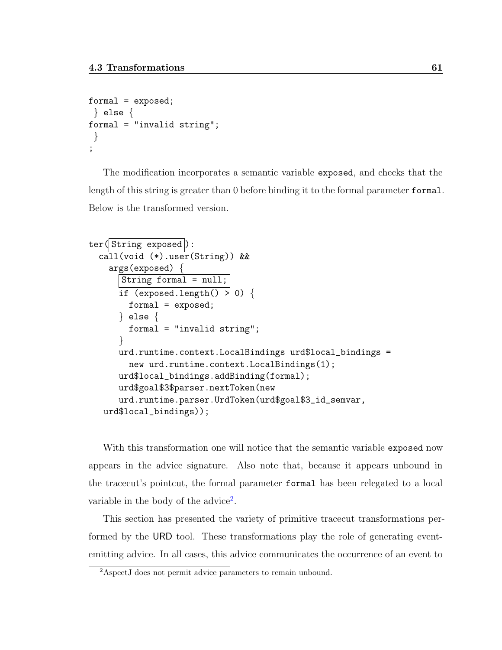```
formal = exposed;
} else {
formal = "invalid string";
 }
;
```
The modification incorporates a semantic variable exposed, and checks that the length of this string is greater than 0 before binding it to the formal parameter formal. Below is the transformed version.

```
ter(|String exposed|):call(void (*).user(String)) &&
    args(exposed) {
      String formal = null;
      if (exposed.length() > 0) {
        formal = exposed;
      } else {
        formal = "invalid string";
      }
      urd.runtime.context.LocalBindings urd$local_bindings =
        new urd.runtime.context.LocalBindings(1);
      urd$local_bindings.addBinding(formal);
      urd$goal$3$parser.nextToken(new
      urd.runtime.parser.UrdToken(urd$goal$3_id_semvar,
   urd$local_bindings));
```
With this transformation one will notice that the semantic variable exposed now appears in the advice signature. Also note that, because it appears unbound in the tracecut's pointcut, the formal parameter formal has been relegated to a local variable in the body of the advice<sup>[2](#page-72-0)</sup>.

This section has presented the variety of primitive tracecut transformations performed by the URD tool. These transformations play the role of generating eventemitting advice. In all cases, this advice communicates the occurrence of an event to

<span id="page-72-0"></span><sup>2</sup>AspectJ does not permit advice parameters to remain unbound.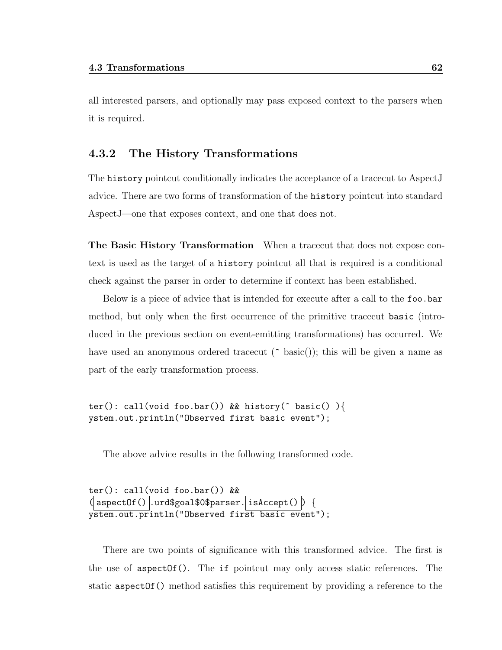all interested parsers, and optionally may pass exposed context to the parsers when it is required.

## 4.3.2 The History Transformations

The history pointcut conditionally indicates the acceptance of a tracecut to AspectJ advice. There are two forms of transformation of the history pointcut into standard AspectJ—one that exposes context, and one that does not.

The Basic History Transformation When a tracecut that does not expose context is used as the target of a history pointcut all that is required is a conditional check against the parser in order to determine if context has been established.

Below is a piece of advice that is intended for execute after a call to the foo.bar method, but only when the first occurrence of the primitive tracecut basic (introduced in the previous section on event-emitting transformations) has occurred. We have used an anonymous ordered tracecut ( $\hat{\ }$  basic()); this will be given a name as part of the early transformation process.

ter(): call(void foo.bar()) && history( $\hat{ }$  basic() ){ ystem.out.println("Observed first basic event");

The above advice results in the following transformed code.

```
ter(): call(void foo.bar()) &&
\overline{\text{(aspectOf()}}\text{.urd$}\text{goal$}\text{0}\text{$parser.}\overline{\text{isAccept()}} {
ystem.out.println("Observed first basic event");
```
There are two points of significance with this transformed advice. The first is the use of aspectOf(). The if pointcut may only access static references. The static aspect Of () method satisfies this requirement by providing a reference to the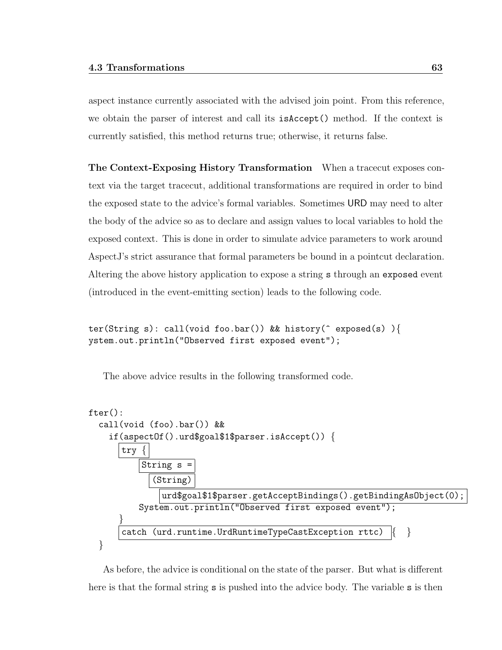aspect instance currently associated with the advised join point. From this reference, we obtain the parser of interest and call its isAccept() method. If the context is currently satisfied, this method returns true; otherwise, it returns false.

The Context-Exposing History Transformation When a tracecut exposes context via the target tracecut, additional transformations are required in order to bind the exposed state to the advice's formal variables. Sometimes URD may need to alter the body of the advice so as to declare and assign values to local variables to hold the exposed context. This is done in order to simulate advice parameters to work around AspectJ's strict assurance that formal parameters be bound in a pointcut declaration. Altering the above history application to expose a string s through an exposed event (introduced in the event-emitting section) leads to the following code.

ter(String s): call(void foo.bar()) && history(^ exposed(s) ){ ystem.out.println("Observed first exposed event");

The above advice results in the following transformed code.

```
fter():
  call(void (foo).bar()) &&
    if(aspectOf().urd$goal$1$parser.isAccept()) {
       try
            String s
              (String)
                urd$goal$1$parser.getAcceptBindings().getBindingAsObject(0);
           System.out.println("Observed first exposed event");
       }
       catch (urd.runtime.UrdRuntimeTypeCastException rttc) \begin{bmatrix} \cdot & \cdot \end{bmatrix}}
```
As before, the advice is conditional on the state of the parser. But what is different here is that the formal string **s** is pushed into the advice body. The variable **s** is then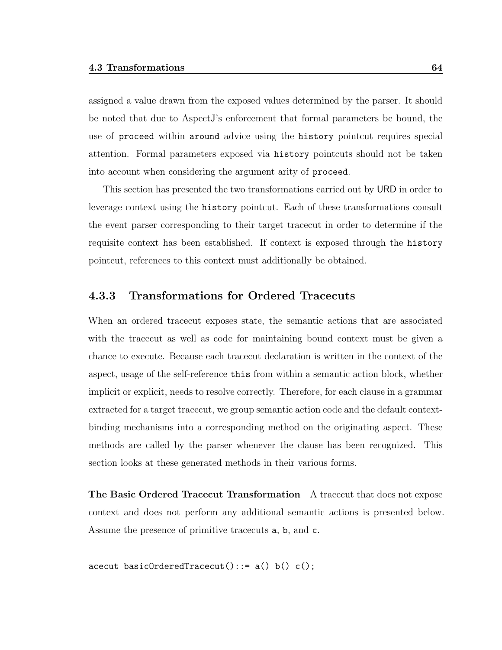assigned a value drawn from the exposed values determined by the parser. It should be noted that due to AspectJ's enforcement that formal parameters be bound, the use of proceed within around advice using the history pointcut requires special attention. Formal parameters exposed via history pointcuts should not be taken into account when considering the argument arity of proceed.

This section has presented the two transformations carried out by URD in order to leverage context using the history pointcut. Each of these transformations consult the event parser corresponding to their target tracecut in order to determine if the requisite context has been established. If context is exposed through the history pointcut, references to this context must additionally be obtained.

## 4.3.3 Transformations for Ordered Tracecuts

When an ordered tracecut exposes state, the semantic actions that are associated with the tracecut as well as code for maintaining bound context must be given a chance to execute. Because each tracecut declaration is written in the context of the aspect, usage of the self-reference this from within a semantic action block, whether implicit or explicit, needs to resolve correctly. Therefore, for each clause in a grammar extracted for a target tracecut, we group semantic action code and the default contextbinding mechanisms into a corresponding method on the originating aspect. These methods are called by the parser whenever the clause has been recognized. This section looks at these generated methods in their various forms.

The Basic Ordered Tracecut Transformation A tracecut that does not expose context and does not perform any additional semantic actions is presented below. Assume the presence of primitive tracecuts a, b, and c.

 $\text{accept} \text{ basicOrderedTracecut}():= a() b() c();$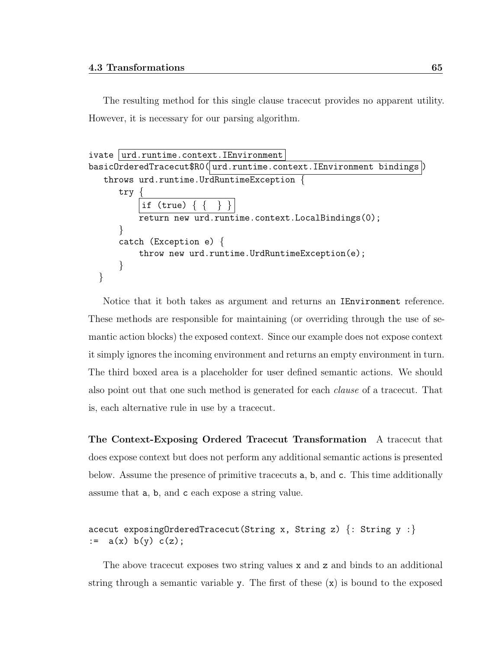The resulting method for this single clause tracecut provides no apparent utility. However, it is necessary for our parsing algorithm.

```
ivate |urd.runtime.context. IEnvironment
basicOrderedTracecut$R0(|urd.runtime.context.IEnvironment bindings|)
   throws urd.runtime.UrdRuntimeException {
      try {
          if (true)
          return new urd.runtime.context.LocalBindings(0);
      }
      catch (Exception e) {
          throw new urd.runtime.UrdRuntimeException(e);
      }
  }
```
Notice that it both takes as argument and returns an IEnvironment reference. These methods are responsible for maintaining (or overriding through the use of semantic action blocks) the exposed context. Since our example does not expose context it simply ignores the incoming environment and returns an empty environment in turn. The third boxed area is a placeholder for user defined semantic actions. We should also point out that one such method is generated for each clause of a tracecut. That is, each alternative rule in use by a tracecut.

The Context-Exposing Ordered Tracecut Transformation A tracecut that does expose context but does not perform any additional semantic actions is presented below. Assume the presence of primitive tracecuts a, b, and c. This time additionally assume that a, b, and c each expose a string value.

```
acecut exposingOrderedTracecut(String x, String z) \{:\text{String } y : \}:= a(x) b(y) c(z);
```
The above tracecut exposes two string values  $x$  and  $z$  and binds to an additional string through a semantic variable y. The first of these  $(x)$  is bound to the exposed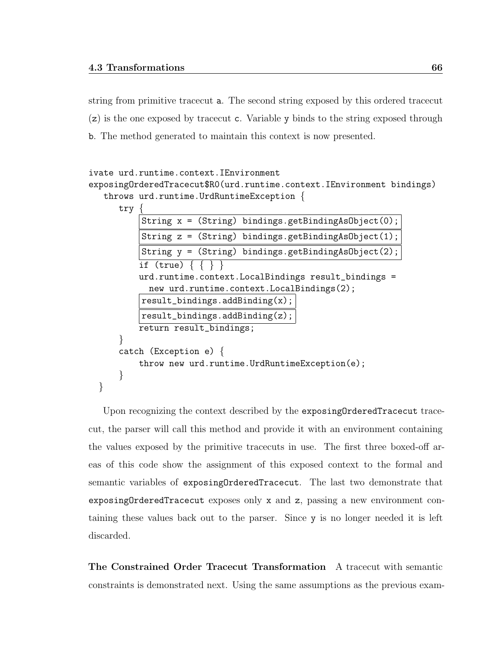string from primitive tracecut a. The second string exposed by this ordered tracecut (z) is the one exposed by tracecut c. Variable y binds to the string exposed through b. The method generated to maintain this context is now presented.

```
ivate urd.runtime.context.IEnvironment
exposingOrderedTracecut$R0(urd.runtime.context.IEnvironment bindings)
  throws urd.runtime.UrdRuntimeException {
```
try {

}

|                         | String $x = (String)$ bindings.getBindingAsObject(0);             |  |  |
|-------------------------|-------------------------------------------------------------------|--|--|
|                         | String $z = (String)$ bindings.getBindingAsObject(1);             |  |  |
|                         | String $y = (String)$ bindings.getBindingAsObject(2);             |  |  |
|                         | if (true) $\{ \}$                                                 |  |  |
|                         | urd.runtime.context.LocalBindings result_bindings =               |  |  |
|                         | new urd.runtime.context.LocalBindings(2);                         |  |  |
|                         | $result\_bindings.addBinding(x);$                                 |  |  |
|                         | result_bindings.addBinding(z);                                    |  |  |
| return result_bindings; |                                                                   |  |  |
|                         |                                                                   |  |  |
|                         | catch (Exception e) $\{$                                          |  |  |
|                         | $\text{throw new urd. runtime. } \text{UrdRuntimeException(e)}$ ; |  |  |
|                         |                                                                   |  |  |
|                         |                                                                   |  |  |

Upon recognizing the context described by the exposingOrderedTracecut tracecut, the parser will call this method and provide it with an environment containing the values exposed by the primitive tracecuts in use. The first three boxed-off areas of this code show the assignment of this exposed context to the formal and semantic variables of exposingOrderedTracecut. The last two demonstrate that exposingOrderedTracecut exposes only x and z, passing a new environment containing these values back out to the parser. Since y is no longer needed it is left discarded.

The Constrained Order Tracecut Transformation A tracecut with semantic constraints is demonstrated next. Using the same assumptions as the previous exam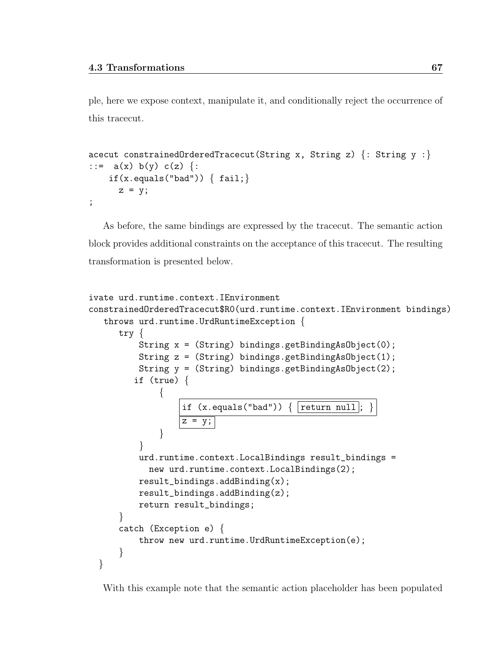ple, here we expose context, manipulate it, and conditionally reject the occurrence of this tracecut.

```
acecut constrainedOrderedTracecut(String x, String z) \{: String y :\}::= a(x) b(y) c(z) {:
    if(x.equals("bad")) { fail};z = y;;
```
As before, the same bindings are expressed by the tracecut. The semantic action block provides additional constraints on the acceptance of this tracecut. The resulting transformation is presented below.

```
ivate urd.runtime.context.IEnvironment
constrainedOrderedTracecut$R0(urd.runtime.context.IEnvironment bindings)
   throws urd.runtime.UrdRuntimeException {
      try {
          String x = (String) bindings.getBindingAsObject(0);
          String z = (String) bindings.getBindingAsObject(1);
          String y = (String) bindings.getBindingAsObject(2);
         if (true) {
               {
                   if (x.\text{equals("bad")) { return null}\overline{z} = \overline{y};
               }
          }
          urd.runtime.context.LocalBindings result_bindings =
            new urd.runtime.context.LocalBindings(2);
          result_bindings.addBinding(x);
          result_bindings.addBinding(z);
          return result_bindings;
      }
      catch (Exception e) {
          throw new urd.runtime.UrdRuntimeException(e);
      }
  }
```
With this example note that the semantic action placeholder has been populated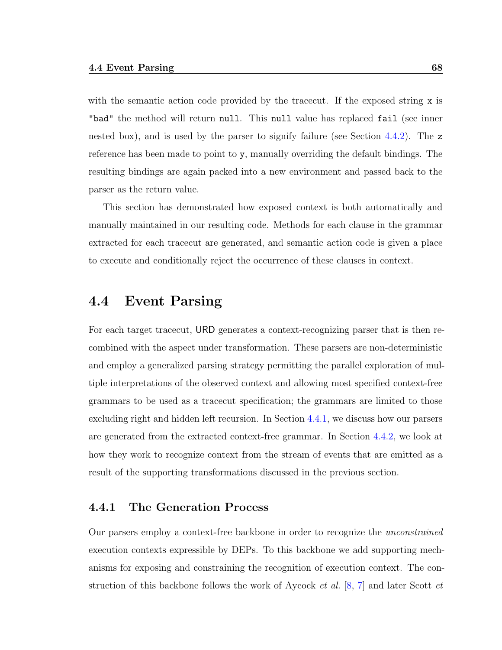with the semantic action code provided by the tracecut. If the exposed string x is "bad" the method will return null. This null value has replaced fail (see inner nested box), and is used by the parser to signify failure (see Section [4.4.2\)](#page-87-0). The z reference has been made to point to y, manually overriding the default bindings. The resulting bindings are again packed into a new environment and passed back to the parser as the return value.

This section has demonstrated how exposed context is both automatically and manually maintained in our resulting code. Methods for each clause in the grammar extracted for each tracecut are generated, and semantic action code is given a place to execute and conditionally reject the occurrence of these clauses in context.

## 4.4 Event Parsing

For each target tracecut, URD generates a context-recognizing parser that is then recombined with the aspect under transformation. These parsers are non-deterministic and employ a generalized parsing strategy permitting the parallel exploration of multiple interpretations of the observed context and allowing most specified context-free grammars to be used as a tracecut specification; the grammars are limited to those excluding right and hidden left recursion. In Section [4.4.1,](#page-79-0) we discuss how our parsers are generated from the extracted context-free grammar. In Section [4.4.2,](#page-87-0) we look at how they work to recognize context from the stream of events that are emitted as a result of the supporting transformations discussed in the previous section.

## <span id="page-79-0"></span>4.4.1 The Generation Process

Our parsers employ a context-free backbone in order to recognize the unconstrained execution contexts expressible by DEPs. To this backbone we add supporting mechanisms for exposing and constraining the recognition of execution context. The construction of this backbone follows the work of Aycock *et al.* [\[8,](#page-151-0) [7\]](#page-151-1) and later Scott *et*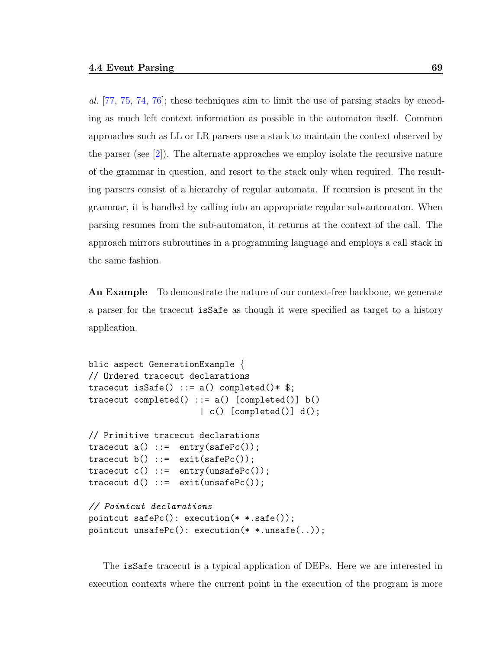al. [\[77,](#page-157-0) [75,](#page-157-1) [74,](#page-157-2) [76\]](#page-157-3); these techniques aim to limit the use of parsing stacks by encoding as much left context information as possible in the automaton itself. Common approaches such as LL or LR parsers use a stack to maintain the context observed by the parser (see [\[2\]](#page-151-2)). The alternate approaches we employ isolate the recursive nature of the grammar in question, and resort to the stack only when required. The resulting parsers consist of a hierarchy of regular automata. If recursion is present in the grammar, it is handled by calling into an appropriate regular sub-automaton. When parsing resumes from the sub-automaton, it returns at the context of the call. The approach mirrors subroutines in a programming language and employs a call stack in the same fashion.

An Example To demonstrate the nature of our context-free backbone, we generate a parser for the tracecut isSafe as though it were specified as target to a history application.

```
blic aspect GenerationExample {
// Ordered tracecut declarations
tracecut isSafe() ::= a() completed()* \;
tracecut completed() ::= a() [completed()] b()| c() [completed()] d();
// Primitive tracecut declarations
tracecut a() ::= entry(safePc());
tracecut b() ::= exit(safePc());
tracecut c() ::= entry(unsafePc());
tracecut d() ::= exit(unsafePc());
// Pointcut declarations
pointcut safePc(): execution(* *.safe());
pointcut unsafePc(): execution(* *.unsafe(..));
```
The isSafe tracecut is a typical application of DEPs. Here we are interested in execution contexts where the current point in the execution of the program is more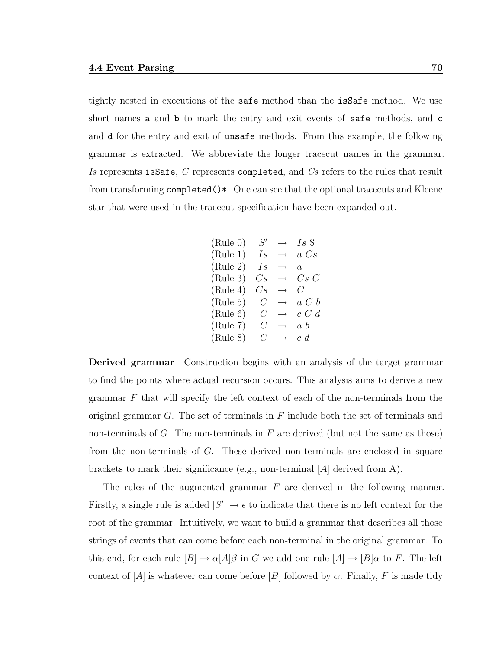tightly nested in executions of the safe method than the isSafe method. We use short names a and b to mark the entry and exit events of safe methods, and c and d for the entry and exit of unsafe methods. From this example, the following grammar is extracted. We abbreviate the longer tracecut names in the grammar. Is represents is Safe, C represents completed, and Cs refers to the rules that result from transforming completed()\*. One can see that the optional tracecuts and Kleene star that were used in the tracecut specification have been expanded out.

(Rule 0) 
$$
S' \rightarrow Is \text{ } \text{\$}
$$
  
\n(Rule 1)  $Is \rightarrow a \text{ } Cs$   
\n(Rule 2)  $Is \rightarrow a$   
\n(Rule 3)  $Cs \rightarrow Cs \text{ } C$   
\n(Rule 4)  $Cs \rightarrow C$   
\n(Rule 5)  $C \rightarrow a \text{ } C b$   
\n(Rule 6)  $C \rightarrow c \text{ } C d$   
\n(Rule 7)  $C \rightarrow a b$   
\n(Rule 8)  $C \rightarrow c d$ 

Derived grammar Construction begins with an analysis of the target grammar to find the points where actual recursion occurs. This analysis aims to derive a new grammar  $F$  that will specify the left context of each of the non-terminals from the original grammar  $G$ . The set of terminals in  $F$  include both the set of terminals and non-terminals of  $G$ . The non-terminals in  $F$  are derived (but not the same as those) from the non-terminals of G. These derived non-terminals are enclosed in square brackets to mark their significance (e.g., non-terminal [A] derived from A).

The rules of the augmented grammar  $F$  are derived in the following manner. Firstly, a single rule is added  $[S'] \to \epsilon$  to indicate that there is no left context for the root of the grammar. Intuitively, we want to build a grammar that describes all those strings of events that can come before each non-terminal in the original grammar. To this end, for each rule  $[B] \to \alpha[A]\beta$  in G we add one rule  $[A] \to [B]\alpha$  to F. The left context of [A] is whatever can come before [B] followed by  $\alpha$ . Finally, F is made tidy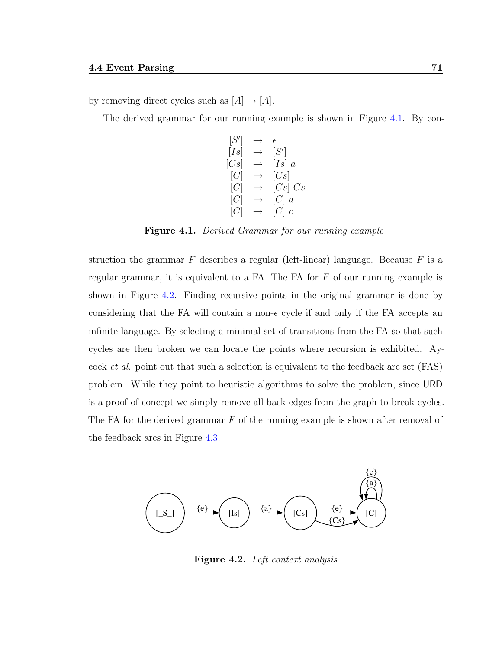by removing direct cycles such as  $[A] \rightarrow [A]$ .

The derived grammar for our running example is shown in Figure [4.1.](#page-82-0) By con-

[S  $\prime$  $\left.\begin{matrix}\end{matrix}\right|\quad\rightarrow\quad \epsilon$  $[Is]% \centering \subfloat[\centering]{{\includegraphics[scale=0.2]{img8.png} }}% \qquad \subfloat[\centering]{{\includegraphics[scale=0.2]{img9.png} }}% \caption{The 3D maps of the estimators in our classification example (A) of the estimators (B) of the real form (C) of the eigenvalues (D) of the eigenvalues (E) of the eigenvalues (E) of the eigenvalues (E) of the eigenvalues (E) of the eigenvalues (E) of the eigenvalues (E) of the eigenvalues (E) of the eigenvalues (E) of the eigenvalues (E) of the eigenvalues (E) of the eigenvalues (E) of the eigenvalues (E) of the eigenvalues (E) of the eigenvalues (E) of the eigenvalues (E) of the eigenvalues (E) of the eigenvalues (E) of the eigenvalues$  $\sqrt{ }$  $[Cs] \rightarrow [Is] a$  $[C] \rightarrow [Cs]$  $\left[ Cs\right] \, Cs$  $[C]$  a  $[C] \rightarrow [C]$  c

<span id="page-82-0"></span>Figure 4.1. Derived Grammar for our running example

struction the grammar  $F$  describes a regular (left-linear) language. Because  $F$  is a regular grammar, it is equivalent to a FA. The FA for  $F$  of our running example is shown in Figure [4.2.](#page-82-1) Finding recursive points in the original grammar is done by considering that the FA will contain a non- $\epsilon$  cycle if and only if the FA accepts an infinite language. By selecting a minimal set of transitions from the FA so that such cycles are then broken we can locate the points where recursion is exhibited. Aycock et al. point out that such a selection is equivalent to the feedback arc set (FAS) problem. While they point to heuristic algorithms to solve the problem, since URD is a proof-of-concept we simply remove all back-edges from the graph to break cycles. The FA for the derived grammar  $F$  of the running example is shown after removal of the feedback arcs in Figure [4.3.](#page-83-0)



<span id="page-82-1"></span>Figure 4.2. Left context analysis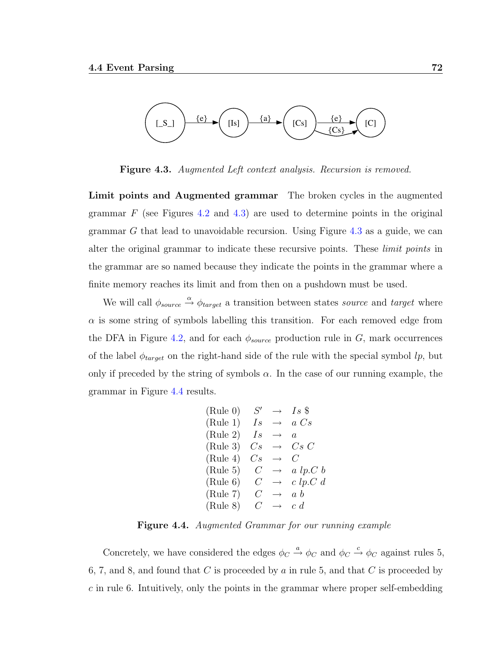

<span id="page-83-0"></span>Figure 4.3. Augmented Left context analysis. Recursion is removed.

Limit points and Augmented grammar The broken cycles in the augmented grammar  $F$  (see Figures [4.2](#page-82-1) and [4.3\)](#page-83-0) are used to determine points in the original grammar G that lead to unavoidable recursion. Using Figure [4.3](#page-83-0) as a guide, we can alter the original grammar to indicate these recursive points. These *limit points* in the grammar are so named because they indicate the points in the grammar where a finite memory reaches its limit and from then on a pushdown must be used.

We will call  $\phi_{source} \stackrel{\alpha}{\rightarrow} \phi_{target}$  a transition between states source and target where  $\alpha$  is some string of symbols labelling this transition. For each removed edge from the DFA in Figure [4.2,](#page-82-1) and for each  $\phi_{source}$  production rule in G, mark occurrences of the label  $\phi_{target}$  on the right-hand side of the rule with the special symbol  $lp$ , but only if preceded by the string of symbols  $\alpha$ . In the case of our running example, the grammar in Figure [4.4](#page-83-1) results.

(Rule 0) 
$$
S' \rightarrow Is \text{ } \text{\$}
$$
  
\n(Rule 1)  $Is \rightarrow a \text{ } Cs$   
\n(Rule 2)  $Is \rightarrow a$   
\n(Rule 3)  $Cs \rightarrow Cs \text{ } C$   
\n(Rule 4)  $Cs \rightarrow C$   
\n(Rule 5)  $C \rightarrow a \text{ } lp \text{ } C \text{ } b$   
\n(Rule 6)  $C \rightarrow c \text{ } lp \text{ } C \text{ } d$   
\n(Rule 7)  $C \rightarrow a \text{ } b$   
\n(Rule 8)  $C \rightarrow c \text{ } d$ 

<span id="page-83-1"></span>Figure 4.4. Augmented Grammar for our running example

Concretely, we have considered the edges  $\phi_C \stackrel{a}{\rightarrow} \phi_C$  and  $\phi_C \stackrel{c}{\rightarrow} \phi_C$  against rules 5, 6, 7, and 8, and found that C is proceeded by a in rule 5, and that C is proceeded by c in rule 6. Intuitively, only the points in the grammar where proper self-embedding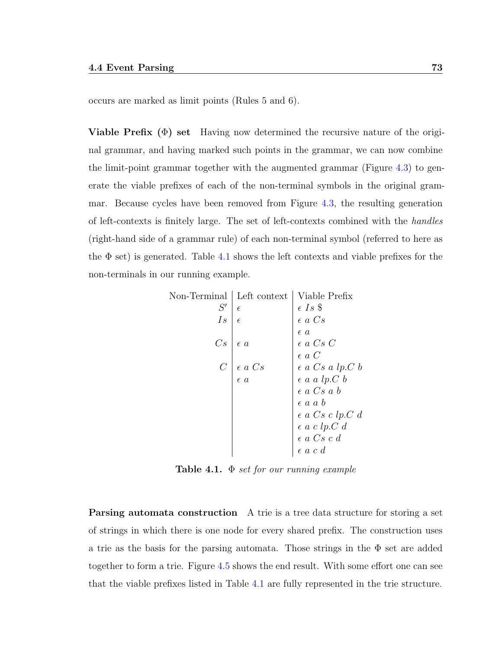occurs are marked as limit points (Rules 5 and 6).

**Viable Prefix** ( $\Phi$ ) set Having now determined the recursive nature of the original grammar, and having marked such points in the grammar, we can now combine the limit-point grammar together with the augmented grammar (Figure [4.3\)](#page-83-0) to generate the viable prefixes of each of the non-terminal symbols in the original grammar. Because cycles have been removed from Figure [4.3,](#page-83-0) the resulting generation of left-contexts is finitely large. The set of left-contexts combined with the handles (right-hand side of a grammar rule) of each non-terminal symbol (referred to here as the  $\Phi$  set) is generated. Table [4.1](#page-84-0) shows the left contexts and viable prefixes for the non-terminals in our running example.

| Non-Terminal  | Left context                      | Viable Prefix                                        |
|---------------|-----------------------------------|------------------------------------------------------|
| S'            | $\epsilon$                        |                                                      |
| Is            | $\epsilon$                        | $\epsilon$ Is $\$<br>$\epsilon$ a $Cs$               |
|               |                                   | $\epsilon$ a                                         |
| Cs            | $\epsilon$ a                      | $\epsilon$ a $Cs$ $C$ $\epsilon$ a $C$               |
|               |                                   |                                                      |
| $\mathcal{C}$ |                                   | $\epsilon$ a $Cs$ a $lp.C$ $b$                       |
|               | $\epsilon$ a $Cs$<br>$\epsilon$ a | $\epsilon$ a a lp.<br>C $b$                          |
|               |                                   | $\epsilon$ a $Cs$ a $b$                              |
|               |                                   | $\epsilon$ a a $b$                                   |
|               |                                   | $\epsilon$ a Cs c lp.C d                             |
|               |                                   | $\epsilon$ a c lp.<br>C d                            |
|               |                                   | $\epsilon$ a $Cs$<br>$c$ $d$ $\epsilon$ a $c$<br>$d$ |
|               |                                   |                                                      |

<span id="page-84-0"></span>Table 4.1.  $\Phi$  set for our running example

Parsing automata construction A trie is a tree data structure for storing a set of strings in which there is one node for every shared prefix. The construction uses a trie as the basis for the parsing automata. Those strings in the  $\Phi$  set are added together to form a trie. Figure [4.5](#page-85-0) shows the end result. With some effort one can see that the viable prefixes listed in Table [4.1](#page-84-0) are fully represented in the trie structure.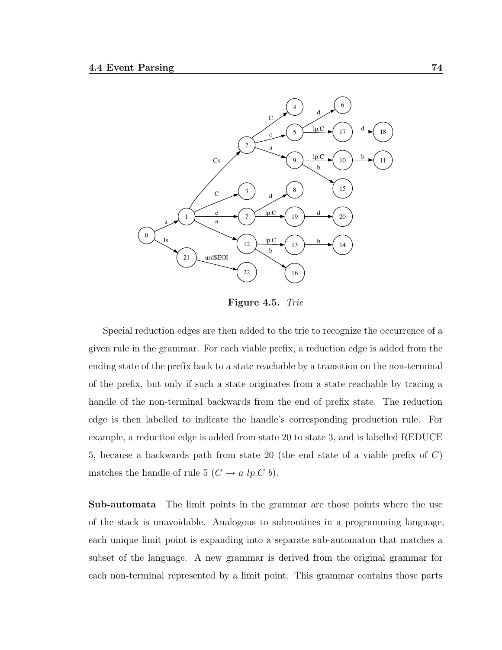

<span id="page-85-0"></span>Figure 4.5. Trie

Special reduction edges are then added to the trie to recognize the occurrence of a given rule in the grammar. For each viable prefix, a reduction edge is added from the ending state of the prefix back to a state reachable by a transition on the non-terminal of the prefix, but only if such a state originates from a state reachable by tracing a handle of the non-terminal backwards from the end of prefix state. The reduction edge is then labelled to indicate the handle's corresponding production rule. For example, a reduction edge is added from state 20 to state 3, and is labelled REDUCE 5, because a backwards path from state 20 (the end state of a viable prefix of C) matches the handle of rule 5 ( $C \rightarrow a \; lp \; C \; b$ ).

Sub-automata The limit points in the grammar are those points where the use of the stack is unavoidable. Analogous to subroutines in a programming language, each unique limit point is expanding into a separate sub-automaton that matches a subset of the language. A new grammar is derived from the original grammar for each non-terminal represented by a limit point. This grammar contains those parts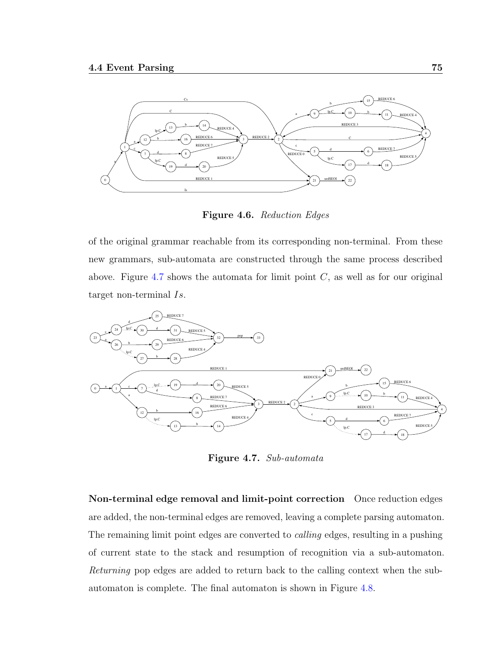

Figure 4.6. Reduction Edges

of the original grammar reachable from its corresponding non-terminal. From these new grammars, sub-automata are constructed through the same process described above. Figure [4.7](#page-86-0) shows the automata for limit point  $C$ , as well as for our original target non-terminal Is.



<span id="page-86-0"></span>Figure 4.7. Sub-automata

Non-terminal edge removal and limit-point correction Once reduction edges are added, the non-terminal edges are removed, leaving a complete parsing automaton. The remaining limit point edges are converted to *calling* edges, resulting in a pushing of current state to the stack and resumption of recognition via a sub-automaton. Returning pop edges are added to return back to the calling context when the subautomaton is complete. The final automaton is shown in Figure [4.8.](#page-87-1)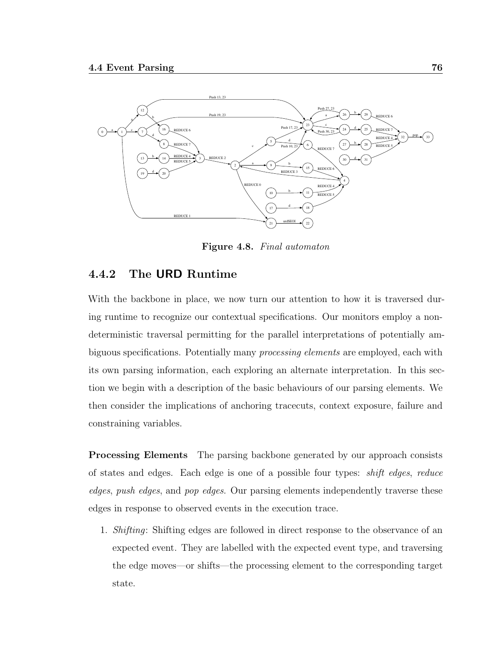

<span id="page-87-1"></span>Figure 4.8. Final automaton

## <span id="page-87-0"></span>4.4.2 The URD Runtime

With the backbone in place, we now turn our attention to how it is traversed during runtime to recognize our contextual specifications. Our monitors employ a nondeterministic traversal permitting for the parallel interpretations of potentially ambiguous specifications. Potentially many processing elements are employed, each with its own parsing information, each exploring an alternate interpretation. In this section we begin with a description of the basic behaviours of our parsing elements. We then consider the implications of anchoring tracecuts, context exposure, failure and constraining variables.

**Processing Elements** The parsing backbone generated by our approach consists of states and edges. Each edge is one of a possible four types: shift edges, reduce edges, push edges, and pop edges. Our parsing elements independently traverse these edges in response to observed events in the execution trace.

1. Shifting: Shifting edges are followed in direct response to the observance of an expected event. They are labelled with the expected event type, and traversing the edge moves—or shifts—the processing element to the corresponding target state.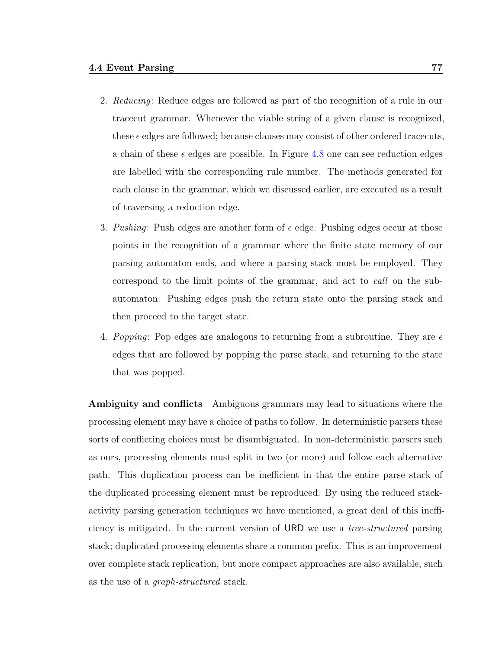- 2. Reducing: Reduce edges are followed as part of the recognition of a rule in our tracecut grammar. Whenever the viable string of a given clause is recognized, these  $\epsilon$  edges are followed; because clauses may consist of other ordered tracecuts, a chain of these  $\epsilon$  edges are possible. In Figure [4.8](#page-87-1) one can see reduction edges are labelled with the corresponding rule number. The methods generated for each clause in the grammar, which we discussed earlier, are executed as a result of traversing a reduction edge.
- 3. Pushing: Push edges are another form of  $\epsilon$  edge. Pushing edges occur at those points in the recognition of a grammar where the finite state memory of our parsing automaton ends, and where a parsing stack must be employed. They correspond to the limit points of the grammar, and act to call on the subautomaton. Pushing edges push the return state onto the parsing stack and then proceed to the target state.
- 4. Popping: Pop edges are analogous to returning from a subroutine. They are  $\epsilon$ edges that are followed by popping the parse stack, and returning to the state that was popped.

Ambiguity and conflicts Ambiguous grammars may lead to situations where the processing element may have a choice of paths to follow. In deterministic parsers these sorts of conflicting choices must be disambiguated. In non-deterministic parsers such as ours, processing elements must split in two (or more) and follow each alternative path. This duplication process can be inefficient in that the entire parse stack of the duplicated processing element must be reproduced. By using the reduced stackactivity parsing generation techniques we have mentioned, a great deal of this inefficiency is mitigated. In the current version of URD we use a tree-structured parsing stack; duplicated processing elements share a common prefix. This is an improvement over complete stack replication, but more compact approaches are also available, such as the use of a graph-structured stack.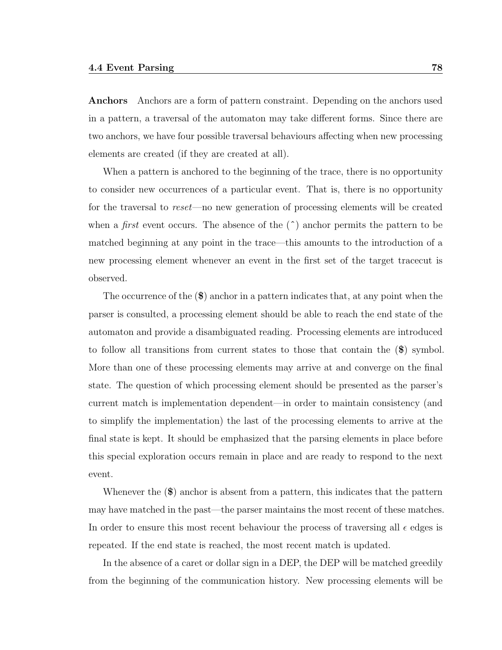Anchors Anchors are a form of pattern constraint. Depending on the anchors used in a pattern, a traversal of the automaton may take different forms. Since there are two anchors, we have four possible traversal behaviours affecting when new processing elements are created (if they are created at all).

When a pattern is anchored to the beginning of the trace, there is no opportunity to consider new occurrences of a particular event. That is, there is no opportunity for the traversal to reset—no new generation of processing elements will be created when a *first* event occurs. The absence of the  $(\hat{\ })$  anchor permits the pattern to be matched beginning at any point in the trace—this amounts to the introduction of a new processing element whenever an event in the first set of the target tracecut is observed.

The occurrence of the (\$) anchor in a pattern indicates that, at any point when the parser is consulted, a processing element should be able to reach the end state of the automaton and provide a disambiguated reading. Processing elements are introduced to follow all transitions from current states to those that contain the (\$) symbol. More than one of these processing elements may arrive at and converge on the final state. The question of which processing element should be presented as the parser's current match is implementation dependent—in order to maintain consistency (and to simplify the implementation) the last of the processing elements to arrive at the final state is kept. It should be emphasized that the parsing elements in place before this special exploration occurs remain in place and are ready to respond to the next event.

Whenever the  $(\mathbf{\$})$  anchor is absent from a pattern, this indicates that the pattern may have matched in the past—the parser maintains the most recent of these matches. In order to ensure this most recent behaviour the process of traversing all  $\epsilon$  edges is repeated. If the end state is reached, the most recent match is updated.

In the absence of a caret or dollar sign in a DEP, the DEP will be matched greedily from the beginning of the communication history. New processing elements will be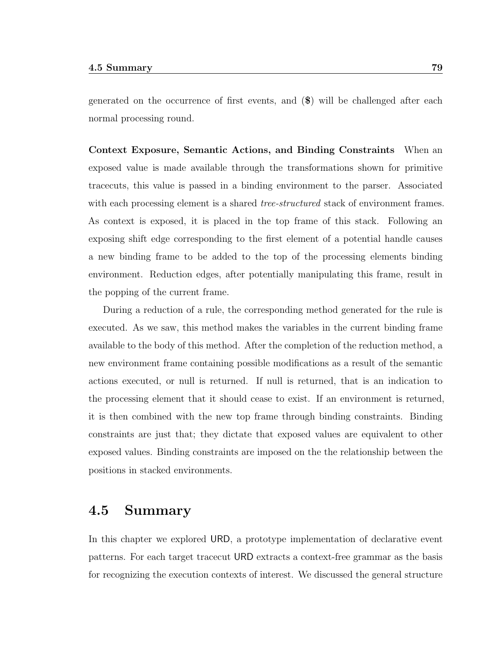generated on the occurrence of first events, and (\$) will be challenged after each normal processing round.

Context Exposure, Semantic Actions, and Binding Constraints When an exposed value is made available through the transformations shown for primitive tracecuts, this value is passed in a binding environment to the parser. Associated with each processing element is a shared *tree-structured* stack of environment frames. As context is exposed, it is placed in the top frame of this stack. Following an exposing shift edge corresponding to the first element of a potential handle causes a new binding frame to be added to the top of the processing elements binding environment. Reduction edges, after potentially manipulating this frame, result in the popping of the current frame.

During a reduction of a rule, the corresponding method generated for the rule is executed. As we saw, this method makes the variables in the current binding frame available to the body of this method. After the completion of the reduction method, a new environment frame containing possible modifications as a result of the semantic actions executed, or null is returned. If null is returned, that is an indication to the processing element that it should cease to exist. If an environment is returned, it is then combined with the new top frame through binding constraints. Binding constraints are just that; they dictate that exposed values are equivalent to other exposed values. Binding constraints are imposed on the the relationship between the positions in stacked environments.

## 4.5 Summary

In this chapter we explored URD, a prototype implementation of declarative event patterns. For each target tracecut URD extracts a context-free grammar as the basis for recognizing the execution contexts of interest. We discussed the general structure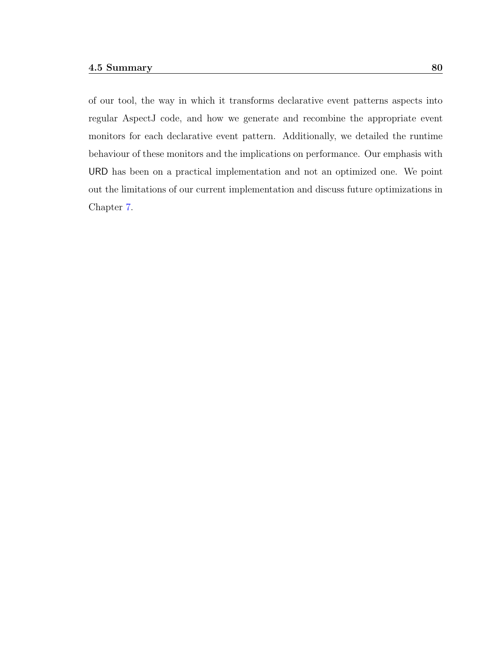of our tool, the way in which it transforms declarative event patterns aspects into regular AspectJ code, and how we generate and recombine the appropriate event monitors for each declarative event pattern. Additionally, we detailed the runtime behaviour of these monitors and the implications on performance. Our emphasis with URD has been on a practical implementation and not an optimized one. We point out the limitations of our current implementation and discuss future optimizations in Chapter [7.](#page-138-0)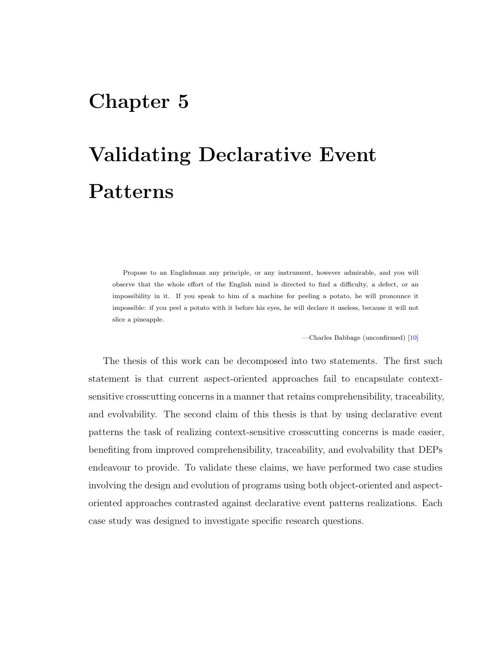## Chapter 5

# Validating Declarative Event Patterns

Propose to an Englishman any principle, or any instrument, however admirable, and you will observe that the whole effort of the English mind is directed to find a difficulty, a defect, or an impossibility in it. If you speak to him of a machine for peeling a potato, he will pronounce it impossible: if you peel a potato with it before his eyes, he will declare it useless, because it will not slice a pineapple.

—Charles Babbage (unconfirmed) [\[10\]](#page-151-3)

The thesis of this work can be decomposed into two statements. The first such statement is that current aspect-oriented approaches fail to encapsulate contextsensitive crosscutting concerns in a manner that retains comprehensibility, traceability, and evolvability. The second claim of this thesis is that by using declarative event patterns the task of realizing context-sensitive crosscutting concerns is made easier, benefiting from improved comprehensibility, traceability, and evolvability that DEPs endeavour to provide. To validate these claims, we have performed two case studies involving the design and evolution of programs using both object-oriented and aspectoriented approaches contrasted against declarative event patterns realizations. Each case study was designed to investigate specific research questions.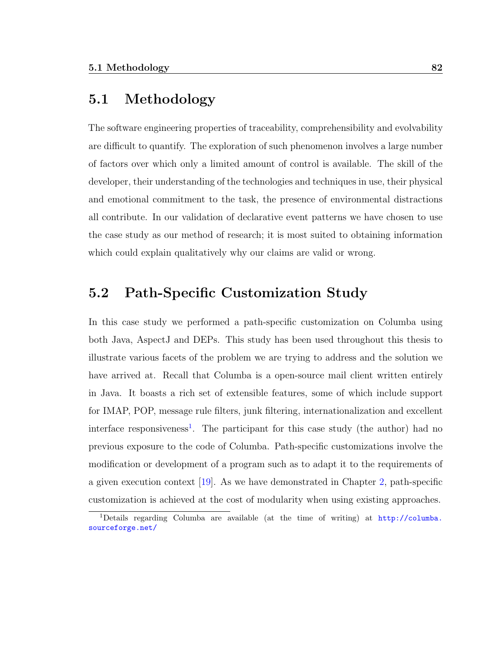## 5.1 Methodology

The software engineering properties of traceability, comprehensibility and evolvability are difficult to quantify. The exploration of such phenomenon involves a large number of factors over which only a limited amount of control is available. The skill of the developer, their understanding of the technologies and techniques in use, their physical and emotional commitment to the task, the presence of environmental distractions all contribute. In our validation of declarative event patterns we have chosen to use the case study as our method of research; it is most suited to obtaining information which could explain qualitatively why our claims are valid or wrong.

## 5.2 Path-Specific Customization Study

In this case study we performed a path-specific customization on Columba using both Java, AspectJ and DEPs. This study has been used throughout this thesis to illustrate various facets of the problem we are trying to address and the solution we have arrived at. Recall that Columba is a open-source mail client written entirely in Java. It boasts a rich set of extensible features, some of which include support for IMAP, POP, message rule filters, junk filtering, internationalization and excellent interface responsiveness<sup>[1](#page-93-0)</sup>. The participant for this case study (the author) had no previous exposure to the code of Columba. Path-specific customizations involve the modification or development of a program such as to adapt it to the requirements of a given execution context [\[19\]](#page-152-0). As we have demonstrated in Chapter [2,](#page-25-0) path-specific customization is achieved at the cost of modularity when using existing approaches.

<span id="page-93-0"></span><sup>1</sup>Details regarding Columba are available (at the time of writing) at [http://columba.](http://columba.sourceforge.net/) [sourceforge.net/](http://columba.sourceforge.net/)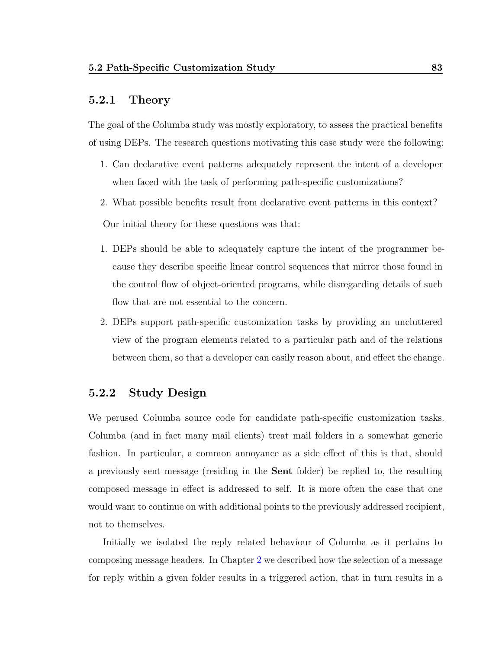#### 5.2.1 Theory

The goal of the Columba study was mostly exploratory, to assess the practical benefits of using DEPs. The research questions motivating this case study were the following:

- 1. Can declarative event patterns adequately represent the intent of a developer when faced with the task of performing path-specific customizations?
- 2. What possible benefits result from declarative event patterns in this context?

Our initial theory for these questions was that:

- 1. DEPs should be able to adequately capture the intent of the programmer because they describe specific linear control sequences that mirror those found in the control flow of object-oriented programs, while disregarding details of such flow that are not essential to the concern.
- 2. DEPs support path-specific customization tasks by providing an uncluttered view of the program elements related to a particular path and of the relations between them, so that a developer can easily reason about, and effect the change.

## 5.2.2 Study Design

We perused Columba source code for candidate path-specific customization tasks. Columba (and in fact many mail clients) treat mail folders in a somewhat generic fashion. In particular, a common annoyance as a side effect of this is that, should a previously sent message (residing in the Sent folder) be replied to, the resulting composed message in effect is addressed to self. It is more often the case that one would want to continue on with additional points to the previously addressed recipient, not to themselves.

Initially we isolated the reply related behaviour of Columba as it pertains to composing message headers. In Chapter [2](#page-25-0) we described how the selection of a message for reply within a given folder results in a triggered action, that in turn results in a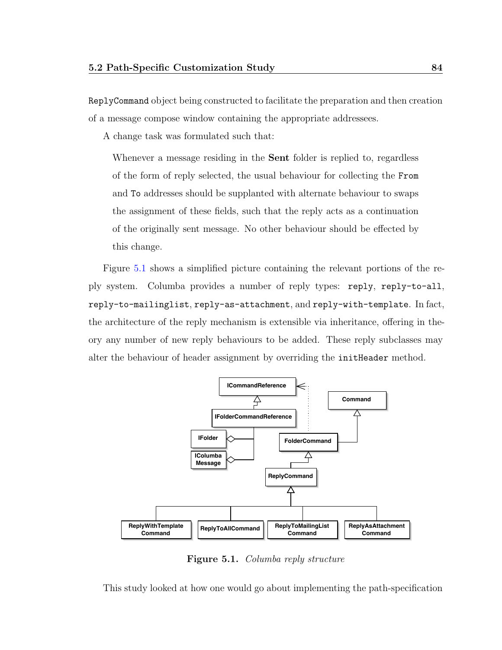ReplyCommand object being constructed to facilitate the preparation and then creation of a message compose window containing the appropriate addressees.

A change task was formulated such that:

Whenever a message residing in the Sent folder is replied to, regardless of the form of reply selected, the usual behaviour for collecting the From and To addresses should be supplanted with alternate behaviour to swaps the assignment of these fields, such that the reply acts as a continuation of the originally sent message. No other behaviour should be effected by this change.

Figure [5.1](#page-95-0) shows a simplified picture containing the relevant portions of the reply system. Columba provides a number of reply types: reply, reply-to-all, reply-to-mailinglist, reply-as-attachment, and reply-with-template. In fact, the architecture of the reply mechanism is extensible via inheritance, offering in theory any number of new reply behaviours to be added. These reply subclasses may alter the behaviour of header assignment by overriding the initHeader method.



<span id="page-95-0"></span>Figure 5.1. Columba reply structure

This study looked at how one would go about implementing the path-specification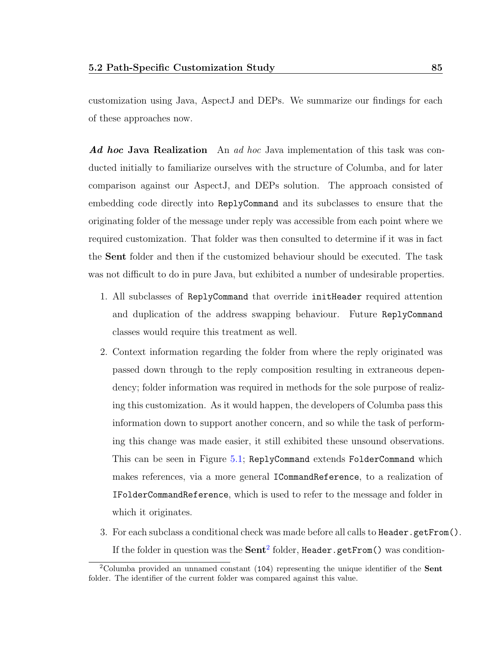customization using Java, AspectJ and DEPs. We summarize our findings for each of these approaches now.

Ad hoc Java Realization An ad hoc Java implementation of this task was conducted initially to familiarize ourselves with the structure of Columba, and for later comparison against our AspectJ, and DEPs solution. The approach consisted of embedding code directly into ReplyCommand and its subclasses to ensure that the originating folder of the message under reply was accessible from each point where we required customization. That folder was then consulted to determine if it was in fact the Sent folder and then if the customized behaviour should be executed. The task was not difficult to do in pure Java, but exhibited a number of undesirable properties.

- 1. All subclasses of ReplyCommand that override initHeader required attention and duplication of the address swapping behaviour. Future ReplyCommand classes would require this treatment as well.
- 2. Context information regarding the folder from where the reply originated was passed down through to the reply composition resulting in extraneous dependency; folder information was required in methods for the sole purpose of realizing this customization. As it would happen, the developers of Columba pass this information down to support another concern, and so while the task of performing this change was made easier, it still exhibited these unsound observations. This can be seen in Figure [5.1;](#page-95-0) ReplyCommand extends FolderCommand which makes references, via a more general ICommandReference, to a realization of IFolderCommandReference, which is used to refer to the message and folder in which it originates.
- 3. For each subclass a conditional check was made before all calls to Header.getFrom(). If the folder in question was the  $\mathbf{Sent}^2$  $\mathbf{Sent}^2$  folder, Header  $.$  getFrom() was condition-

<span id="page-96-0"></span><sup>2</sup>Columba provided an unnamed constant (104) representing the unique identifier of the Sent folder. The identifier of the current folder was compared against this value.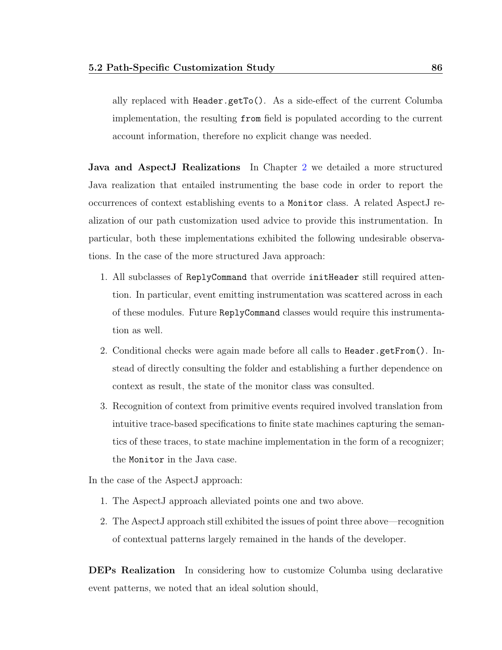ally replaced with Header.getTo(). As a side-effect of the current Columba implementation, the resulting from field is populated according to the current account information, therefore no explicit change was needed.

Java and AspectJ Realizations In Chapter [2](#page-25-0) we detailed a more structured Java realization that entailed instrumenting the base code in order to report the occurrences of context establishing events to a Monitor class. A related AspectJ realization of our path customization used advice to provide this instrumentation. In particular, both these implementations exhibited the following undesirable observations. In the case of the more structured Java approach:

- 1. All subclasses of ReplyCommand that override initHeader still required attention. In particular, event emitting instrumentation was scattered across in each of these modules. Future ReplyCommand classes would require this instrumentation as well.
- 2. Conditional checks were again made before all calls to Header.getFrom(). Instead of directly consulting the folder and establishing a further dependence on context as result, the state of the monitor class was consulted.
- 3. Recognition of context from primitive events required involved translation from intuitive trace-based specifications to finite state machines capturing the semantics of these traces, to state machine implementation in the form of a recognizer; the Monitor in the Java case.

In the case of the AspectJ approach:

- 1. The AspectJ approach alleviated points one and two above.
- 2. The AspectJ approach still exhibited the issues of point three above—recognition of contextual patterns largely remained in the hands of the developer.

DEPs Realization In considering how to customize Columba using declarative event patterns, we noted that an ideal solution should,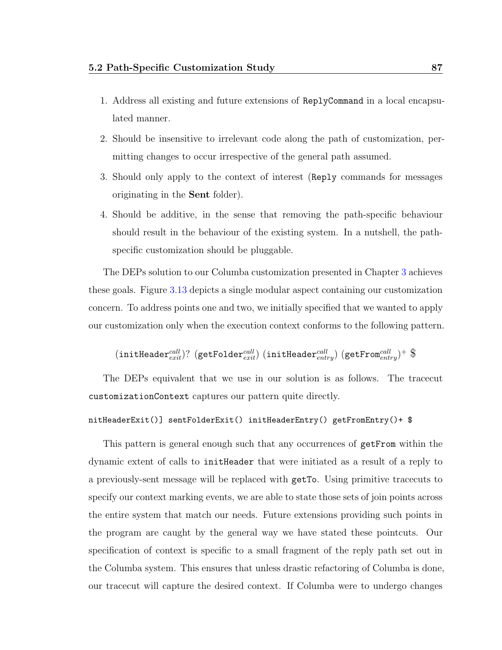- 1. Address all existing and future extensions of ReplyCommand in a local encapsulated manner.
- 2. Should be insensitive to irrelevant code along the path of customization, permitting changes to occur irrespective of the general path assumed.
- 3. Should only apply to the context of interest (Reply commands for messages originating in the Sent folder).
- 4. Should be additive, in the sense that removing the path-specific behaviour should result in the behaviour of the existing system. In a nutshell, the pathspecific customization should be pluggable.

The DEPs solution to our Columba customization presented in Chapter [3](#page-45-0) achieves these goals. Figure [3.13](#page-61-0) depicts a single modular aspect containing our customization concern. To address points one and two, we initially specified that we wanted to apply our customization only when the execution context conforms to the following pattern.

 $(\texttt{initHeader}^{call}_{exit}) ?$   $(\texttt{getFolder}^{call}_{exit})$   $(\texttt{initHeader}^{call}_{entry})$   $(\texttt{getFrom}^{call}_{entry})^+$   $\$$ 

The DEPs equivalent that we use in our solution is as follows. The tracecut customizationContext captures our pattern quite directly.

#### nitHeaderExit()] sentFolderExit() initHeaderEntry() getFromEntry()+ \$

This pattern is general enough such that any occurrences of getFrom within the dynamic extent of calls to initHeader that were initiated as a result of a reply to a previously-sent message will be replaced with getTo. Using primitive tracecuts to specify our context marking events, we are able to state those sets of join points across the entire system that match our needs. Future extensions providing such points in the program are caught by the general way we have stated these pointcuts. Our specification of context is specific to a small fragment of the reply path set out in the Columba system. This ensures that unless drastic refactoring of Columba is done, our tracecut will capture the desired context. If Columba were to undergo changes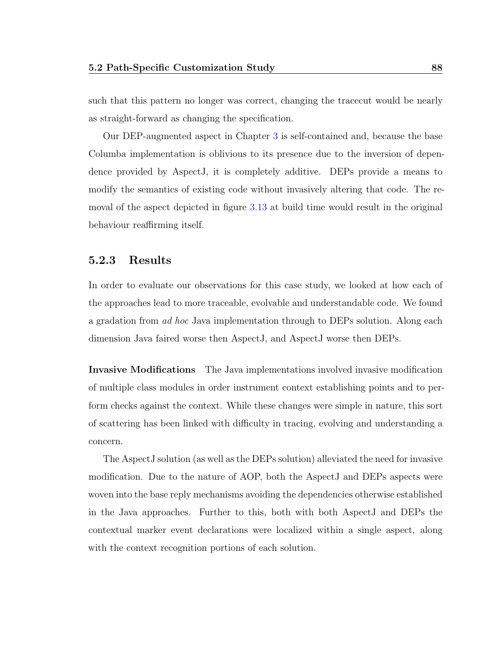such that this pattern no longer was correct, changing the tracecut would be nearly as straight-forward as changing the specification.

Our DEP-augmented aspect in Chapter [3](#page-45-0) is self-contained and, because the base Columba implementation is oblivious to its presence due to the inversion of dependence provided by AspectJ, it is completely additive. DEPs provide a means to modify the semantics of existing code without invasively altering that code. The removal of the aspect depicted in figure [3.13](#page-61-0) at build time would result in the original behaviour reaffirming itself.

#### 5.2.3 Results

In order to evaluate our observations for this case study, we looked at how each of the approaches lead to more traceable, evolvable and understandable code. We found a gradation from ad hoc Java implementation through to DEPs solution. Along each dimension Java faired worse then AspectJ, and AspectJ worse then DEPs.

Invasive Modifications The Java implementations involved invasive modification of multiple class modules in order instrument context establishing points and to perform checks against the context. While these changes were simple in nature, this sort of scattering has been linked with difficulty in tracing, evolving and understanding a concern.

The AspectJ solution (as well as the DEPs solution) alleviated the need for invasive modification. Due to the nature of AOP, both the AspectJ and DEPs aspects were woven into the base reply mechanisms avoiding the dependencies otherwise established in the Java approaches. Further to this, both with both AspectJ and DEPs the contextual marker event declarations were localized within a single aspect, along with the context recognition portions of each solution.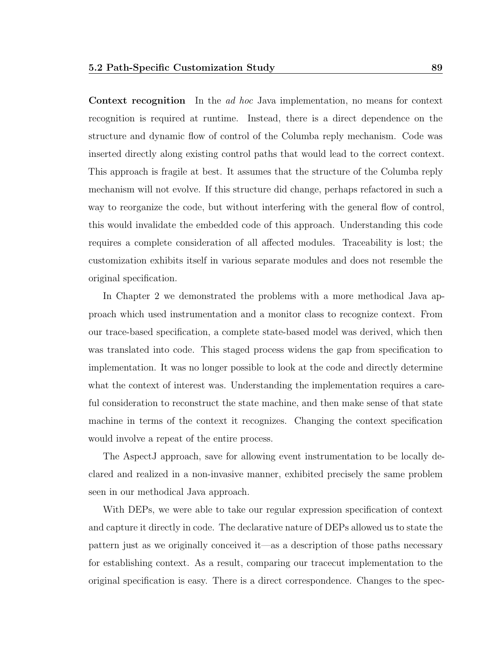Context recognition In the ad hoc Java implementation, no means for context recognition is required at runtime. Instead, there is a direct dependence on the structure and dynamic flow of control of the Columba reply mechanism. Code was inserted directly along existing control paths that would lead to the correct context. This approach is fragile at best. It assumes that the structure of the Columba reply mechanism will not evolve. If this structure did change, perhaps refactored in such a way to reorganize the code, but without interfering with the general flow of control, this would invalidate the embedded code of this approach. Understanding this code requires a complete consideration of all affected modules. Traceability is lost; the customization exhibits itself in various separate modules and does not resemble the original specification.

In Chapter 2 we demonstrated the problems with a more methodical Java approach which used instrumentation and a monitor class to recognize context. From our trace-based specification, a complete state-based model was derived, which then was translated into code. This staged process widens the gap from specification to implementation. It was no longer possible to look at the code and directly determine what the context of interest was. Understanding the implementation requires a careful consideration to reconstruct the state machine, and then make sense of that state machine in terms of the context it recognizes. Changing the context specification would involve a repeat of the entire process.

The AspectJ approach, save for allowing event instrumentation to be locally declared and realized in a non-invasive manner, exhibited precisely the same problem seen in our methodical Java approach.

With DEPs, we were able to take our regular expression specification of context and capture it directly in code. The declarative nature of DEPs allowed us to state the pattern just as we originally conceived it—as a description of those paths necessary for establishing context. As a result, comparing our tracecut implementation to the original specification is easy. There is a direct correspondence. Changes to the spec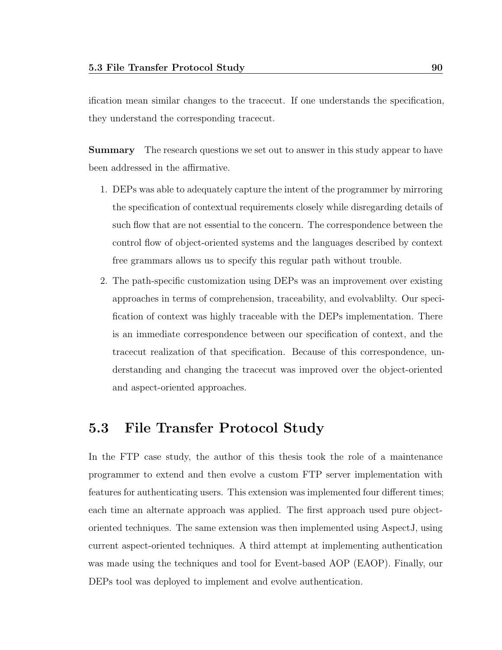ification mean similar changes to the tracecut. If one understands the specification, they understand the corresponding tracecut.

**Summary** The research questions we set out to answer in this study appear to have been addressed in the affirmative.

- 1. DEPs was able to adequately capture the intent of the programmer by mirroring the specification of contextual requirements closely while disregarding details of such flow that are not essential to the concern. The correspondence between the control flow of object-oriented systems and the languages described by context free grammars allows us to specify this regular path without trouble.
- 2. The path-specific customization using DEPs was an improvement over existing approaches in terms of comprehension, traceability, and evolvablilty. Our specification of context was highly traceable with the DEPs implementation. There is an immediate correspondence between our specification of context, and the tracecut realization of that specification. Because of this correspondence, understanding and changing the tracecut was improved over the object-oriented and aspect-oriented approaches.

## 5.3 File Transfer Protocol Study

In the FTP case study, the author of this thesis took the role of a maintenance programmer to extend and then evolve a custom FTP server implementation with features for authenticating users. This extension was implemented four different times; each time an alternate approach was applied. The first approach used pure objectoriented techniques. The same extension was then implemented using AspectJ, using current aspect-oriented techniques. A third attempt at implementing authentication was made using the techniques and tool for Event-based AOP (EAOP). Finally, our DEPs tool was deployed to implement and evolve authentication.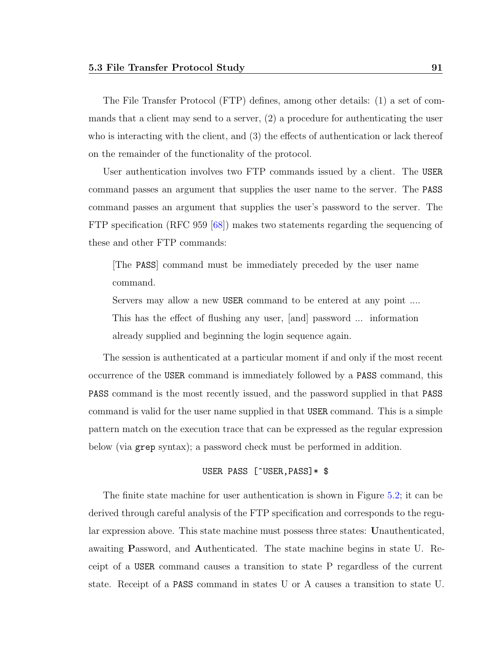The File Transfer Protocol (FTP) defines, among other details: (1) a set of commands that a client may send to a server, (2) a procedure for authenticating the user who is interacting with the client, and (3) the effects of authentication or lack thereof on the remainder of the functionality of the protocol.

User authentication involves two FTP commands issued by a client. The USER command passes an argument that supplies the user name to the server. The PASS command passes an argument that supplies the user's password to the server. The FTP specification (RFC 959 [\[68\]](#page-156-0)) makes two statements regarding the sequencing of these and other FTP commands:

[The PASS] command must be immediately preceded by the user name command.

Servers may allow a new USER command to be entered at any point .... This has the effect of flushing any user, [and] password ... information already supplied and beginning the login sequence again.

The session is authenticated at a particular moment if and only if the most recent occurrence of the USER command is immediately followed by a PASS command, this PASS command is the most recently issued, and the password supplied in that PASS command is valid for the user name supplied in that USER command. This is a simple pattern match on the execution trace that can be expressed as the regular expression below (via grep syntax); a password check must be performed in addition.

#### USER PASS [^USER, PASS] \* \$

The finite state machine for user authentication is shown in Figure [5.2;](#page-103-0) it can be derived through careful analysis of the FTP specification and corresponds to the regular expression above. This state machine must possess three states: Unauthenticated, awaiting Password, and Authenticated. The state machine begins in state U. Receipt of a USER command causes a transition to state P regardless of the current state. Receipt of a PASS command in states U or A causes a transition to state U.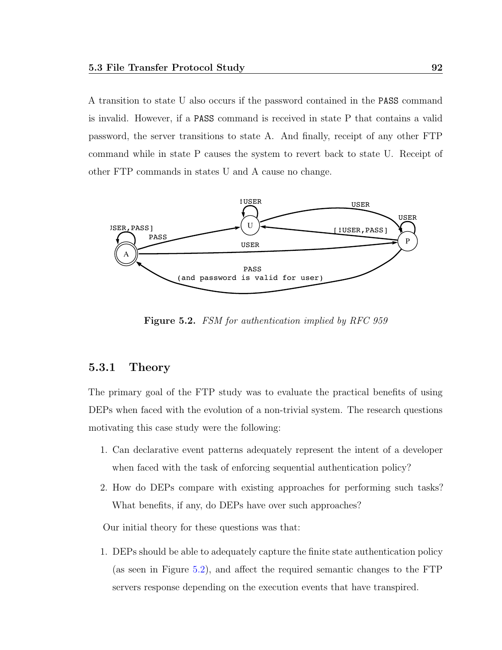A transition to state U also occurs if the password contained in the PASS command is invalid. However, if a PASS command is received in state P that contains a valid password, the server transitions to state A. And finally, receipt of any other FTP command while in state P causes the system to revert back to state U. Receipt of other FTP commands in states U and A cause no change.



<span id="page-103-0"></span>Figure 5.2. FSM for authentication implied by RFC 959

## 5.3.1 Theory

The primary goal of the FTP study was to evaluate the practical benefits of using DEPs when faced with the evolution of a non-trivial system. The research questions motivating this case study were the following:

- 1. Can declarative event patterns adequately represent the intent of a developer when faced with the task of enforcing sequential authentication policy?
- 2. How do DEPs compare with existing approaches for performing such tasks? What benefits, if any, do DEPs have over such approaches?

Our initial theory for these questions was that:

1. DEPs should be able to adequately capture the finite state authentication policy (as seen in Figure [5.2\)](#page-103-0), and affect the required semantic changes to the FTP servers response depending on the execution events that have transpired.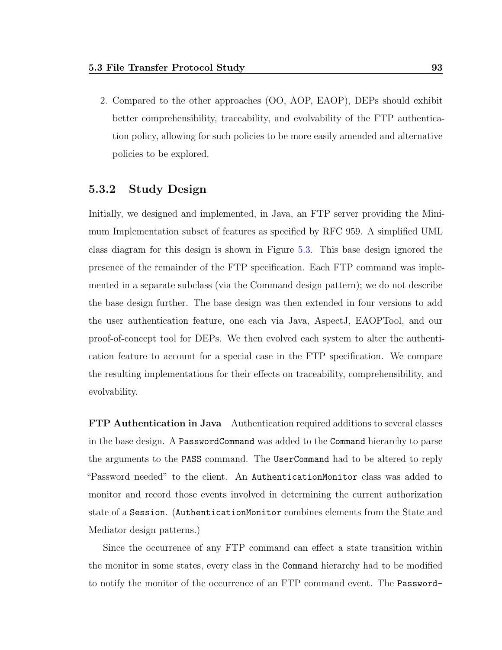2. Compared to the other approaches (OO, AOP, EAOP), DEPs should exhibit better comprehensibility, traceability, and evolvability of the FTP authentication policy, allowing for such policies to be more easily amended and alternative policies to be explored.

## 5.3.2 Study Design

Initially, we designed and implemented, in Java, an FTP server providing the Minimum Implementation subset of features as specified by RFC 959. A simplified UML class diagram for this design is shown in Figure [5.3.](#page-105-0) This base design ignored the presence of the remainder of the FTP specification. Each FTP command was implemented in a separate subclass (via the Command design pattern); we do not describe the base design further. The base design was then extended in four versions to add the user authentication feature, one each via Java, AspectJ, EAOPTool, and our proof-of-concept tool for DEPs. We then evolved each system to alter the authentication feature to account for a special case in the FTP specification. We compare the resulting implementations for their effects on traceability, comprehensibility, and evolvability.

FTP Authentication in Java Authentication required additions to several classes in the base design. A PasswordCommand was added to the Command hierarchy to parse the arguments to the PASS command. The UserCommand had to be altered to reply "Password needed" to the client. An AuthenticationMonitor class was added to monitor and record those events involved in determining the current authorization state of a Session. (AuthenticationMonitor combines elements from the State and Mediator design patterns.)

Since the occurrence of any FTP command can effect a state transition within the monitor in some states, every class in the Command hierarchy had to be modified to notify the monitor of the occurrence of an FTP command event. The Password-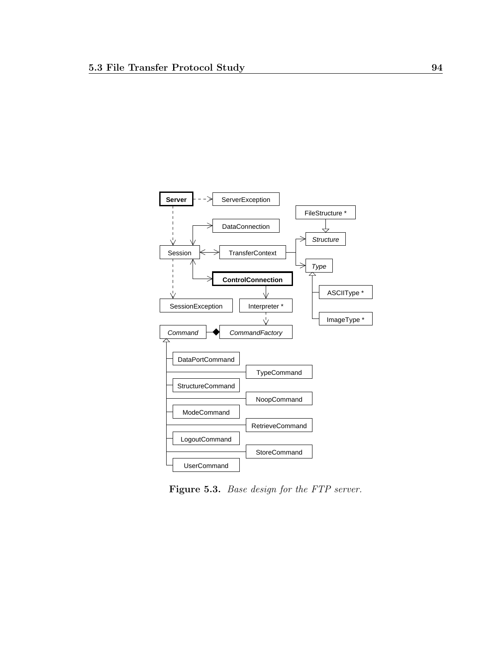

<span id="page-105-0"></span>Figure 5.3. Base design for the FTP server.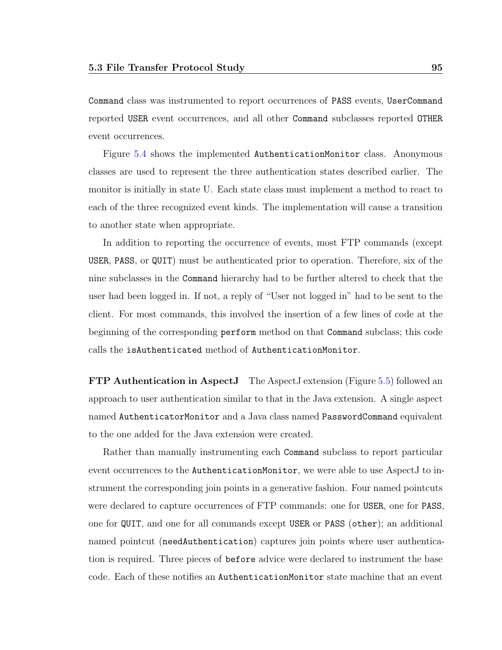Command class was instrumented to report occurrences of PASS events, UserCommand reported USER event occurrences, and all other Command subclasses reported OTHER event occurrences.

Figure [5.4](#page-107-0) shows the implemented AuthenticationMonitor class. Anonymous classes are used to represent the three authentication states described earlier. The monitor is initially in state U. Each state class must implement a method to react to each of the three recognized event kinds. The implementation will cause a transition to another state when appropriate.

In addition to reporting the occurrence of events, most FTP commands (except USER, PASS, or QUIT) must be authenticated prior to operation. Therefore, six of the nine subclasses in the Command hierarchy had to be further altered to check that the user had been logged in. If not, a reply of "User not logged in" had to be sent to the client. For most commands, this involved the insertion of a few lines of code at the beginning of the corresponding perform method on that Command subclass; this code calls the isAuthenticated method of AuthenticationMonitor.

FTP Authentication in AspectJ The AspectJ extension (Figure [5.5\)](#page-108-0) followed an approach to user authentication similar to that in the Java extension. A single aspect named AuthenticatorMonitor and a Java class named PasswordCommand equivalent to the one added for the Java extension were created.

Rather than manually instrumenting each Command subclass to report particular event occurrences to the AuthenticationMonitor, we were able to use AspectJ to instrument the corresponding join points in a generative fashion. Four named pointcuts were declared to capture occurrences of FTP commands: one for USER, one for PASS, one for QUIT, and one for all commands except USER or PASS (other); an additional named pointcut (needAuthentication) captures join points where user authentication is required. Three pieces of before advice were declared to instrument the base code. Each of these notifies an AuthenticationMonitor state machine that an event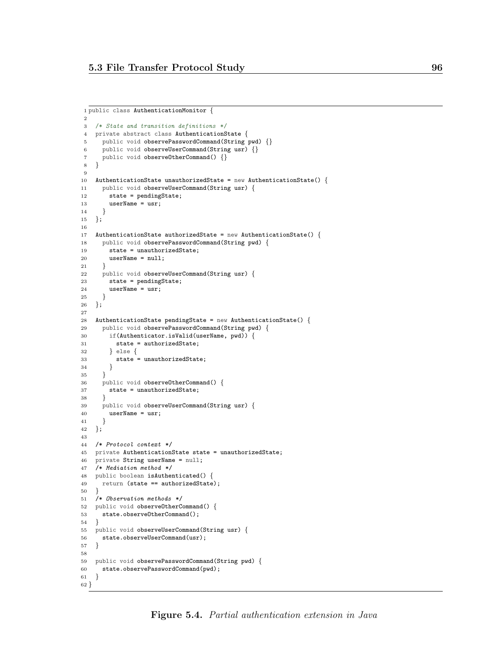```
1 public class AuthenticationMonitor {
\circ3 /* State and transition definitions */
 4 private abstract class AuthenticationState {
 5 public void observePasswordCommand(String pwd) {}
 6 public void observeUserCommand(String usr) {}
7 public void observeOtherCommand() {}
8 }
9
10 AuthenticationState unauthorizedState = new AuthenticationState() {
11 public void observeUserCommand(String usr) {
12 state = pendingState;
13 userName = usr;
14 }
15 };
16
17 AuthenticationState authorizedState = new AuthenticationState() {
18 public void observePasswordCommand(String pwd) {
19 state = unauthorizedState;
20 userName = null;
21 }
22 public void observeUserCommand(String usr) {
23 state = pendingState;
24 userName = usr;
25 }
26 };
27
28 AuthenticationState pendingState = new AuthenticationState() {
29 public void observePasswordCommand(String pwd) {
30 if(Authenticator.isValid(userName, pwd)) {
31 state = authorizedState;
32 } else {
33 state = unauthorizedState;
34 }
35 }
36 public void observeOtherCommand() {
37 state = unauthorizedState;
38 }
39 public void observeUserCommand(String usr) {
40 userName = usr;
41 }
42 };
43
44 /* Protocol context */
45 private AuthenticationState state = unauthorizedState;
46 private String userName = null;
47 /* Mediation method */
48 public boolean isAuthenticated() {
49 return (state == authorizedState);
50 }
51 /* Observation methods */
52 public void observeOtherCommand() {
53 state.observe0therCommand();
54 }
55 public void observeUserCommand(String usr) {
56 state.observeUserCommand(usr);
57 }
58
59 public void observePasswordCommand(String pwd) {
60 state.observePasswordCommand(pwd);
61 }
62 }
```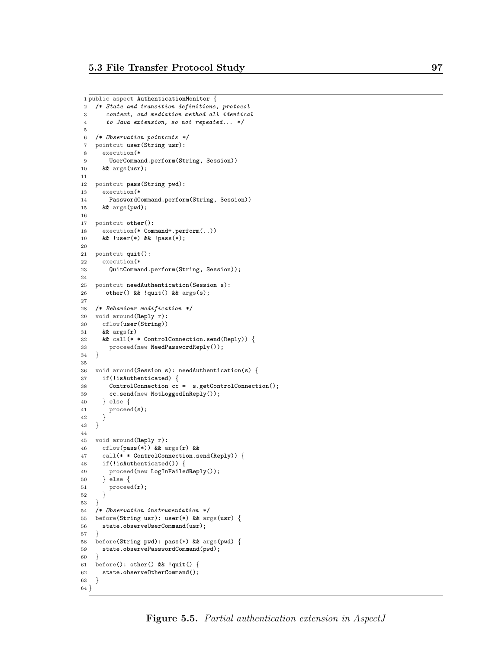```
1 public aspect AuthenticationMonitor {
2 /* State and transition definitions, protocol
3 context, and mediation method all identical
4 to Java extension, so not repeated... */
5
6 /* Observation pointcuts */
7 pointcut user(String usr):
8 execution(*
9 UserCommand.perform(String, Session))
10 && args(usr);
11
12 pointcut pass(String pwd):
13 execution(*
14 PasswordCommand.perform(String, Session))
15 && args(pwd);
16
17 pointcut other():
18 execution(* Command+.perform(..))
19 && !user(*) && !pass(*);
20
21 pointcut quit():
22 execution(*
23 QuitCommand.perform(String, Session));
24
25 pointcut needAuthentication(Session s):
26 other() && !quit() && args(s);
27
28 /* Behaviour modification */
29 void around(Reply r):
30 cflow(user(String))
31 && args(r)
32 && call(* * ControlConnection.send(Reply)) {
33 proceed(new NeedPasswordReply());
34 }
35
36 void around(Session s): needAuthentication(s) {
37 if(!isAuthenticated) {
38 ControlConnection cc = s.getControlConnection();
39 cc.send(new NotLoggedInReply());
40 } else {
41 proceed(s);
42 }
43 }
44
45 void around(Reply r):
46 cflow(pass(*)) && args(r) &&
47 call(* * ControlConnection.send(Reply)) {
48 if(!isAuthenticated()) {
49 proceed(new LogInFailedReply());
50 } else {
51 proceed(r);
52 }
53 }
54 /* Observation instrumentation */
55 before(String usr): user(*) && args(usr) {
56 state.observeUserCommand(usr);
57 }
58 before(String pwd): pass(*) && args(pwd) {
59 state.observePasswordCommand(pwd);
60 }
61 before(): other() \& !quit() {
62 state.observeOtherCommand();
63 }
64 }
```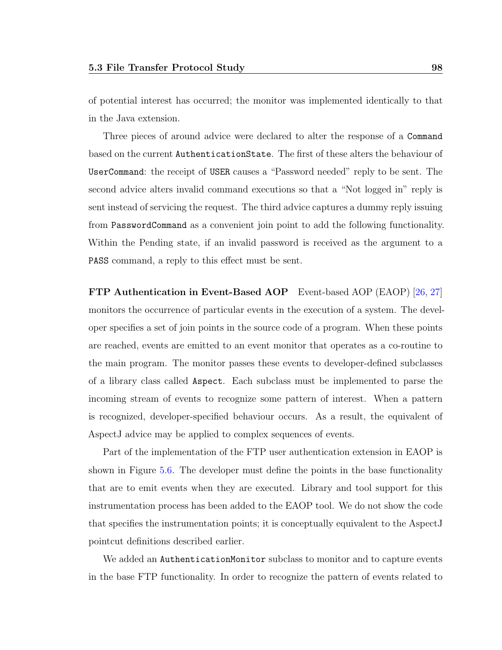of potential interest has occurred; the monitor was implemented identically to that in the Java extension.

Three pieces of around advice were declared to alter the response of a Command based on the current AuthenticationState. The first of these alters the behaviour of UserCommand: the receipt of USER causes a "Password needed" reply to be sent. The second advice alters invalid command executions so that a "Not logged in" reply is sent instead of servicing the request. The third advice captures a dummy reply issuing from PasswordCommand as a convenient join point to add the following functionality. Within the Pending state, if an invalid password is received as the argument to a PASS command, a reply to this effect must be sent.

FTP Authentication in Event-Based AOP Event-based AOP (EAOP) [\[26,](#page-153-0) [27\]](#page-153-1) monitors the occurrence of particular events in the execution of a system. The developer specifies a set of join points in the source code of a program. When these points are reached, events are emitted to an event monitor that operates as a co-routine to the main program. The monitor passes these events to developer-defined subclasses of a library class called Aspect. Each subclass must be implemented to parse the incoming stream of events to recognize some pattern of interest. When a pattern is recognized, developer-specified behaviour occurs. As a result, the equivalent of AspectJ advice may be applied to complex sequences of events.

Part of the implementation of the FTP user authentication extension in EAOP is shown in Figure [5.6.](#page-110-0) The developer must define the points in the base functionality that are to emit events when they are executed. Library and tool support for this instrumentation process has been added to the EAOP tool. We do not show the code that specifies the instrumentation points; it is conceptually equivalent to the AspectJ pointcut definitions described earlier.

We added an AuthenticationMonitor subclass to monitor and to capture events in the base FTP functionality. In order to recognize the pattern of events related to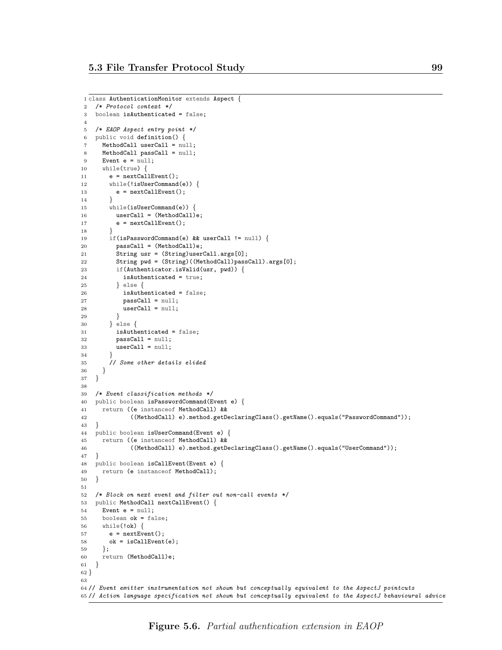```
1 class AuthenticationMonitor extends Aspect {
2 /* Protocol context */
3 boolean isAuthenticated = false;
4
5 /* EAOP Aspect entry point */
6 public void definition() {
7 MethodCall userCall = null;
8 MethodCall passCall = null;
9 Event e = null;
10 while(true) {
11 e = nextCallEvent();
12 while(!isUserCommand(e)) {
13 e = nextCallEvent();
14 }
15 while(isUserCommand(e)) {
16 userCall = (MethodCall)e;
17 e = nextCallEvent();
18 }
19 if(isPasswordCommand(e) && userCall != null) {
20 passCall = (MethodCall)e;
21 String usr = (String)userCall.args[0];
22 String pwd = (String)((MethodCall)passCall).args[0];
23 if(Authenticator.isValid(usr, pwd)) {
24 isAuthenticated = true;
25 } else {
26 isAuthenticated = false;
27 passCall = null;
28 userCall = null;
29 }
30 \qquad \qquad } else {
31 isAuthenticated = false;
32 passCall = null;
33 userCall = null;
34 }
35 // Some other details elided<br>36 }
36 }
37 }
38
39 /* Event classification methods */
40 public boolean isPasswordCommand(Event e) {
41 return ((e instanceof MethodCall) &&
42 ((MethodCall) e).method.getDeclaringClass().getName().equals("PasswordCommand"));
43 }
44 public boolean isUserCommand(Event e) {
45 return ((e instanceof MethodCall) &&
46 ((MethodCall) e).method.getDeclaringClass().getName().equals("UserCommand"));
47 }
48 public boolean isCallEvent(Event e) {
49 return (e instanceof MethodCall);<br>50 }
50 }
51
52 /* Block on next event and filter out non-call events */
53 public MethodCall nextCallEvent() {
54 Event e = null;55 boolean ok = false;
56 while(!ok) {
57 e = nextEvent();
58 ok = isCallEvent(e);
59 };
60 return (MethodCall)e;
61 }
62 }
63
64 // Event emitter instrumentation not shown but conceptually equivalent to the AspectJ pointcuts
65 // Action language specification not shown but conceptually equivalent to the AspectJ behavioural advice
```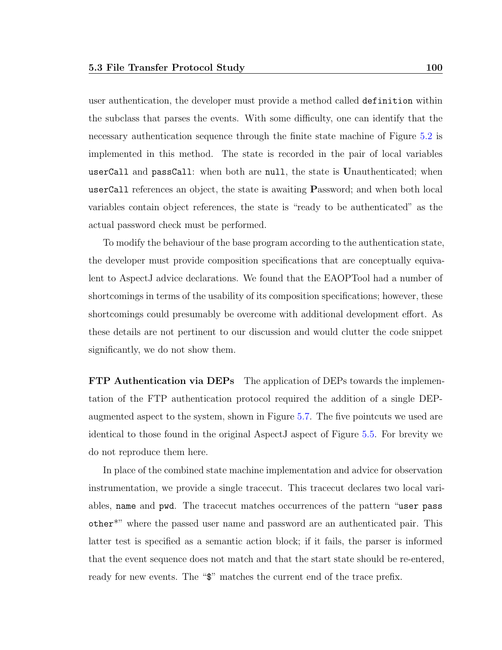user authentication, the developer must provide a method called definition within the subclass that parses the events. With some difficulty, one can identify that the necessary authentication sequence through the finite state machine of Figure [5.2](#page-103-0) is implemented in this method. The state is recorded in the pair of local variables userCall and passCall: when both are null, the state is Unauthenticated; when userCall references an object, the state is awaiting Password; and when both local variables contain object references, the state is "ready to be authenticated" as the actual password check must be performed.

To modify the behaviour of the base program according to the authentication state, the developer must provide composition specifications that are conceptually equivalent to AspectJ advice declarations. We found that the EAOPTool had a number of shortcomings in terms of the usability of its composition specifications; however, these shortcomings could presumably be overcome with additional development effort. As these details are not pertinent to our discussion and would clutter the code snippet significantly, we do not show them.

FTP Authentication via DEPs The application of DEPs towards the implementation of the FTP authentication protocol required the addition of a single DEPaugmented aspect to the system, shown in Figure [5.7.](#page-112-0) The five pointcuts we used are identical to those found in the original AspectJ aspect of Figure [5.5.](#page-108-0) For brevity we do not reproduce them here.

In place of the combined state machine implementation and advice for observation instrumentation, we provide a single tracecut. This tracecut declares two local variables, name and pwd. The tracecut matches occurrences of the pattern "user pass other\*" where the passed user name and password are an authenticated pair. This latter test is specified as a semantic action block; if it fails, the parser is informed that the event sequence does not match and that the start state should be re-entered, ready for new events. The " $\mathcal{F}$ " matches the current end of the trace prefix.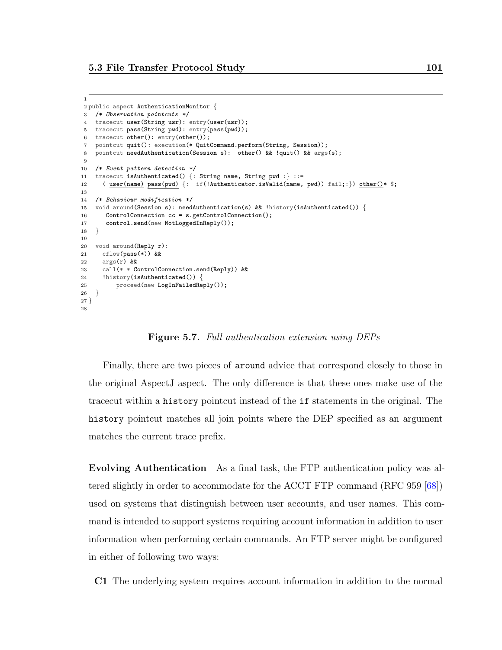1

```
2 public aspect AuthenticationMonitor {
3 /* Observation pointcuts */
4 tracecut user(String usr): entry(user(usr));
5 tracecut pass(String pwd): entry(pass(pwd));
6 tracecut other(): entry(other());
7 pointcut quit(): execution(* QuitCommand.perform(String, Session));
8 pointcut needAuthentication(Session s): other() && !quit() && args(s);
9
10 /* Event pattern detection */
11 tracecut isAuthenticated() {: String name, String pwd :} ::=
12 ( user(name) pass(pwd) {: if(!Authenticator.isValid(name, pwd)) fail;:}) other()* $;
13
14 /* Behaviour modification */
15 void around(Session s): needAuthentication(s) && !history(isAuthenticated()) {
16 ControlConnection cc = s.getControlConnection();
17 control.send(new NotLoggedInReply());
18 }
19
20 void around(Reply r):
21 cflow(pass(*)) &22 args(r) &&
23 call(* * ControlConnection.send(Reply)) &&
24 !history(isAuthenticated()) {
25 proceed(new LogInFailedReply());
26 }
27 }
28
```
<span id="page-112-0"></span>Figure 5.7. Full authentication extension using DEPs

Finally, there are two pieces of around advice that correspond closely to those in the original AspectJ aspect. The only difference is that these ones make use of the tracecut within a history pointcut instead of the if statements in the original. The history pointcut matches all join points where the DEP specified as an argument matches the current trace prefix.

Evolving Authentication As a final task, the FTP authentication policy was altered slightly in order to accommodate for the ACCT FTP command (RFC 959 [\[68\]](#page-156-0)) used on systems that distinguish between user accounts, and user names. This command is intended to support systems requiring account information in addition to user information when performing certain commands. An FTP server might be configured in either of following two ways:

C1 The underlying system requires account information in addition to the normal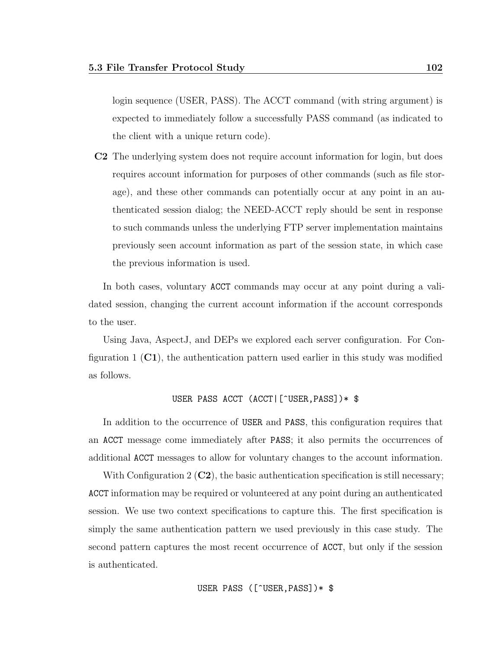login sequence (USER, PASS). The ACCT command (with string argument) is expected to immediately follow a successfully PASS command (as indicated to the client with a unique return code).

C2 The underlying system does not require account information for login, but does requires account information for purposes of other commands (such as file storage), and these other commands can potentially occur at any point in an authenticated session dialog; the NEED-ACCT reply should be sent in response to such commands unless the underlying FTP server implementation maintains previously seen account information as part of the session state, in which case the previous information is used.

In both cases, voluntary ACCT commands may occur at any point during a validated session, changing the current account information if the account corresponds to the user.

Using Java, AspectJ, and DEPs we explored each server configuration. For Configuration 1  $\mathbf{(C1)}$ , the authentication pattern used earlier in this study was modified as follows.

#### USER PASS ACCT (ACCT|[^USER,PASS])\* \$

In addition to the occurrence of USER and PASS, this configuration requires that an ACCT message come immediately after PASS; it also permits the occurrences of additional ACCT messages to allow for voluntary changes to the account information.

With Configuration  $2$  (C2), the basic authentication specification is still necessary; ACCT information may be required or volunteered at any point during an authenticated session. We use two context specifications to capture this. The first specification is simply the same authentication pattern we used previously in this case study. The second pattern captures the most recent occurrence of ACCT, but only if the session is authenticated.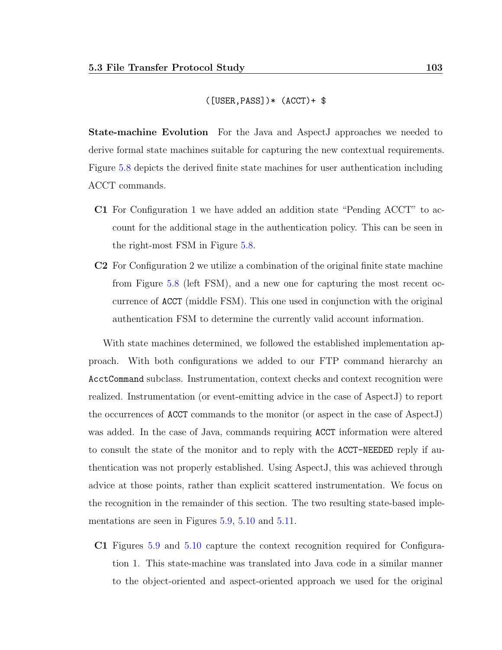$([USER, PASS])$   $*(ACCT) + $$ 

State-machine Evolution For the Java and AspectJ approaches we needed to derive formal state machines suitable for capturing the new contextual requirements. Figure [5.8](#page-115-0) depicts the derived finite state machines for user authentication including ACCT commands.

- C1 For Configuration 1 we have added an addition state "Pending ACCT" to account for the additional stage in the authentication policy. This can be seen in the right-most FSM in Figure [5.8.](#page-115-0)
- C2 For Configuration 2 we utilize a combination of the original finite state machine from Figure [5.8](#page-115-0) (left FSM), and a new one for capturing the most recent occurrence of ACCT (middle FSM). This one used in conjunction with the original authentication FSM to determine the currently valid account information.

With state machines determined, we followed the established implementation approach. With both configurations we added to our FTP command hierarchy an AcctCommand subclass. Instrumentation, context checks and context recognition were realized. Instrumentation (or event-emitting advice in the case of AspectJ) to report the occurrences of ACCT commands to the monitor (or aspect in the case of AspectJ) was added. In the case of Java, commands requiring ACCT information were altered to consult the state of the monitor and to reply with the ACCT-NEEDED reply if authentication was not properly established. Using AspectJ, this was achieved through advice at those points, rather than explicit scattered instrumentation. We focus on the recognition in the remainder of this section. The two resulting state-based implementations are seen in Figures [5.9,](#page-117-0) [5.10](#page-118-0) and [5.11.](#page-119-0)

C1 Figures [5.9](#page-117-0) and [5.10](#page-118-0) capture the context recognition required for Configuration 1. This state-machine was translated into Java code in a similar manner to the object-oriented and aspect-oriented approach we used for the original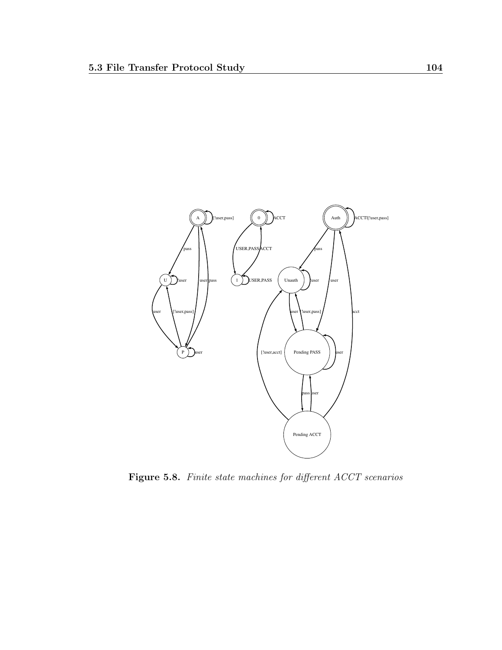

<span id="page-115-0"></span>Figure 5.8. Finite state machines for different ACCT scenarios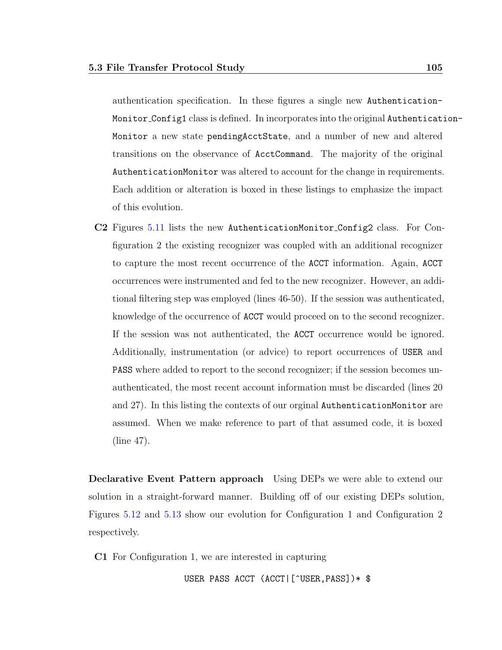authentication specification. In these figures a single new Authentication-Monitor Config1 class is defined. In incorporates into the original Authentication-Monitor a new state pendingAcctState, and a number of new and altered transitions on the observance of AcctCommand. The majority of the original AuthenticationMonitor was altered to account for the change in requirements. Each addition or alteration is boxed in these listings to emphasize the impact of this evolution.

C2 Figures [5.11](#page-119-0) lists the new AuthenticationMonitor Config2 class. For Configuration 2 the existing recognizer was coupled with an additional recognizer to capture the most recent occurrence of the ACCT information. Again, ACCT occurrences were instrumented and fed to the new recognizer. However, an additional filtering step was employed (lines 46-50). If the session was authenticated, knowledge of the occurrence of ACCT would proceed on to the second recognizer. If the session was not authenticated, the ACCT occurrence would be ignored. Additionally, instrumentation (or advice) to report occurrences of USER and PASS where added to report to the second recognizer; if the session becomes unauthenticated, the most recent account information must be discarded (lines 20 and 27). In this listing the contexts of our orginal AuthenticationMonitor are assumed. When we make reference to part of that assumed code, it is boxed (line 47).

Declarative Event Pattern approach Using DEPs we were able to extend our solution in a straight-forward manner. Building off of our existing DEPs solution, Figures [5.12](#page-121-0) and [5.13](#page-122-0) show our evolution for Configuration 1 and Configuration 2 respectively.

C1 For Configuration 1, we are interested in capturing

USER PASS ACCT (ACCT|[^USER,PASS])\* \$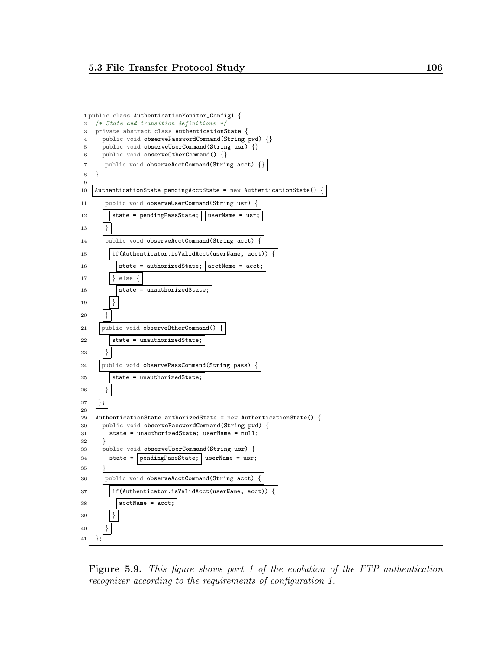

<span id="page-117-0"></span>Figure 5.9. This figure shows part 1 of the evolution of the FTP authentication recognizer according to the requirements of configuration 1.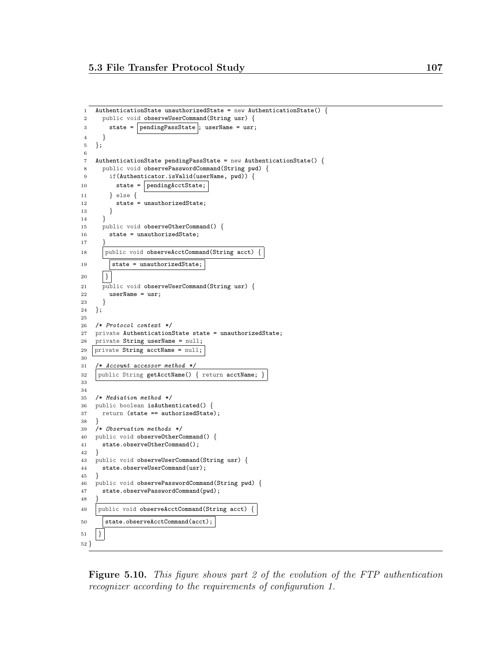```
1 AuthenticationState unauthorizedState = new AuthenticationState() {
2 public void observeUserCommand(String usr) {
3 state = | pendingPassState |; userName = usr;
4 }
5 };
6
7 AuthenticationState pendingPassState = new AuthenticationState() {
8 public void observePasswordCommand(String pwd) {
9 if(Authenticator.isValid(userName, pwd)) {
10 state = pendingActState;11 } else {
12 state = unauthorizedState;
13 }
14 }
15 public void observeOtherCommand() {
16 state = unauthorizedState;
17 }
18 | public void observeAcctCommand(String acct) {
19 \vert state = unauthorizedState;
20 \mid \}21 public void observeUserCommand(String usr) {
22 userName = usr;
23 }
24 };
25
26 /* Protocol context */
27 private AuthenticationState state = unauthorizedState;
28 private String userName = null;
29 | private String \text{acctName} = \text{null};30
31 /* Account accessor method */
32 public String getAcctName() { return acctName;
33
34
35 /* Mediation method */
36 public boolean isAuthenticated() {
37 return (state == authorizedState);
38 }
39 /* Observation methods */
40 public void observeOtherCommand() {
41 state.observeOtherCommand();
42 }
43 public void observeUserCommand(String usr) {
44 state.observeUserCommand(usr);
45 }
46 public void observePasswordCommand(String pwd) {
47 state.observePasswordCommand(pwd);
48 }
49 public void observeAcctCommand(String acct) {
50 state.observeAcctCommand(acct);
51 \mid \}52 }
```
<span id="page-118-0"></span>Figure 5.10. This figure shows part 2 of the evolution of the FTP authentication recognizer according to the requirements of configuration 1.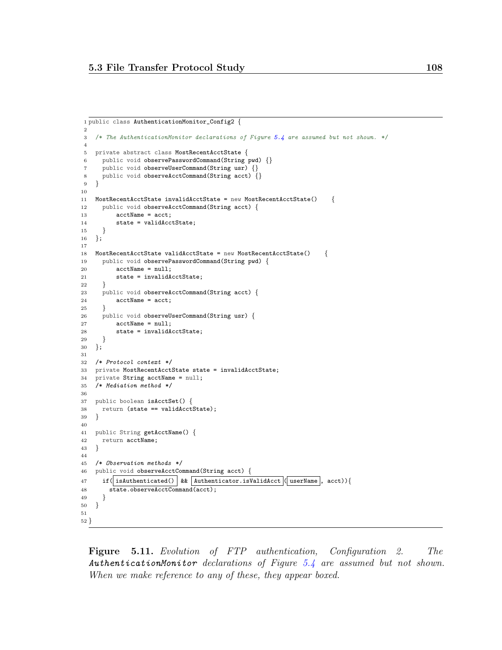```
1 public class AuthenticationMonitor_Config2 {
 \overline{2}3 /* The AuthenticationMonitor declarations of Figure 5.4 are assumed but not shown. */
 4
5 private abstract class MostRecentAcctState {
6 public void observePasswordCommand(String pwd) {}
7 public void observeUserCommand(String usr) {}
8 public void observeAcctCommand(String acct) {}
9 }
10
11 MostRecentAcctState invalidAcctState = new MostRecentAcctState() {
12 public void observeAcctCommand(String acct) {
13 acctName = acct;
14 state = validAcctState;<br>15 }
15 }
16 };
17
18 MostRecentAcctState validAcctState = new MostRecentAcctState() {
19 public void observePasswordCommand(String pwd) {
20 \qquad \qquad acctName = null:21 state = invalidAcctState;
22 }
23 public void observeAcctCommand(String acct) {
24 acctName = acct;
25 }
26 public void observeUserCommand(String usr) {
27 acctName = null;
28 state = invalidAcctState;
29 }
30 };
31
32 /* Protocol context */
33 private MostRecentAcctState state = invalidAcctState;
34 private String acctName = null;
35 /* Mediation method */
36
37 public boolean isAcctSet() {
38 return (state == validAcctState);
39 }
40
41 public String getAcctName() {
42 return acctName;
43 }
44
45 /* Observation methods */
46 public void observeAcctCommand(String acct) {
47 if( isAuthenticated() | && | Authenticator.isValidAcct |( userName |, acct)){
48 state.observeAcctCommand(acct);
49 }
50 }
51
52 }
```
<span id="page-119-0"></span>Figure 5.11. Evolution of FTP authentication, Configuration 2. The AuthenticationMonitor declarations of Figure [5.4](#page-107-0) are assumed but not shown. When we make reference to any of these, they appear boxed.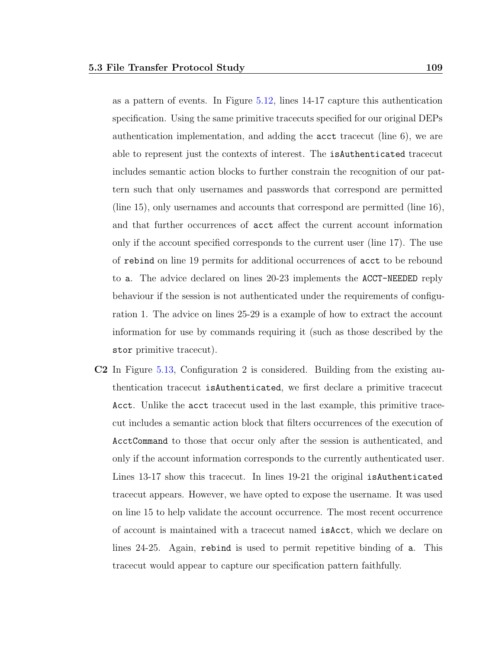as a pattern of events. In Figure [5.12,](#page-121-0) lines 14-17 capture this authentication specification. Using the same primitive tracecuts specified for our original DEPs authentication implementation, and adding the acct tracecut (line 6), we are able to represent just the contexts of interest. The isAuthenticated tracecut includes semantic action blocks to further constrain the recognition of our pattern such that only usernames and passwords that correspond are permitted (line 15), only usernames and accounts that correspond are permitted (line 16), and that further occurrences of acct affect the current account information only if the account specified corresponds to the current user (line 17). The use of rebind on line 19 permits for additional occurrences of acct to be rebound to a. The advice declared on lines 20-23 implements the ACCT-NEEDED reply behaviour if the session is not authenticated under the requirements of configuration 1. The advice on lines 25-29 is a example of how to extract the account information for use by commands requiring it (such as those described by the stor primitive tracecut).

C2 In Figure [5.13,](#page-122-0) Configuration 2 is considered. Building from the existing authentication tracecut isAuthenticated, we first declare a primitive tracecut Acct. Unlike the acct tracecut used in the last example, this primitive tracecut includes a semantic action block that filters occurrences of the execution of AcctCommand to those that occur only after the session is authenticated, and only if the account information corresponds to the currently authenticated user. Lines 13-17 show this tracecut. In lines 19-21 the original isAuthenticated tracecut appears. However, we have opted to expose the username. It was used on line 15 to help validate the account occurrence. The most recent occurrence of account is maintained with a tracecut named isAcct, which we declare on lines 24-25. Again, rebind is used to permit repetitive binding of a. This tracecut would appear to capture our specification pattern faithfully.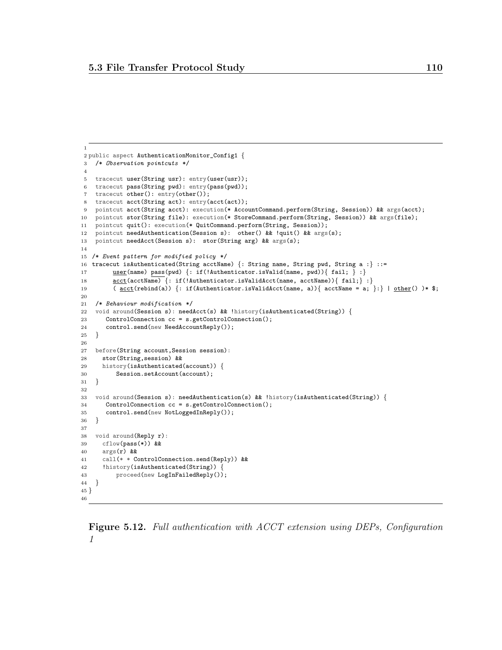```
1
2 public aspect AuthenticationMonitor_Config1 {
3 /* Observation pointcuts */
 4
5 tracecut user(String usr): entry(user(usr));
6 tracecut pass(String pwd): entry(pass(pwd));
7 tracecut other(): entry(other());
8 tracecut acct(String act): entry(acct(act));
9 pointcut acct(String acct): execution(* AccountCommand.perform(String, Session)) && args(acct);
10 pointcut stor(String file): execution(* StoreCommand.perform(String, Session)) && args(file);
11 pointcut quit(): execution(* QuitCommand.perform(String, Session));
12 pointcut needAuthentication(Session s): other() && !quit() && args(s);
13 pointcut needAcct(Session s): stor(String arg) && args(s);
14
15 /* Event pattern for modified policy */
16 tracecut isAuthenticated(String acctName) {: String name, String pwd, String a :} ::=
17 user(name) pass(pwd) \{: if(!Authentication.isValid(name, pwd))\{ fail; \} : \}18 acct(acctName) \{: \text{if(!Authentication.isValidAct(name, } \text{acute}))\{ \text{ fail:}\} :
19 (\text{acct}(\text{rebind}(a)) {: if(Authenticator.isValidAcct(name, a)) { \text{acctName} = a; }:} | \text{other}(a) * $;
20
21 /* Behaviour modification */
22 void around(Session s): needAcct(s) && !history(isAuthenticated(String)) {
23 ControlConnection cc = s.getControlConnection();
24 control.send(new NeedAccountReply());
25 }
26
27 before(String account,Session session):
28 stor(String,session) &&
29 history(isAuthenticated(account)) {
30 Session.setAccount(account);
31 }
32
33 void around(Session s): needAuthentication(s) && !history(isAuthenticated(String)) {
34 ControlConnection cc = s.getControlConnection();
35 control.send(new NotLoggedInReply());
36 }
37
38 void around(Reply r):
39 cflow(pass(*)) &&
40 \arg(\mathbf{r}) & &
41 call(* * ControlConnection.send(Reply)) &&
42 !history(isAuthenticated(String)) {
43 proceed(new LogInFailedReply());
44\,45 }
46
```
<span id="page-121-0"></span>Figure 5.12. Full authentication with ACCT extension using DEPs, Configuration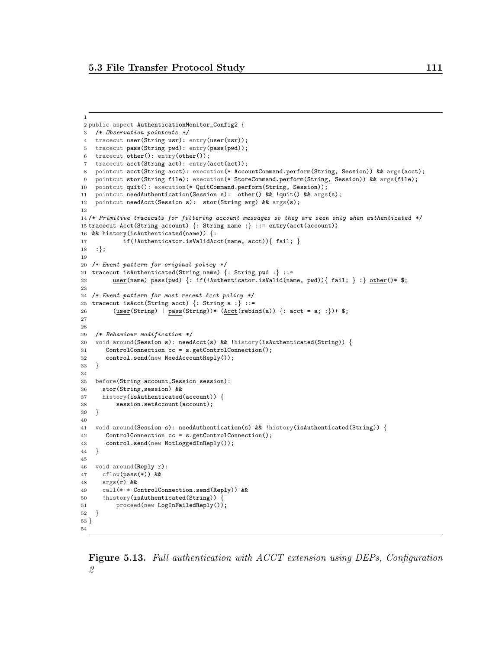```
2 public aspect AuthenticationMonitor_Config2 {
3 /* Observation pointcuts */
4 tracecut user(String usr): entry(user(usr));
5 tracecut pass(String pwd): entry(pass(pwd));
 6 tracecut other(): entry(other());
7 tracecut acct(String act): entry(acct(act));
8 pointcut acct(String acct): execution(* AccountCommand.perform(String, Session)) && args(acct);
9 pointcut stor(String file): execution(* StoreCommand.perform(String, Session)) && args(file);
10 pointcut quit(): execution(* QuitCommand.perform(String, Session));
11 pointcut needAuthentication(Session s): other() && !quit() && args(s);
12 pointcut needAcct(Session s): stor(String arg) && args(s);
13
14 /* Primitive tracecuts for filtering account messages so they are seen only when authenticated */
15 tracecut Acct(String account) {: String name :} ::= entry(acct(account))
16 && history(isAuthenticated(name)) {:
17 if(!Authenticator.isValidAcct(name, acct)){ fail; }
18 :};
19
20 /* Event pattern for original policy */
21 tracecut isAuthenticated(String name) {: String pwd :} ::=
22 user(name) pass(pwd) {: if(!Authenticator.isValid(name, pwd)){ fail; } :} other()* $;
23
24 /* Event pattern for most recent Acct policy */
25 tracecut isAcct(String acct) \{:\text{String a :}\}::=26 (user(String) | pass(String))* (\underline{\text{Act}}(\text{rebind}(a)) {: acct = a; :})+ $;
27
28
29 /* Behaviour modification */
30 void around(Session s): needAcct(s) && !history(isAuthenticated(String)) {
31 ControlConnection cc = s.getControlConnection();
32 control.send(new NeedAccountReply());
33 }
34
35 before(String account,Session session):
36 stor(String,session) &&
37 history(isAuthenticated(account)) {
38 session.setAccount(account);
39 }
40
41 void around(Session s): needAuthentication(s) && !history(isAuthenticated(String)) {
42 ControlConnection cc = s.getControlConnection();
43 control.send(new NotLoggedInReply());
44 }
45
46 void around(Reply r):
47 cflow(pass(*)) &&
48 args(r) &&
49 call(* * ControlConnection.send(Reply)) &&
50 !history(isAuthenticated(String)) {
51 proceed(new LogInFailedReply());
52 }
53 }
54
```
<span id="page-122-0"></span>Figure 5.13. Full authentication with ACCT extension using DEPs, Configuration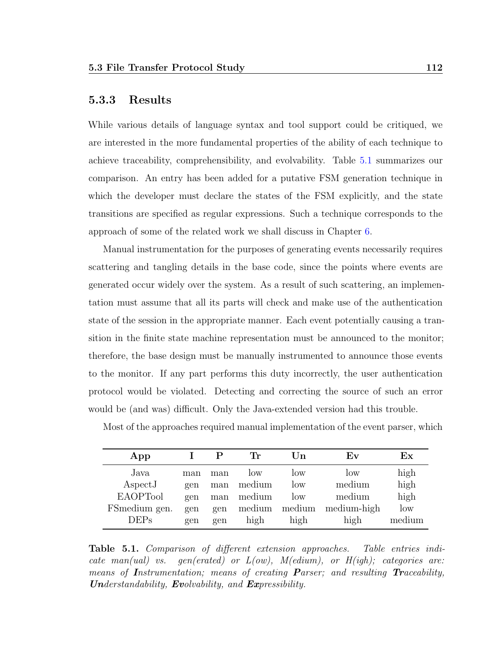#### 5.3.3 Results

While various details of language syntax and tool support could be critiqued, we are interested in the more fundamental properties of the ability of each technique to achieve traceability, comprehensibility, and evolvability. Table [5.1](#page-123-0) summarizes our comparison. An entry has been added for a putative FSM generation technique in which the developer must declare the states of the FSM explicitly, and the state transitions are specified as regular expressions. Such a technique corresponds to the approach of some of the related work we shall discuss in Chapter [6.](#page-127-0)

Manual instrumentation for the purposes of generating events necessarily requires scattering and tangling details in the base code, since the points where events are generated occur widely over the system. As a result of such scattering, an implementation must assume that all its parts will check and make use of the authentication state of the session in the appropriate manner. Each event potentially causing a transition in the finite state machine representation must be announced to the monitor; therefore, the base design must be manually instrumented to announce those events to the monitor. If any part performs this duty incorrectly, the user authentication protocol would be violated. Detecting and correcting the source of such an error would be (and was) difficult. Only the Java-extended version had this trouble.

| App              |     |     | Tr     | Un     | ${\bf Ev}$  | Ex     |
|------------------|-----|-----|--------|--------|-------------|--------|
| Java             | man | man | low    | low    | 10W         | high   |
| $\text{AspectJ}$ | gen | man | medium | low    | medium      | high   |
| <b>EAOPTool</b>  | gen | man | medium | low    | medium      | high   |
| FSmedium gen.    | gen | gen | medium | medium | medium-high | low    |
| DEPs             | gen | gen | high   | high   | high        | medium |

Most of the approaches required manual implementation of the event parser, which

<span id="page-123-0"></span>Table 5.1. Comparison of different extension approaches. Table entries indicate man(ual) vs. gen(erated) or  $L(ow)$ ,  $M(edium)$ , or  $H(igh)$ ; categories are: means of Instrumentation; means of creating Parser; and resulting Traceability, **Understandability, Evolvability, and Expressibility.**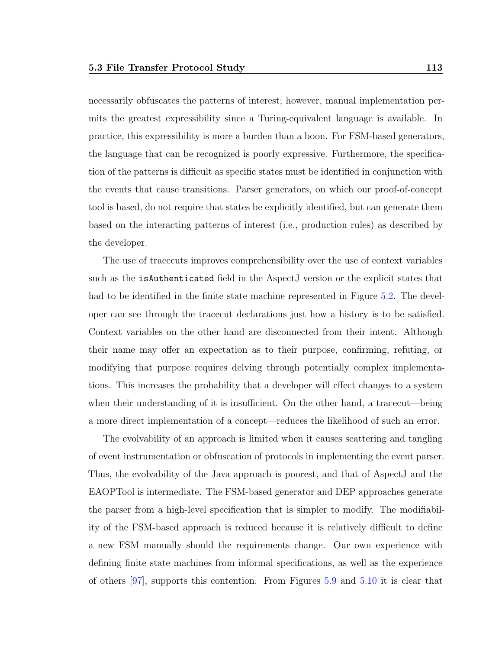necessarily obfuscates the patterns of interest; however, manual implementation permits the greatest expressibility since a Turing-equivalent language is available. In practice, this expressibility is more a burden than a boon. For FSM-based generators, the language that can be recognized is poorly expressive. Furthermore, the specification of the patterns is difficult as specific states must be identified in conjunction with the events that cause transitions. Parser generators, on which our proof-of-concept tool is based, do not require that states be explicitly identified, but can generate them based on the interacting patterns of interest (i.e., production rules) as described by the developer.

The use of tracecuts improves comprehensibility over the use of context variables such as the isAuthenticated field in the AspectJ version or the explicit states that had to be identified in the finite state machine represented in Figure [5.2.](#page-103-0) The developer can see through the tracecut declarations just how a history is to be satisfied. Context variables on the other hand are disconnected from their intent. Although their name may offer an expectation as to their purpose, confirming, refuting, or modifying that purpose requires delving through potentially complex implementations. This increases the probability that a developer will effect changes to a system when their understanding of it is insufficient. On the other hand, a tracecut—being a more direct implementation of a concept—reduces the likelihood of such an error.

The evolvability of an approach is limited when it causes scattering and tangling of event instrumentation or obfuscation of protocols in implementing the event parser. Thus, the evolvability of the Java approach is poorest, and that of AspectJ and the EAOPTool is intermediate. The FSM-based generator and DEP approaches generate the parser from a high-level specification that is simpler to modify. The modifiability of the FSM-based approach is reduced because it is relatively difficult to define a new FSM manually should the requirements change. Our own experience with defining finite state machines from informal specifications, as well as the experience of others [\[97\]](#page-159-0), supports this contention. From Figures [5.9](#page-117-0) and [5.10](#page-118-0) it is clear that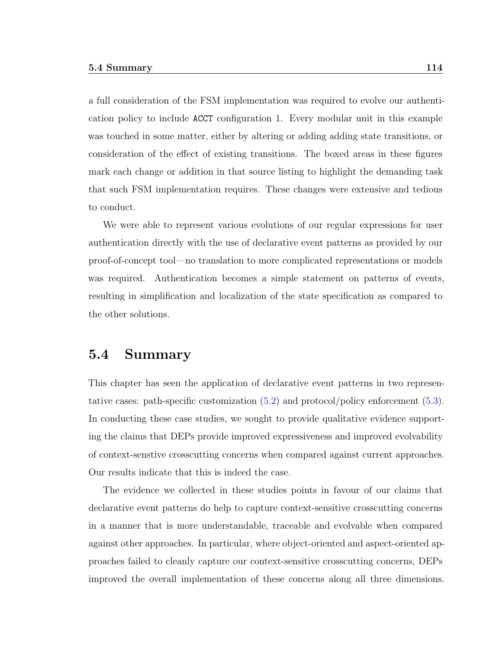a full consideration of the FSM implementation was required to evolve our authentication policy to include ACCT configuration 1. Every modular unit in this example was touched in some matter, either by altering or adding adding state transitions, or consideration of the effect of existing transitions. The boxed areas in these figures mark each change or addition in that source listing to highlight the demanding task that such FSM implementation requires. These changes were extensive and tedious to conduct.

We were able to represent various evolutions of our regular expressions for user authentication directly with the use of declarative event patterns as provided by our proof-of-concept tool—no translation to more complicated representations or models was required. Authentication becomes a simple statement on patterns of events, resulting in simplification and localization of the state specification as compared to the other solutions.

#### 5.4 Summary

This chapter has seen the application of declarative event patterns in two representative cases: path-specific customization [\(5.2\)](#page-93-0) and protocol/policy enforcement [\(5.3\)](#page-101-0). In conducting these case studies, we sought to provide qualitative evidence supporting the claims that DEPs provide improved expressiveness and improved evolvability of context-senstive crosscutting concerns when compared against current approaches. Our results indicate that this is indeed the case.

The evidence we collected in these studies points in favour of our claims that declarative event patterns do help to capture context-sensitive crosscutting concerns in a manner that is more understandable, traceable and evolvable when compared against other approaches. In particular, where object-oriented and aspect-oriented approaches failed to cleanly capture our context-sensitive crosscutting concerns, DEPs improved the overall implementation of these concerns along all three dimensions.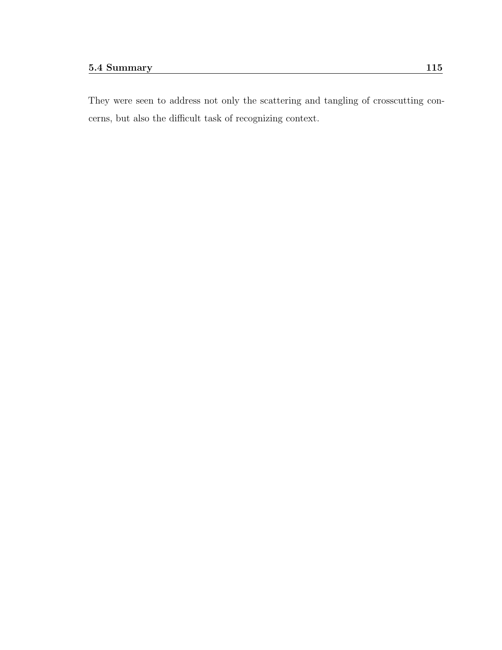They were seen to address not only the scattering and tangling of crosscutting concerns, but also the difficult task of recognizing context.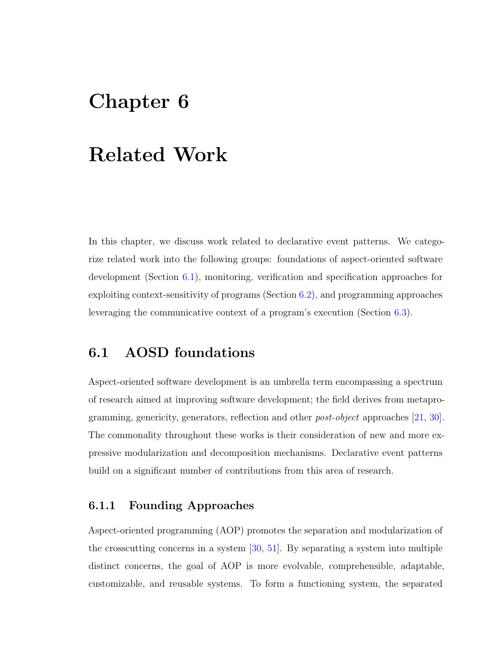# <span id="page-127-0"></span>Chapter 6

## Related Work

In this chapter, we discuss work related to declarative event patterns. We categorize related work into the following groups: foundations of aspect-oriented software development (Section [6.1\)](#page-127-1), monitoring, verification and specification approaches for exploiting context-sensitivity of programs (Section [6.2\)](#page-131-0), and programming approaches leveraging the communicative context of a program's execution (Section [6.3\)](#page-132-0).

## <span id="page-127-1"></span>6.1 AOSD foundations

Aspect-oriented software development is an umbrella term encompassing a spectrum of research aimed at improving software development; the field derives from metaprogramming, genericity, generators, reflection and other post-object approaches [\[21,](#page-153-2) [30\]](#page-153-3). The commonality throughout these works is their consideration of new and more expressive modularization and decomposition mechanisms. Declarative event patterns build on a significant number of contributions from this area of research.

#### 6.1.1 Founding Approaches

Aspect-oriented programming (AOP) promotes the separation and modularization of the crosscutting concerns in a system [\[30,](#page-153-3) [51\]](#page-155-0). By separating a system into multiple distinct concerns, the goal of AOP is more evolvable, comprehensible, adaptable, customizable, and reusable systems. To form a functioning system, the separated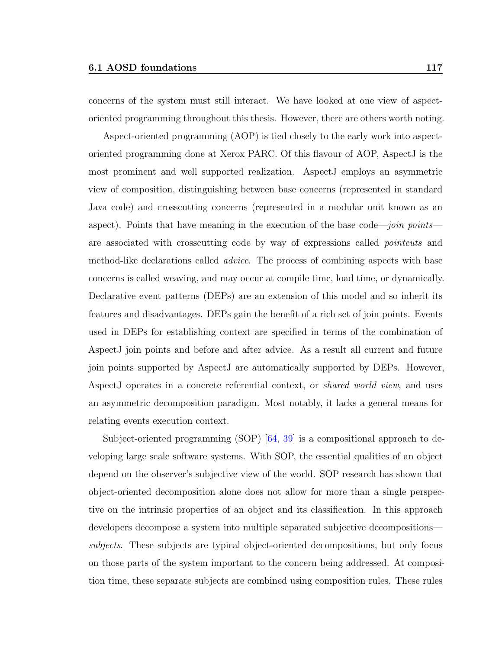concerns of the system must still interact. We have looked at one view of aspectoriented programming throughout this thesis. However, there are others worth noting.

Aspect-oriented programming (AOP) is tied closely to the early work into aspectoriented programming done at Xerox PARC. Of this flavour of AOP, AspectJ is the most prominent and well supported realization. AspectJ employs an asymmetric view of composition, distinguishing between base concerns (represented in standard Java code) and crosscutting concerns (represented in a modular unit known as an aspect). Points that have meaning in the execution of the base code—join points are associated with crosscutting code by way of expressions called pointcuts and method-like declarations called *advice*. The process of combining aspects with base concerns is called weaving, and may occur at compile time, load time, or dynamically. Declarative event patterns (DEPs) are an extension of this model and so inherit its features and disadvantages. DEPs gain the benefit of a rich set of join points. Events used in DEPs for establishing context are specified in terms of the combination of AspectJ join points and before and after advice. As a result all current and future join points supported by AspectJ are automatically supported by DEPs. However, AspectJ operates in a concrete referential context, or shared world view, and uses an asymmetric decomposition paradigm. Most notably, it lacks a general means for relating events execution context.

Subject-oriented programming (SOP) [\[64,](#page-156-1) [39\]](#page-154-0) is a compositional approach to developing large scale software systems. With SOP, the essential qualities of an object depend on the observer's subjective view of the world. SOP research has shown that object-oriented decomposition alone does not allow for more than a single perspective on the intrinsic properties of an object and its classification. In this approach developers decompose a system into multiple separated subjective decompositions subjects. These subjects are typical object-oriented decompositions, but only focus on those parts of the system important to the concern being addressed. At composition time, these separate subjects are combined using composition rules. These rules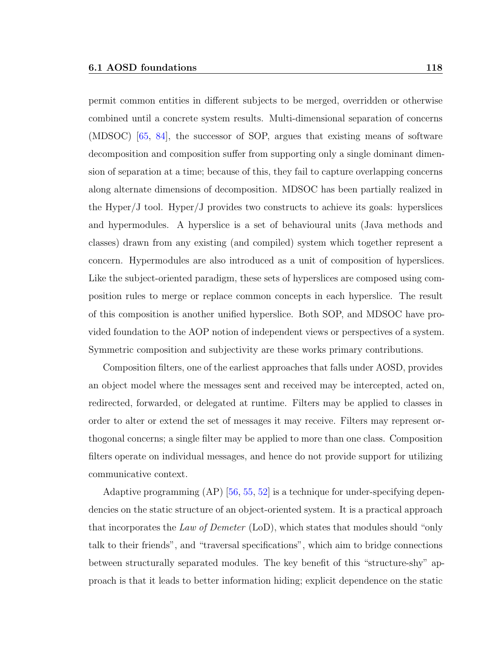permit common entities in different subjects to be merged, overridden or otherwise combined until a concrete system results. Multi-dimensional separation of concerns (MDSOC) [\[65,](#page-156-2) [84\]](#page-158-0), the successor of SOP, argues that existing means of software decomposition and composition suffer from supporting only a single dominant dimension of separation at a time; because of this, they fail to capture overlapping concerns along alternate dimensions of decomposition. MDSOC has been partially realized in the Hyper/J tool. Hyper/J provides two constructs to achieve its goals: hyperslices and hypermodules. A hyperslice is a set of behavioural units (Java methods and classes) drawn from any existing (and compiled) system which together represent a concern. Hypermodules are also introduced as a unit of composition of hyperslices. Like the subject-oriented paradigm, these sets of hyperslices are composed using composition rules to merge or replace common concepts in each hyperslice. The result of this composition is another unified hyperslice. Both SOP, and MDSOC have provided foundation to the AOP notion of independent views or perspectives of a system. Symmetric composition and subjectivity are these works primary contributions.

Composition filters, one of the earliest approaches that falls under AOSD, provides an object model where the messages sent and received may be intercepted, acted on, redirected, forwarded, or delegated at runtime. Filters may be applied to classes in order to alter or extend the set of messages it may receive. Filters may represent orthogonal concerns; a single filter may be applied to more than one class. Composition filters operate on individual messages, and hence do not provide support for utilizing communicative context.

Adaptive programming (AP) [\[56,](#page-156-3) [55,](#page-155-1) [52\]](#page-155-2) is a technique for under-specifying dependencies on the static structure of an object-oriented system. It is a practical approach that incorporates the Law of Demeter (LoD), which states that modules should "only talk to their friends", and "traversal specifications", which aim to bridge connections between structurally separated modules. The key benefit of this "structure-shy" approach is that it leads to better information hiding; explicit dependence on the static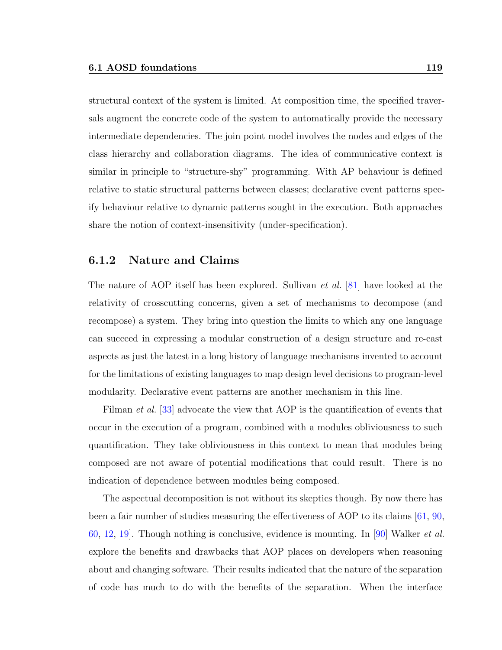structural context of the system is limited. At composition time, the specified traversals augment the concrete code of the system to automatically provide the necessary intermediate dependencies. The join point model involves the nodes and edges of the class hierarchy and collaboration diagrams. The idea of communicative context is similar in principle to "structure-shy" programming. With AP behaviour is defined relative to static structural patterns between classes; declarative event patterns specify behaviour relative to dynamic patterns sought in the execution. Both approaches share the notion of context-insensitivity (under-specification).

#### 6.1.2 Nature and Claims

The nature of AOP itself has been explored. Sullivan *et al.* [\[81\]](#page-157-0) have looked at the relativity of crosscutting concerns, given a set of mechanisms to decompose (and recompose) a system. They bring into question the limits to which any one language can succeed in expressing a modular construction of a design structure and re-cast aspects as just the latest in a long history of language mechanisms invented to account for the limitations of existing languages to map design level decisions to program-level modularity. Declarative event patterns are another mechanism in this line.

Filman *et al.* [\[33\]](#page-154-1) advocate the view that AOP is the quantification of events that occur in the execution of a program, combined with a modules obliviousness to such quantification. They take obliviousness in this context to mean that modules being composed are not aware of potential modifications that could result. There is no indication of dependence between modules being composed.

The aspectual decomposition is not without its skeptics though. By now there has been a fair number of studies measuring the effectiveness of AOP to its claims [\[61,](#page-156-4) [90,](#page-158-1) [60,](#page-156-5) [12,](#page-152-0) [19\]](#page-152-1). Though nothing is conclusive, evidence is mounting. In [\[90\]](#page-158-1) Walker et al. explore the benefits and drawbacks that AOP places on developers when reasoning about and changing software. Their results indicated that the nature of the separation of code has much to do with the benefits of the separation. When the interface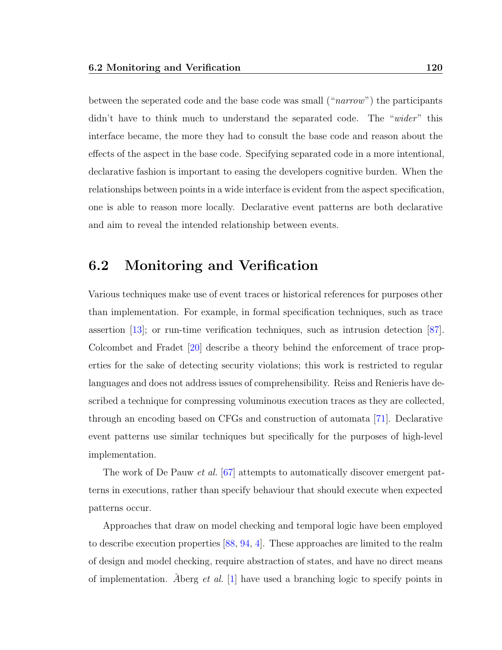between the seperated code and the base code was small ("narrow") the participants didn't have to think much to understand the separated code. The "wider" this interface became, the more they had to consult the base code and reason about the effects of the aspect in the base code. Specifying separated code in a more intentional, declarative fashion is important to easing the developers cognitive burden. When the relationships between points in a wide interface is evident from the aspect specification, one is able to reason more locally. Declarative event patterns are both declarative and aim to reveal the intended relationship between events.

#### <span id="page-131-0"></span>6.2 Monitoring and Verification

Various techniques make use of event traces or historical references for purposes other than implementation. For example, in formal specification techniques, such as trace assertion [\[13\]](#page-152-2); or run-time verification techniques, such as intrusion detection [\[87\]](#page-158-2). Colcombet and Fradet [\[20\]](#page-152-3) describe a theory behind the enforcement of trace properties for the sake of detecting security violations; this work is restricted to regular languages and does not address issues of comprehensibility. Reiss and Renieris have described a technique for compressing voluminous execution traces as they are collected, through an encoding based on CFGs and construction of automata [\[71\]](#page-157-1). Declarative event patterns use similar techniques but specifically for the purposes of high-level implementation.

The work of De Pauw et al. [\[67\]](#page-156-6) attempts to automatically discover emergent patterns in executions, rather than specify behaviour that should execute when expected patterns occur.

Approaches that draw on model checking and temporal logic have been employed to describe execution properties [\[88,](#page-158-3) [94,](#page-159-1) [4\]](#page-151-0). These approaches are limited to the realm of design and model checking, require abstraction of states, and have no direct means of implementation. Åberg *et al.* [\[1\]](#page-151-1) have used a branching logic to specify points in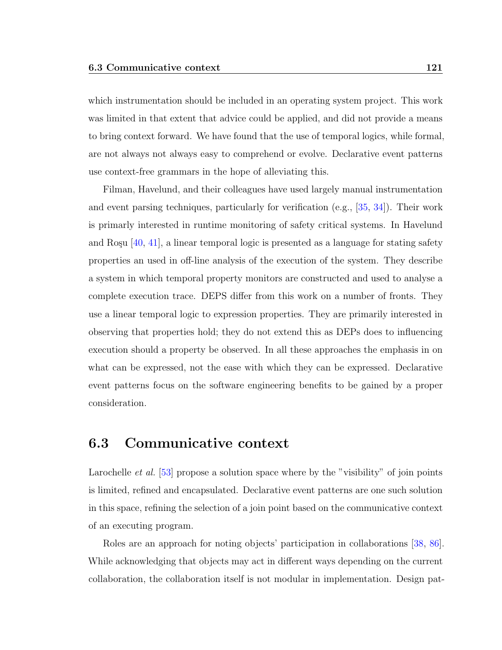which instrumentation should be included in an operating system project. This work was limited in that extent that advice could be applied, and did not provide a means to bring context forward. We have found that the use of temporal logics, while formal, are not always not always easy to comprehend or evolve. Declarative event patterns use context-free grammars in the hope of alleviating this.

Filman, Havelund, and their colleagues have used largely manual instrumentation and event parsing techniques, particularly for verification (e.g., [\[35,](#page-154-2) [34\]](#page-154-3)). Their work is primarly interested in runtime monitoring of safety critical systems. In Havelund and Roşu  $[40, 41]$  $[40, 41]$  $[40, 41]$ , a linear temporal logic is presented as a language for stating safety properties an used in off-line analysis of the execution of the system. They describe a system in which temporal property monitors are constructed and used to analyse a complete execution trace. DEPS differ from this work on a number of fronts. They use a linear temporal logic to expression properties. They are primarily interested in observing that properties hold; they do not extend this as DEPs does to influencing execution should a property be observed. In all these approaches the emphasis in on what can be expressed, not the ease with which they can be expressed. Declarative event patterns focus on the software engineering benefits to be gained by a proper consideration.

## <span id="page-132-0"></span>6.3 Communicative context

Larochelle *et al.* [\[53\]](#page-155-3) propose a solution space where by the "visibility" of join points is limited, refined and encapsulated. Declarative event patterns are one such solution in this space, refining the selection of a join point based on the communicative context of an executing program.

Roles are an approach for noting objects' participation in collaborations [\[38,](#page-154-6) [86\]](#page-158-4). While acknowledging that objects may act in different ways depending on the current collaboration, the collaboration itself is not modular in implementation. Design pat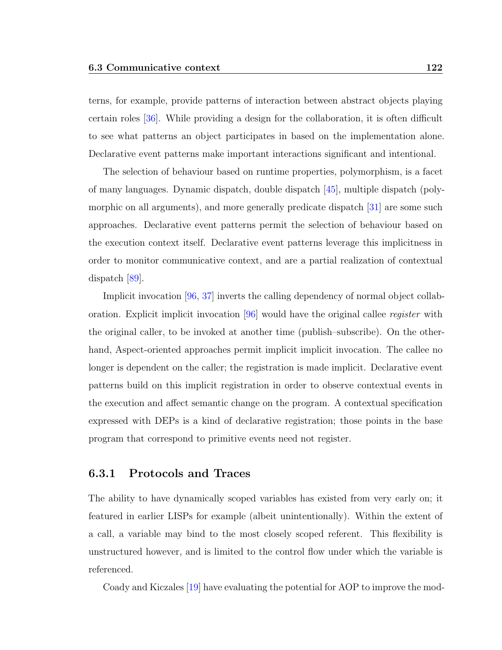terns, for example, provide patterns of interaction between abstract objects playing certain roles [\[36\]](#page-154-7). While providing a design for the collaboration, it is often difficult to see what patterns an object participates in based on the implementation alone. Declarative event patterns make important interactions significant and intentional.

The selection of behaviour based on runtime properties, polymorphism, is a facet of many languages. Dynamic dispatch, double dispatch [\[45\]](#page-155-4), multiple dispatch (poly-morphic on all arguments), and more generally predicate dispatch [\[31\]](#page-153-4) are some such approaches. Declarative event patterns permit the selection of behaviour based on the execution context itself. Declarative event patterns leverage this implicitness in order to monitor communicative context, and are a partial realization of contextual dispatch [\[89\]](#page-158-5).

Implicit invocation [\[96,](#page-159-2) [37\]](#page-154-8) inverts the calling dependency of normal object collaboration. Explicit implicit invocation  $[96]$  would have the original callee *register* with the original caller, to be invoked at another time (publish–subscribe). On the otherhand, Aspect-oriented approaches permit implicit implicit invocation. The callee no longer is dependent on the caller; the registration is made implicit. Declarative event patterns build on this implicit registration in order to observe contextual events in the execution and affect semantic change on the program. A contextual specification expressed with DEPs is a kind of declarative registration; those points in the base program that correspond to primitive events need not register.

#### 6.3.1 Protocols and Traces

The ability to have dynamically scoped variables has existed from very early on; it featured in earlier LISPs for example (albeit unintentionally). Within the extent of a call, a variable may bind to the most closely scoped referent. This flexibility is unstructured however, and is limited to the control flow under which the variable is referenced.

Coady and Kiczales [\[19\]](#page-152-1) have evaluating the potential for AOP to improve the mod-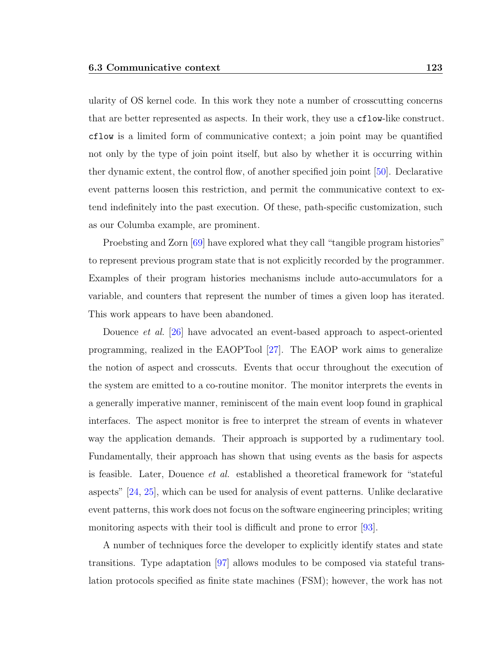ularity of OS kernel code. In this work they note a number of crosscutting concerns that are better represented as aspects. In their work, they use a cflow-like construct. cflow is a limited form of communicative context; a join point may be quantified not only by the type of join point itself, but also by whether it is occurring within ther dynamic extent, the control flow, of another specified join point [\[50\]](#page-155-5). Declarative event patterns loosen this restriction, and permit the communicative context to extend indefinitely into the past execution. Of these, path-specific customization, such as our Columba example, are prominent.

Proebsting and Zorn [\[69\]](#page-157-2) have explored what they call "tangible program histories" to represent previous program state that is not explicitly recorded by the programmer. Examples of their program histories mechanisms include auto-accumulators for a variable, and counters that represent the number of times a given loop has iterated. This work appears to have been abandoned.

Douence *et al.* [\[26\]](#page-153-0) have advocated an event-based approach to aspect-oriented programming, realized in the EAOPTool [\[27\]](#page-153-1). The EAOP work aims to generalize the notion of aspect and crosscuts. Events that occur throughout the execution of the system are emitted to a co-routine monitor. The monitor interprets the events in a generally imperative manner, reminiscent of the main event loop found in graphical interfaces. The aspect monitor is free to interpret the stream of events in whatever way the application demands. Their approach is supported by a rudimentary tool. Fundamentally, their approach has shown that using events as the basis for aspects is feasible. Later, Douence et al. established a theoretical framework for "stateful aspects" [\[24,](#page-153-5) [25\]](#page-153-6), which can be used for analysis of event patterns. Unlike declarative event patterns, this work does not focus on the software engineering principles; writing monitoring aspects with their tool is difficult and prone to error [\[93\]](#page-158-6).

A number of techniques force the developer to explicitly identify states and state transitions. Type adaptation [\[97\]](#page-159-0) allows modules to be composed via stateful translation protocols specified as finite state machines (FSM); however, the work has not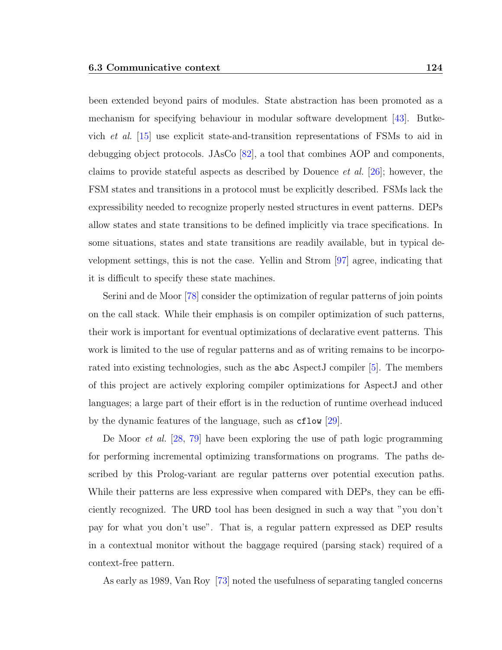been extended beyond pairs of modules. State abstraction has been promoted as a mechanism for specifying behaviour in modular software development [\[43\]](#page-154-9). Butkevich et al. [\[15\]](#page-152-4) use explicit state-and-transition representations of FSMs to aid in debugging object protocols. JAsCo [\[82\]](#page-157-3), a tool that combines AOP and components, claims to provide stateful aspects as described by Douence *et al.* [\[26\]](#page-153-0); however, the FSM states and transitions in a protocol must be explicitly described. FSMs lack the expressibility needed to recognize properly nested structures in event patterns. DEPs allow states and state transitions to be defined implicitly via trace specifications. In some situations, states and state transitions are readily available, but in typical development settings, this is not the case. Yellin and Strom [\[97\]](#page-159-0) agree, indicating that it is difficult to specify these state machines.

Serini and de Moor [\[78\]](#page-157-4) consider the optimization of regular patterns of join points on the call stack. While their emphasis is on compiler optimization of such patterns, their work is important for eventual optimizations of declarative event patterns. This work is limited to the use of regular patterns and as of writing remains to be incorporated into existing technologies, such as the abc AspectJ compiler [\[5\]](#page-151-2). The members of this project are actively exploring compiler optimizations for AspectJ and other languages; a large part of their effort is in the reduction of runtime overhead induced by the dynamic features of the language, such as cflow [\[29\]](#page-153-7).

De Moor et al. [\[28,](#page-153-8) [79\]](#page-157-5) have been exploring the use of path logic programming for performing incremental optimizing transformations on programs. The paths described by this Prolog-variant are regular patterns over potential execution paths. While their patterns are less expressive when compared with DEPs, they can be efficiently recognized. The URD tool has been designed in such a way that "you don't pay for what you don't use". That is, a regular pattern expressed as DEP results in a contextual monitor without the baggage required (parsing stack) required of a context-free pattern.

As early as 1989, Van Roy [\[73\]](#page-157-6) noted the usefulness of separating tangled concerns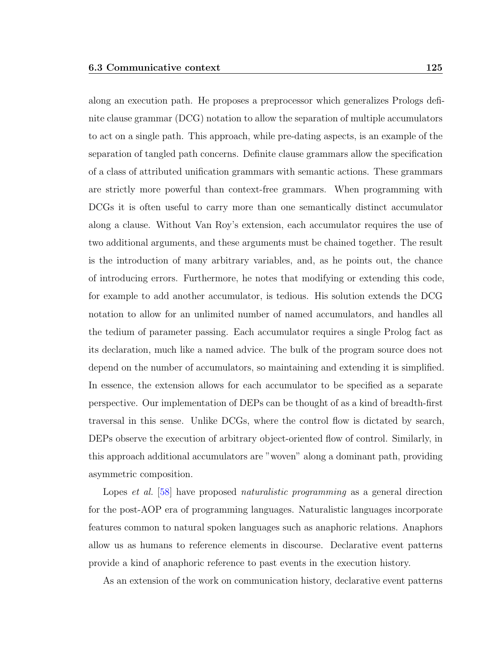along an execution path. He proposes a preprocessor which generalizes Prologs definite clause grammar (DCG) notation to allow the separation of multiple accumulators to act on a single path. This approach, while pre-dating aspects, is an example of the separation of tangled path concerns. Definite clause grammars allow the specification of a class of attributed unification grammars with semantic actions. These grammars are strictly more powerful than context-free grammars. When programming with DCGs it is often useful to carry more than one semantically distinct accumulator along a clause. Without Van Roy's extension, each accumulator requires the use of two additional arguments, and these arguments must be chained together. The result is the introduction of many arbitrary variables, and, as he points out, the chance of introducing errors. Furthermore, he notes that modifying or extending this code, for example to add another accumulator, is tedious. His solution extends the DCG notation to allow for an unlimited number of named accumulators, and handles all the tedium of parameter passing. Each accumulator requires a single Prolog fact as its declaration, much like a named advice. The bulk of the program source does not depend on the number of accumulators, so maintaining and extending it is simplified. In essence, the extension allows for each accumulator to be specified as a separate perspective. Our implementation of DEPs can be thought of as a kind of breadth-first traversal in this sense. Unlike DCGs, where the control flow is dictated by search, DEPs observe the execution of arbitrary object-oriented flow of control. Similarly, in this approach additional accumulators are "woven" along a dominant path, providing asymmetric composition.

Lopes *et al.* [\[58\]](#page-156-7) have proposed *naturalistic programming* as a general direction for the post-AOP era of programming languages. Naturalistic languages incorporate features common to natural spoken languages such as anaphoric relations. Anaphors allow us as humans to reference elements in discourse. Declarative event patterns provide a kind of anaphoric reference to past events in the execution history.

As an extension of the work on communication history, declarative event patterns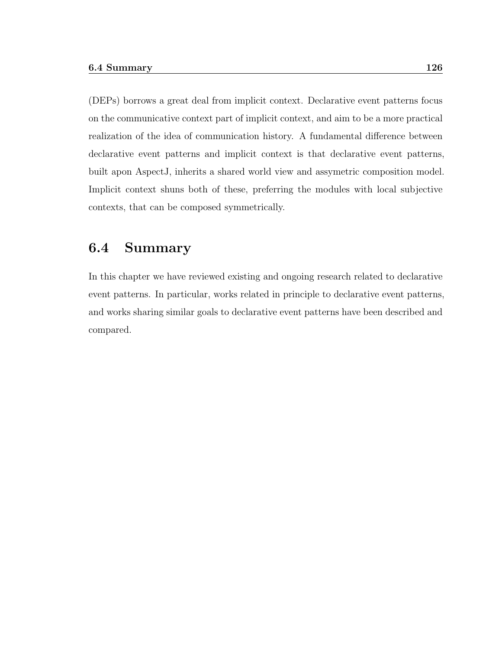(DEPs) borrows a great deal from implicit context. Declarative event patterns focus on the communicative context part of implicit context, and aim to be a more practical realization of the idea of communication history. A fundamental difference between declarative event patterns and implicit context is that declarative event patterns, built apon AspectJ, inherits a shared world view and assymetric composition model. Implicit context shuns both of these, preferring the modules with local subjective contexts, that can be composed symmetrically.

#### 6.4 Summary

In this chapter we have reviewed existing and ongoing research related to declarative event patterns. In particular, works related in principle to declarative event patterns, and works sharing similar goals to declarative event patterns have been described and compared.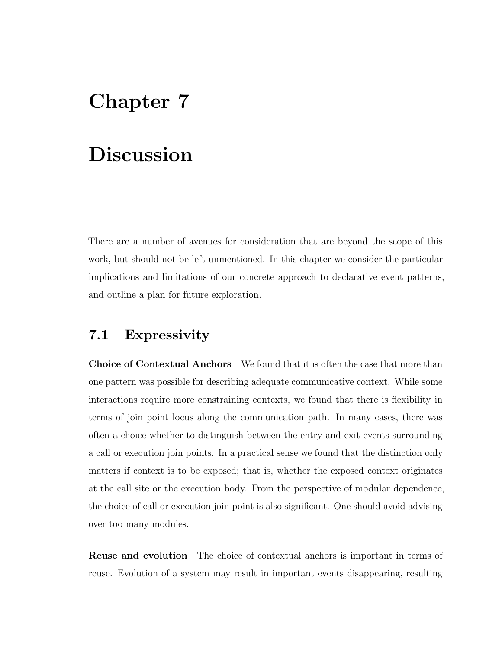# Chapter 7

# Discussion

There are a number of avenues for consideration that are beyond the scope of this work, but should not be left unmentioned. In this chapter we consider the particular implications and limitations of our concrete approach to declarative event patterns, and outline a plan for future exploration.

## 7.1 Expressivity

Choice of Contextual Anchors We found that it is often the case that more than one pattern was possible for describing adequate communicative context. While some interactions require more constraining contexts, we found that there is flexibility in terms of join point locus along the communication path. In many cases, there was often a choice whether to distinguish between the entry and exit events surrounding a call or execution join points. In a practical sense we found that the distinction only matters if context is to be exposed; that is, whether the exposed context originates at the call site or the execution body. From the perspective of modular dependence, the choice of call or execution join point is also significant. One should avoid advising over too many modules.

Reuse and evolution The choice of contextual anchors is important in terms of reuse. Evolution of a system may result in important events disappearing, resulting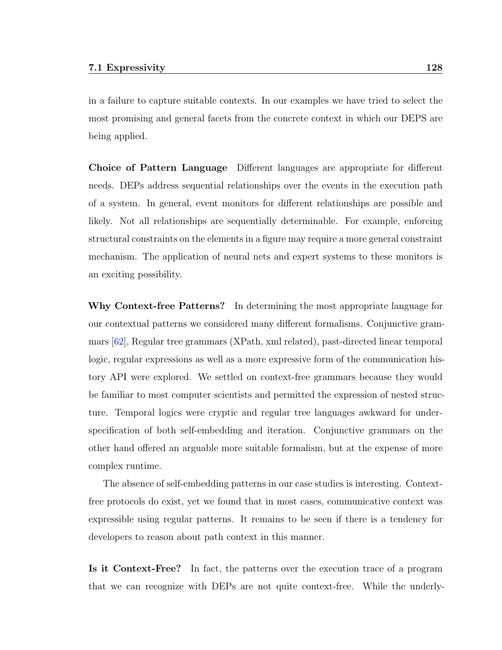in a failure to capture suitable contexts. In our examples we have tried to select the most promising and general facets from the concrete context in which our DEPS are being applied.

Choice of Pattern Language Different languages are appropriate for different needs. DEPs address sequential relationships over the events in the execution path of a system. In general, event monitors for different relationships are possible and likely. Not all relationships are sequentially determinable. For example, enforcing structural constraints on the elements in a figure may require a more general constraint mechanism. The application of neural nets and expert systems to these monitors is an exciting possibility.

Why Context-free Patterns? In determining the most appropriate language for our contextual patterns we considered many different formalisms. Conjunctive grammars [\[62\]](#page-156-8), Regular tree grammars (XPath, xml related), past-directed linear temporal logic, regular expressions as well as a more expressive form of the communication history API were explored. We settled on context-free grammars because they would be familiar to most computer scientists and permitted the expression of nested structure. Temporal logics were cryptic and regular tree languages awkward for underspecification of both self-embedding and iteration. Conjunctive grammars on the other hand offered an arguable more suitable formalism, but at the expense of more complex runtime.

The absence of self-embedding patterns in our case studies is interesting. Contextfree protocols do exist, yet we found that in most cases, communicative context was expressible using regular patterns. It remains to be seen if there is a tendency for developers to reason about path context in this manner.

Is it Context-Free? In fact, the patterns over the execution trace of a program that we can recognize with DEPs are not quite context-free. While the underly-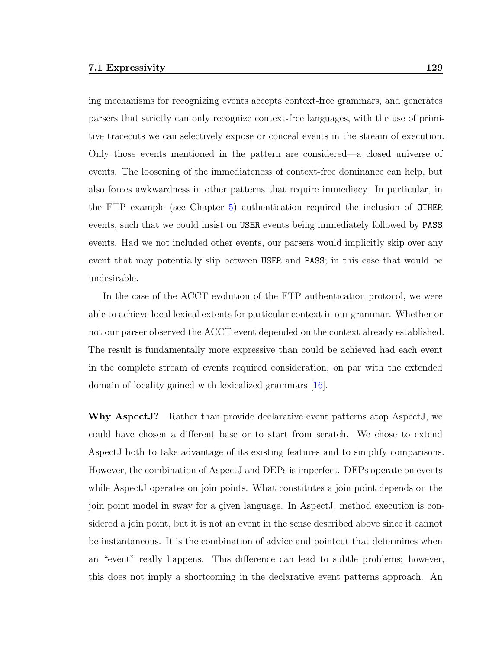ing mechanisms for recognizing events accepts context-free grammars, and generates parsers that strictly can only recognize context-free languages, with the use of primitive tracecuts we can selectively expose or conceal events in the stream of execution. Only those events mentioned in the pattern are considered—a closed universe of events. The loosening of the immediateness of context-free dominance can help, but also forces awkwardness in other patterns that require immediacy. In particular, in the FTP example (see Chapter [5\)](#page-92-0) authentication required the inclusion of OTHER events, such that we could insist on USER events being immediately followed by PASS events. Had we not included other events, our parsers would implicitly skip over any event that may potentially slip between USER and PASS; in this case that would be undesirable.

In the case of the ACCT evolution of the FTP authentication protocol, we were able to achieve local lexical extents for particular context in our grammar. Whether or not our parser observed the ACCT event depended on the context already established. The result is fundamentally more expressive than could be achieved had each event in the complete stream of events required consideration, on par with the extended domain of locality gained with lexicalized grammars [\[16\]](#page-152-5).

Why AspectJ? Rather than provide declarative event patterns atop AspectJ, we could have chosen a different base or to start from scratch. We chose to extend AspectJ both to take advantage of its existing features and to simplify comparisons. However, the combination of AspectJ and DEPs is imperfect. DEPs operate on events while AspectJ operates on join points. What constitutes a join point depends on the join point model in sway for a given language. In AspectJ, method execution is considered a join point, but it is not an event in the sense described above since it cannot be instantaneous. It is the combination of advice and pointcut that determines when an "event" really happens. This difference can lead to subtle problems; however, this does not imply a shortcoming in the declarative event patterns approach. An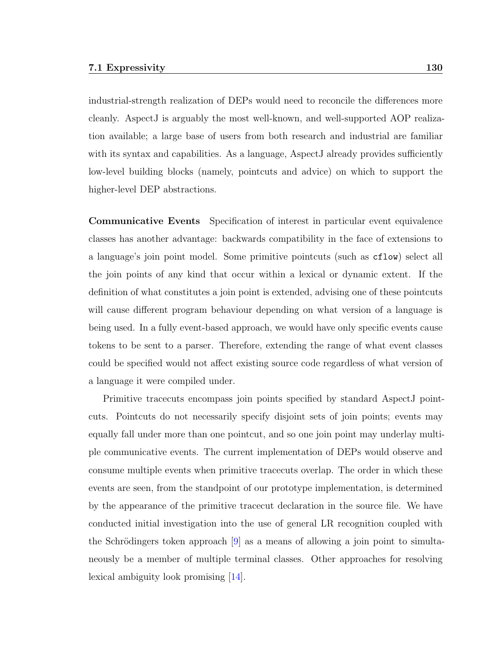industrial-strength realization of DEPs would need to reconcile the differences more cleanly. AspectJ is arguably the most well-known, and well-supported AOP realization available; a large base of users from both research and industrial are familiar with its syntax and capabilities. As a language, AspectJ already provides sufficiently low-level building blocks (namely, pointcuts and advice) on which to support the higher-level DEP abstractions.

Communicative Events Specification of interest in particular event equivalence classes has another advantage: backwards compatibility in the face of extensions to a language's join point model. Some primitive pointcuts (such as cflow) select all the join points of any kind that occur within a lexical or dynamic extent. If the definition of what constitutes a join point is extended, advising one of these pointcuts will cause different program behaviour depending on what version of a language is being used. In a fully event-based approach, we would have only specific events cause tokens to be sent to a parser. Therefore, extending the range of what event classes could be specified would not affect existing source code regardless of what version of a language it were compiled under.

Primitive tracecuts encompass join points specified by standard AspectJ pointcuts. Pointcuts do not necessarily specify disjoint sets of join points; events may equally fall under more than one pointcut, and so one join point may underlay multiple communicative events. The current implementation of DEPs would observe and consume multiple events when primitive tracecuts overlap. The order in which these events are seen, from the standpoint of our prototype implementation, is determined by the appearance of the primitive tracecut declaration in the source file. We have conducted initial investigation into the use of general LR recognition coupled with the Schrödingers token approach  $[9]$  as a means of allowing a join point to simultaneously be a member of multiple terminal classes. Other approaches for resolving lexical ambiguity look promising [\[14\]](#page-152-6).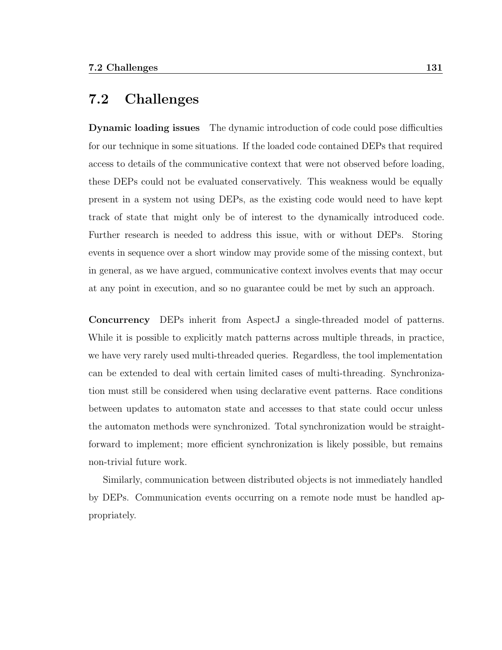## 7.2 Challenges

Dynamic loading issues The dynamic introduction of code could pose difficulties for our technique in some situations. If the loaded code contained DEPs that required access to details of the communicative context that were not observed before loading, these DEPs could not be evaluated conservatively. This weakness would be equally present in a system not using DEPs, as the existing code would need to have kept track of state that might only be of interest to the dynamically introduced code. Further research is needed to address this issue, with or without DEPs. Storing events in sequence over a short window may provide some of the missing context, but in general, as we have argued, communicative context involves events that may occur at any point in execution, and so no guarantee could be met by such an approach.

Concurrency DEPs inherit from AspectJ a single-threaded model of patterns. While it is possible to explicitly match patterns across multiple threads, in practice, we have very rarely used multi-threaded queries. Regardless, the tool implementation can be extended to deal with certain limited cases of multi-threading. Synchronization must still be considered when using declarative event patterns. Race conditions between updates to automaton state and accesses to that state could occur unless the automaton methods were synchronized. Total synchronization would be straightforward to implement; more efficient synchronization is likely possible, but remains non-trivial future work.

Similarly, communication between distributed objects is not immediately handled by DEPs. Communication events occurring on a remote node must be handled appropriately.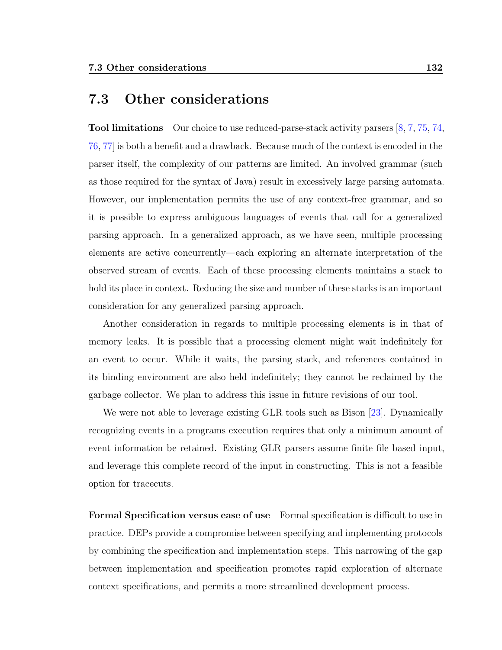## 7.3 Other considerations

Tool limitations Our choice to use reduced-parse-stack activity parsers [\[8,](#page-151-4) [7,](#page-151-5) [75,](#page-157-7) [74,](#page-157-8) [76,](#page-157-9) [77\]](#page-157-10) is both a benefit and a drawback. Because much of the context is encoded in the parser itself, the complexity of our patterns are limited. An involved grammar (such as those required for the syntax of Java) result in excessively large parsing automata. However, our implementation permits the use of any context-free grammar, and so it is possible to express ambiguous languages of events that call for a generalized parsing approach. In a generalized approach, as we have seen, multiple processing elements are active concurrently—each exploring an alternate interpretation of the observed stream of events. Each of these processing elements maintains a stack to hold its place in context. Reducing the size and number of these stacks is an important consideration for any generalized parsing approach.

Another consideration in regards to multiple processing elements is in that of memory leaks. It is possible that a processing element might wait indefinitely for an event to occur. While it waits, the parsing stack, and references contained in its binding environment are also held indefinitely; they cannot be reclaimed by the garbage collector. We plan to address this issue in future revisions of our tool.

We were not able to leverage existing GLR tools such as Bison [\[23\]](#page-153-9). Dynamically recognizing events in a programs execution requires that only a minimum amount of event information be retained. Existing GLR parsers assume finite file based input, and leverage this complete record of the input in constructing. This is not a feasible option for tracecuts.

Formal Specification versus ease of use Formal specification is difficult to use in practice. DEPs provide a compromise between specifying and implementing protocols by combining the specification and implementation steps. This narrowing of the gap between implementation and specification promotes rapid exploration of alternate context specifications, and permits a more streamlined development process.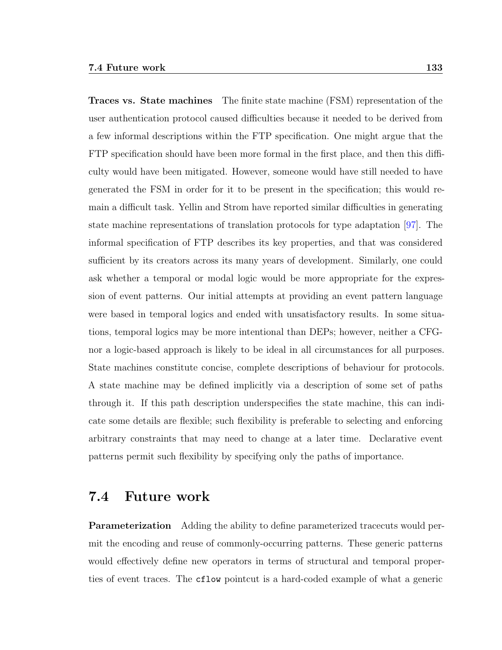Traces vs. State machines The finite state machine (FSM) representation of the user authentication protocol caused difficulties because it needed to be derived from a few informal descriptions within the FTP specification. One might argue that the FTP specification should have been more formal in the first place, and then this difficulty would have been mitigated. However, someone would have still needed to have generated the FSM in order for it to be present in the specification; this would remain a difficult task. Yellin and Strom have reported similar difficulties in generating state machine representations of translation protocols for type adaptation [\[97\]](#page-159-0). The informal specification of FTP describes its key properties, and that was considered sufficient by its creators across its many years of development. Similarly, one could ask whether a temporal or modal logic would be more appropriate for the expression of event patterns. Our initial attempts at providing an event pattern language were based in temporal logics and ended with unsatisfactory results. In some situations, temporal logics may be more intentional than DEPs; however, neither a CFGnor a logic-based approach is likely to be ideal in all circumstances for all purposes. State machines constitute concise, complete descriptions of behaviour for protocols. A state machine may be defined implicitly via a description of some set of paths through it. If this path description underspecifies the state machine, this can indicate some details are flexible; such flexibility is preferable to selecting and enforcing arbitrary constraints that may need to change at a later time. Declarative event patterns permit such flexibility by specifying only the paths of importance.

### 7.4 Future work

Parameterization Adding the ability to define parameterized tracecuts would permit the encoding and reuse of commonly-occurring patterns. These generic patterns would effectively define new operators in terms of structural and temporal properties of event traces. The cflow pointcut is a hard-coded example of what a generic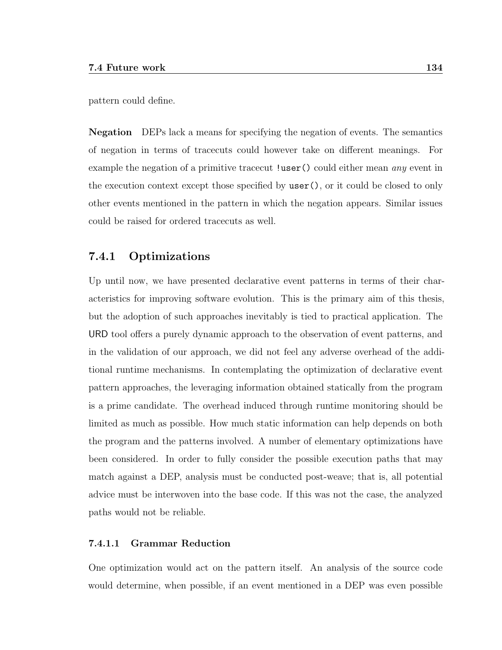pattern could define.

Negation DEPs lack a means for specifying the negation of events. The semantics of negation in terms of tracecuts could however take on different meanings. For example the negation of a primitive tracecut !user() could either mean *any* event in the execution context except those specified by user(), or it could be closed to only other events mentioned in the pattern in which the negation appears. Similar issues could be raised for ordered tracecuts as well.

#### 7.4.1 Optimizations

Up until now, we have presented declarative event patterns in terms of their characteristics for improving software evolution. This is the primary aim of this thesis, but the adoption of such approaches inevitably is tied to practical application. The URD tool offers a purely dynamic approach to the observation of event patterns, and in the validation of our approach, we did not feel any adverse overhead of the additional runtime mechanisms. In contemplating the optimization of declarative event pattern approaches, the leveraging information obtained statically from the program is a prime candidate. The overhead induced through runtime monitoring should be limited as much as possible. How much static information can help depends on both the program and the patterns involved. A number of elementary optimizations have been considered. In order to fully consider the possible execution paths that may match against a DEP, analysis must be conducted post-weave; that is, all potential advice must be interwoven into the base code. If this was not the case, the analyzed paths would not be reliable.

#### 7.4.1.1 Grammar Reduction

One optimization would act on the pattern itself. An analysis of the source code would determine, when possible, if an event mentioned in a DEP was even possible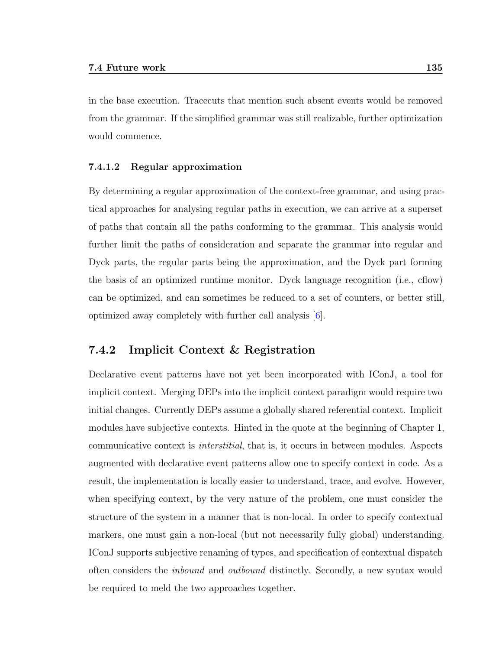in the base execution. Tracecuts that mention such absent events would be removed from the grammar. If the simplified grammar was still realizable, further optimization would commence.

#### 7.4.1.2 Regular approximation

By determining a regular approximation of the context-free grammar, and using practical approaches for analysing regular paths in execution, we can arrive at a superset of paths that contain all the paths conforming to the grammar. This analysis would further limit the paths of consideration and separate the grammar into regular and Dyck parts, the regular parts being the approximation, and the Dyck part forming the basis of an optimized runtime monitor. Dyck language recognition (i.e., cflow) can be optimized, and can sometimes be reduced to a set of counters, or better still, optimized away completely with further call analysis [\[6\]](#page-151-0).

### 7.4.2 Implicit Context & Registration

Declarative event patterns have not yet been incorporated with IConJ, a tool for implicit context. Merging DEPs into the implicit context paradigm would require two initial changes. Currently DEPs assume a globally shared referential context. Implicit modules have subjective contexts. Hinted in the quote at the beginning of Chapter 1, communicative context is interstitial, that is, it occurs in between modules. Aspects augmented with declarative event patterns allow one to specify context in code. As a result, the implementation is locally easier to understand, trace, and evolve. However, when specifying context, by the very nature of the problem, one must consider the structure of the system in a manner that is non-local. In order to specify contextual markers, one must gain a non-local (but not necessarily fully global) understanding. IConJ supports subjective renaming of types, and specification of contextual dispatch often considers the inbound and outbound distinctly. Secondly, a new syntax would be required to meld the two approaches together.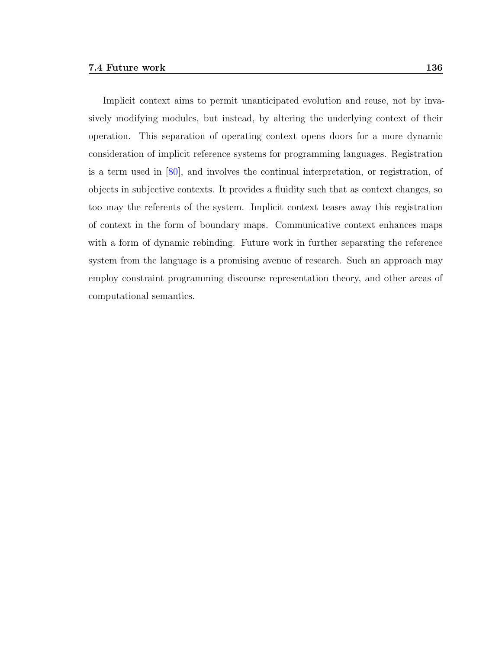Implicit context aims to permit unanticipated evolution and reuse, not by invasively modifying modules, but instead, by altering the underlying context of their operation. This separation of operating context opens doors for a more dynamic consideration of implicit reference systems for programming languages. Registration is a term used in [\[80\]](#page-157-0), and involves the continual interpretation, or registration, of objects in subjective contexts. It provides a fluidity such that as context changes, so too may the referents of the system. Implicit context teases away this registration of context in the form of boundary maps. Communicative context enhances maps with a form of dynamic rebinding. Future work in further separating the reference system from the language is a promising avenue of research. Such an approach may employ constraint programming discourse representation theory, and other areas of computational semantics.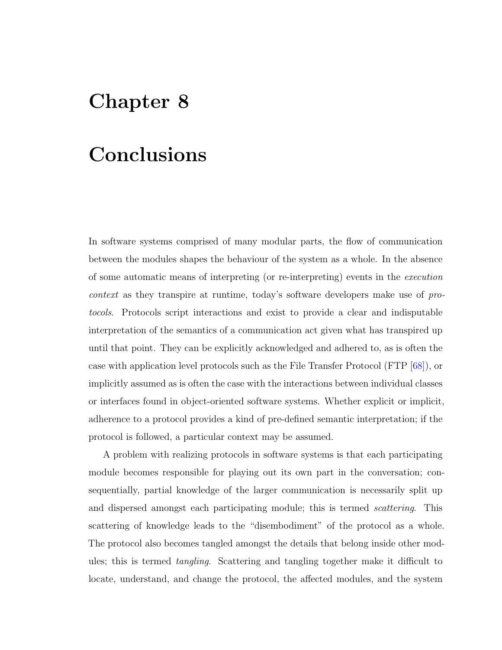# Chapter 8

## Conclusions

In software systems comprised of many modular parts, the flow of communication between the modules shapes the behaviour of the system as a whole. In the absence of some automatic means of interpreting (or re-interpreting) events in the execution context as they transpire at runtime, today's software developers make use of protocols. Protocols script interactions and exist to provide a clear and indisputable interpretation of the semantics of a communication act given what has transpired up until that point. They can be explicitly acknowledged and adhered to, as is often the case with application level protocols such as the File Transfer Protocol (FTP [\[68\]](#page-156-0)), or implicitly assumed as is often the case with the interactions between individual classes or interfaces found in object-oriented software systems. Whether explicit or implicit, adherence to a protocol provides a kind of pre-defined semantic interpretation; if the protocol is followed, a particular context may be assumed.

A problem with realizing protocols in software systems is that each participating module becomes responsible for playing out its own part in the conversation; consequentially, partial knowledge of the larger communication is necessarily split up and dispersed amongst each participating module; this is termed *scattering*. This scattering of knowledge leads to the "disembodiment" of the protocol as a whole. The protocol also becomes tangled amongst the details that belong inside other modules; this is termed tangling. Scattering and tangling together make it difficult to locate, understand, and change the protocol, the affected modules, and the system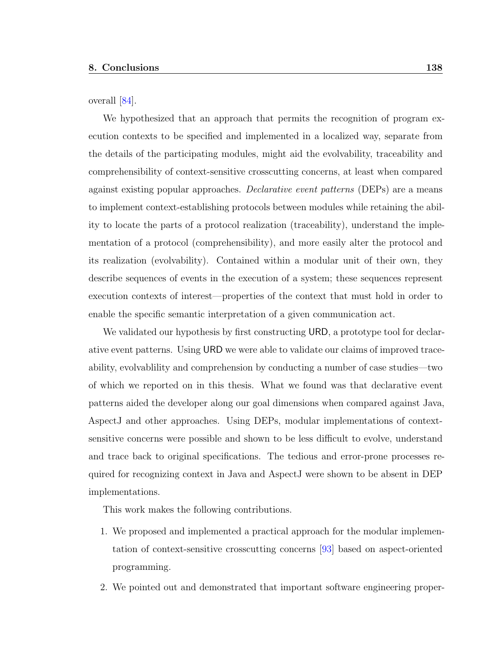overall [\[84\]](#page-158-0).

We hypothesized that an approach that permits the recognition of program execution contexts to be specified and implemented in a localized way, separate from the details of the participating modules, might aid the evolvability, traceability and comprehensibility of context-sensitive crosscutting concerns, at least when compared against existing popular approaches. *Declarative event patterns* (DEPs) are a means to implement context-establishing protocols between modules while retaining the ability to locate the parts of a protocol realization (traceability), understand the implementation of a protocol (comprehensibility), and more easily alter the protocol and its realization (evolvability). Contained within a modular unit of their own, they describe sequences of events in the execution of a system; these sequences represent execution contexts of interest—properties of the context that must hold in order to enable the specific semantic interpretation of a given communication act.

We validated our hypothesis by first constructing URD, a prototype tool for declarative event patterns. Using URD we were able to validate our claims of improved traceability, evolvablility and comprehension by conducting a number of case studies—two of which we reported on in this thesis. What we found was that declarative event patterns aided the developer along our goal dimensions when compared against Java, AspectJ and other approaches. Using DEPs, modular implementations of contextsensitive concerns were possible and shown to be less difficult to evolve, understand and trace back to original specifications. The tedious and error-prone processes required for recognizing context in Java and AspectJ were shown to be absent in DEP implementations.

This work makes the following contributions.

- 1. We proposed and implemented a practical approach for the modular implementation of context-sensitive crosscutting concerns [\[93\]](#page-158-1) based on aspect-oriented programming.
- 2. We pointed out and demonstrated that important software engineering proper-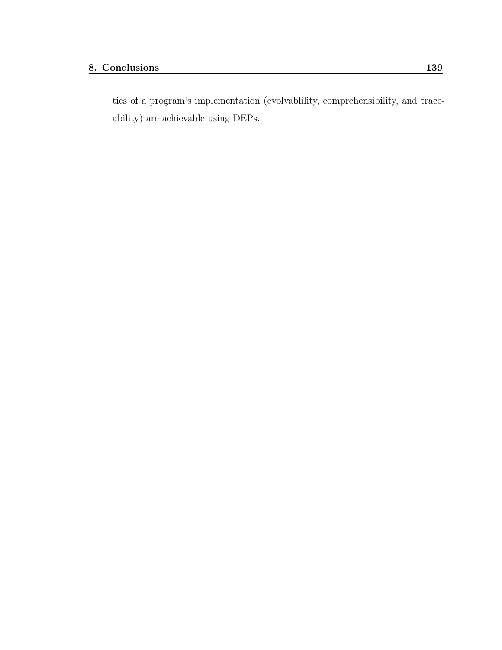ties of a program's implementation (evolvablility, comprehensibility, and traceability) are achievable using DEPs.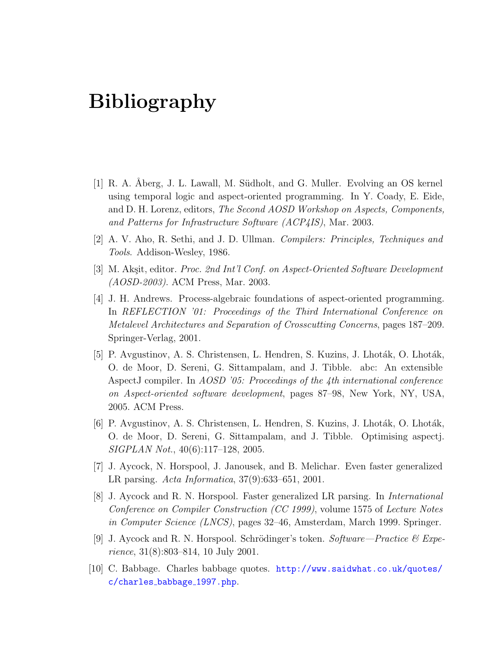# Bibliography

- [1] R. A. Åberg, J. L. Lawall, M. Südholt, and G. Muller. Evolving an OS kernel using temporal logic and aspect-oriented programming. In Y. Coady, E. Eide, and D. H. Lorenz, editors, The Second AOSD Workshop on Aspects, Components, and Patterns for Infrastructure Software (ACP4IS), Mar. 2003.
- [2] A. V. Aho, R. Sethi, and J. D. Ullman. Compilers: Principles, Techniques and Tools. Addison-Wesley, 1986.
- <span id="page-151-1"></span>[3] M. Akşit, editor. *Proc. 2nd Int'l Conf. on Aspect-Oriented Software Development* (AOSD-2003). ACM Press, Mar. 2003.
- [4] J. H. Andrews. Process-algebraic foundations of aspect-oriented programming. In REFLECTION '01: Proceedings of the Third International Conference on Metalevel Architectures and Separation of Crosscutting Concerns, pages 187–209. Springer-Verlag, 2001.
- [5] P. Avgustinov, A. S. Christensen, L. Hendren, S. Kuzins, J. Lhoták, O. Lhoták, O. de Moor, D. Sereni, G. Sittampalam, and J. Tibble. abc: An extensible AspectJ compiler. In AOSD '05: Proceedings of the 4th international conference on Aspect-oriented software development, pages 87–98, New York, NY, USA, 2005. ACM Press.
- <span id="page-151-0"></span>[6] P. Avgustinov, A. S. Christensen, L. Hendren, S. Kuzins, J. Lhoták, O. Lhoták, O. de Moor, D. Sereni, G. Sittampalam, and J. Tibble. Optimising aspectj. SIGPLAN Not., 40(6):117–128, 2005.
- [7] J. Aycock, N. Horspool, J. Janousek, and B. Melichar. Even faster generalized LR parsing. Acta Informatica, 37(9):633–651, 2001.
- [8] J. Aycock and R. N. Horspool. Faster generalized LR parsing. In International Conference on Compiler Construction (CC 1999), volume 1575 of Lecture Notes in Computer Science (LNCS), pages 32–46, Amsterdam, March 1999. Springer.
- [9] J. Aycock and R. N. Horspool. Schrödinger's token. Software—Practice  $\mathcal{C}$  Experience, 31(8):803–814, 10 July 2001.
- [10] C. Babbage. Charles babbage quotes. [http://www.saidwhat.co.uk/quotes/](http://www.saidwhat.co.uk/quotes/c/charles_babbage_1997.php) [c/charles](http://www.saidwhat.co.uk/quotes/c/charles_babbage_1997.php) babbage 1997.php.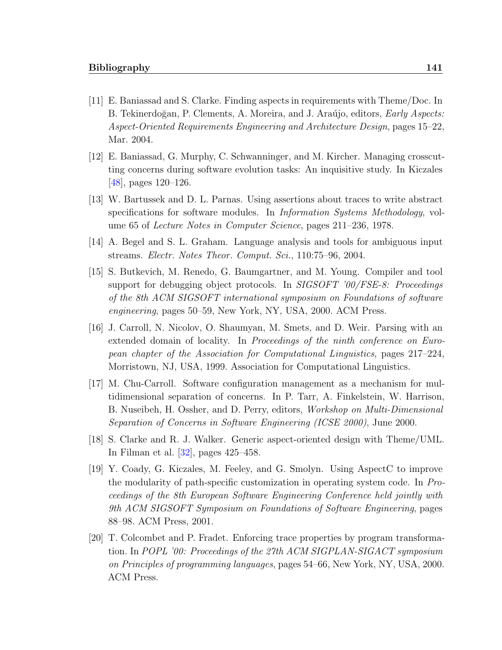- [11] E. Baniassad and S. Clarke. Finding aspects in requirements with Theme/Doc. In B. Tekinerdoğan, P. Clements, A. Moreira, and J. Araújo, editors, *Early Aspects:* Aspect-Oriented Requirements Engineering and Architecture Design, pages 15–22, Mar. 2004.
- [12] E. Baniassad, G. Murphy, C. Schwanninger, and M. Kircher. Managing crosscutting concerns during software evolution tasks: An inquisitive study. In Kiczales [\[48\]](#page-155-0), pages 120–126.
- [13] W. Bartussek and D. L. Parnas. Using assertions about traces to write abstract specifications for software modules. In Information Systems Methodology, volume 65 of Lecture Notes in Computer Science, pages 211–236, 1978.
- [14] A. Begel and S. L. Graham. Language analysis and tools for ambiguous input streams. Electr. Notes Theor. Comput. Sci., 110:75–96, 2004.
- [15] S. Butkevich, M. Renedo, G. Baumgartner, and M. Young. Compiler and tool support for debugging object protocols. In SIGSOFT '00/FSE-8: Proceedings of the 8th ACM SIGSOFT international symposium on Foundations of software engineering, pages 50–59, New York, NY, USA, 2000. ACM Press.
- [16] J. Carroll, N. Nicolov, O. Shaumyan, M. Smets, and D. Weir. Parsing with an extended domain of locality. In *Proceedings of the ninth conference on Euro*pean chapter of the Association for Computational Linguistics, pages 217–224, Morristown, NJ, USA, 1999. Association for Computational Linguistics.
- [17] M. Chu-Carroll. Software configuration management as a mechanism for multidimensional separation of concerns. In P. Tarr, A. Finkelstein, W. Harrison, B. Nuseibeh, H. Ossher, and D. Perry, editors, *Workshop on Multi-Dimensional* Separation of Concerns in Software Engineering (ICSE 2000), June 2000.
- [18] S. Clarke and R. J. Walker. Generic aspect-oriented design with Theme/UML. In Filman et al. [\[32\]](#page-154-0), pages 425–458.
- [19] Y. Coady, G. Kiczales, M. Feeley, and G. Smolyn. Using AspectC to improve the modularity of path-specific customization in operating system code. In Proceedings of the 8th European Software Engineering Conference held jointly with 9th ACM SIGSOFT Symposium on Foundations of Software Engineering, pages 88–98. ACM Press, 2001.
- [20] T. Colcombet and P. Fradet. Enforcing trace properties by program transformation. In POPL '00: Proceedings of the 27th ACM SIGPLAN-SIGACT symposium on Principles of programming languages, pages 54–66, New York, NY, USA, 2000. ACM Press.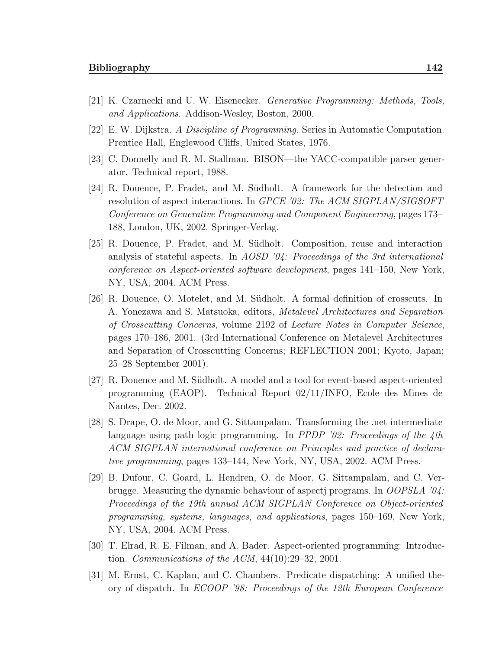- [21] K. Czarnecki and U. W. Eisenecker. Generative Programming: Methods, Tools, and Applications. Addison-Wesley, Boston, 2000.
- [22] E. W. Dijkstra. A Discipline of Programming. Series in Automatic Computation. Prentice Hall, Englewood Cliffs, United States, 1976.
- [23] C. Donnelly and R. M. Stallman. BISON—the YACC-compatible parser generator. Technical report, 1988.
- [24] R. Douence, P. Fradet, and M. Südholt. A framework for the detection and resolution of aspect interactions. In GPCE '02: The ACM SIGPLAN/SIGSOFT Conference on Generative Programming and Component Engineering, pages 173– 188, London, UK, 2002. Springer-Verlag.
- [25] R. Douence, P. Fradet, and M. S¨udholt. Composition, reuse and interaction analysis of stateful aspects. In AOSD '04: Proceedings of the 3rd international conference on Aspect-oriented software development, pages 141–150, New York, NY, USA, 2004. ACM Press.
- [26] R. Douence, O. Motelet, and M. Südholt. A formal definition of crosscuts. In A. Yonezawa and S. Matsuoka, editors, Metalevel Architectures and Separation of Crosscutting Concerns, volume 2192 of Lecture Notes in Computer Science, pages 170–186, 2001. (3rd International Conference on Metalevel Architectures and Separation of Crosscutting Concerns; REFLECTION 2001; Kyoto, Japan; 25–28 September 2001).
- [27] R. Douence and M. Südholt. A model and a tool for event-based aspect-oriented programming (EAOP). Technical Report 02/11/INFO, Ecole des Mines de Nantes, Dec. 2002.
- [28] S. Drape, O. de Moor, and G. Sittampalam. Transforming the .net intermediate language using path logic programming. In *PPDP '02: Proceedings of the 4th* ACM SIGPLAN international conference on Principles and practice of declarative programming, pages 133–144, New York, NY, USA, 2002. ACM Press.
- [29] B. Dufour, C. Goard, L. Hendren, O. de Moor, G. Sittampalam, and C. Verbrugge. Measuring the dynamic behaviour of aspectj programs. In OOPSLA '04: Proceedings of the 19th annual ACM SIGPLAN Conference on Object-oriented programming, systems, languages, and applications, pages 150–169, New York, NY, USA, 2004. ACM Press.
- [30] T. Elrad, R. E. Filman, and A. Bader. Aspect-oriented programming: Introduction. Communications of the ACM,  $44(10):29-32$ ,  $2001$ .
- [31] M. Ernst, C. Kaplan, and C. Chambers. Predicate dispatching: A unified theory of dispatch. In ECOOP '98: Proceedings of the 12th European Conference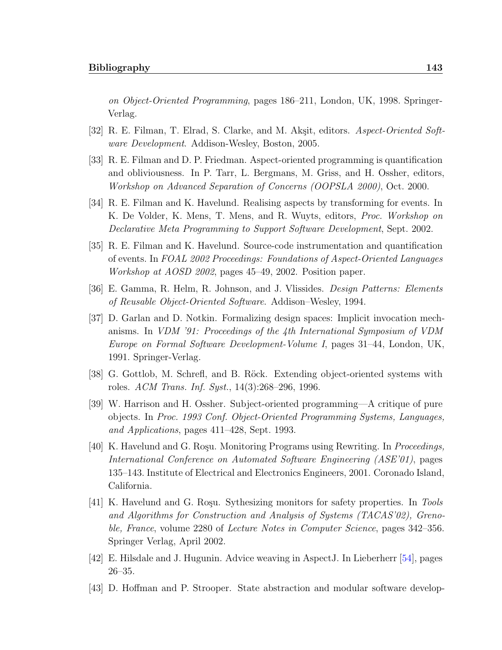on Object-Oriented Programming, pages 186–211, London, UK, 1998. Springer-Verlag.

- <span id="page-154-0"></span>[32] R. E. Filman, T. Elrad, S. Clarke, and M. Akşit, editors. Aspect-Oriented Software Development. Addison-Wesley, Boston, 2005.
- [33] R. E. Filman and D. P. Friedman. Aspect-oriented programming is quantification and obliviousness. In P. Tarr, L. Bergmans, M. Griss, and H. Ossher, editors, Workshop on Advanced Separation of Concerns (OOPSLA 2000), Oct. 2000.
- [34] R. E. Filman and K. Havelund. Realising aspects by transforming for events. In K. De Volder, K. Mens, T. Mens, and R. Wuyts, editors, Proc. Workshop on Declarative Meta Programming to Support Software Development, Sept. 2002.
- [35] R. E. Filman and K. Havelund. Source-code instrumentation and quantification of events. In FOAL 2002 Proceedings: Foundations of Aspect-Oriented Languages Workshop at AOSD 2002, pages 45–49, 2002. Position paper.
- [36] E. Gamma, R. Helm, R. Johnson, and J. Vlissides. Design Patterns: Elements of Reusable Object-Oriented Software. Addison–Wesley, 1994.
- [37] D. Garlan and D. Notkin. Formalizing design spaces: Implicit invocation mechanisms. In VDM '91: Proceedings of the 4th International Symposium of VDM Europe on Formal Software Development-Volume I, pages 31–44, London, UK, 1991. Springer-Verlag.
- [38] G. Gottlob, M. Schrefl, and B. Röck. Extending object-oriented systems with roles. ACM Trans. Inf. Syst., 14(3):268–296, 1996.
- [39] W. Harrison and H. Ossher. Subject-oriented programming—A critique of pure objects. In Proc. 1993 Conf. Object-Oriented Programming Systems, Languages, and Applications, pages 411–428, Sept. 1993.
- [40] K. Havelund and G. Roşu. Monitoring Programs using Rewriting. In *Proceedings*, International Conference on Automated Software Engineering (ASE'01), pages 135–143. Institute of Electrical and Electronics Engineers, 2001. Coronado Island, California.
- [41] K. Havelund and G. Rosu. Sythesizing monitors for safety properties. In Tools and Algorithms for Construction and Analysis of Systems (TACAS'02), Grenoble, France, volume 2280 of Lecture Notes in Computer Science, pages 342-356. Springer Verlag, April 2002.
- [42] E. Hilsdale and J. Hugunin. Advice weaving in AspectJ. In Lieberherr [\[54\]](#page-155-1), pages 26–35.
- [43] D. Hoffman and P. Strooper. State abstraction and modular software develop-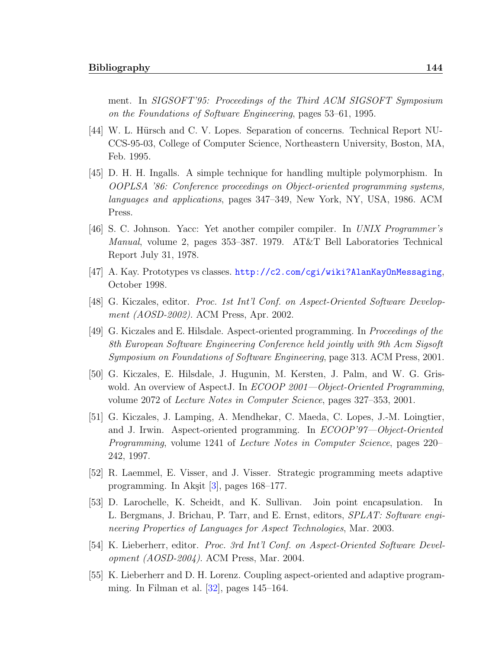ment. In SIGSOFT'95: Proceedings of the Third ACM SIGSOFT Symposium on the Foundations of Software Engineering, pages 53–61, 1995.

- [44] W. L. Hürsch and C. V. Lopes. Separation of concerns. Technical Report NU-CCS-95-03, College of Computer Science, Northeastern University, Boston, MA, Feb. 1995.
- [45] D. H. H. Ingalls. A simple technique for handling multiple polymorphism. In OOPLSA '86: Conference proceedings on Object-oriented programming systems, languages and applications, pages 347–349, New York, NY, USA, 1986. ACM Press.
- [46] S. C. Johnson. Yacc: Yet another compiler compiler. In UNIX Programmer's Manual, volume 2, pages 353–387. 1979. AT&T Bell Laboratories Technical Report July 31, 1978.
- [47] A. Kay. Prototypes vs classes. <http://c2.com/cgi/wiki?AlanKayOnMessaging>, October 1998.
- <span id="page-155-0"></span>[48] G. Kiczales, editor. Proc. 1st Int'l Conf. on Aspect-Oriented Software Development (AOSD-2002). ACM Press, Apr. 2002.
- [49] G. Kiczales and E. Hilsdale. Aspect-oriented programming. In Proceedings of the 8th European Software Engineering Conference held jointly with 9th Acm Sigsoft Symposium on Foundations of Software Engineering, page 313. ACM Press, 2001.
- [50] G. Kiczales, E. Hilsdale, J. Hugunin, M. Kersten, J. Palm, and W. G. Griswold. An overview of AspectJ. In *ECOOP 2001—Object-Oriented Programming*, volume 2072 of Lecture Notes in Computer Science, pages 327–353, 2001.
- [51] G. Kiczales, J. Lamping, A. Mendhekar, C. Maeda, C. Lopes, J.-M. Loingtier, and J. Irwin. Aspect-oriented programming. In ECOOP'97—Object-Oriented Programming, volume 1241 of Lecture Notes in Computer Science, pages 220– 242, 1997.
- [52] R. Laemmel, E. Visser, and J. Visser. Strategic programming meets adaptive programming. In Akşit  $[3]$ , pages 168–177.
- [53] D. Larochelle, K. Scheidt, and K. Sullivan. Join point encapsulation. In L. Bergmans, J. Brichau, P. Tarr, and E. Ernst, editors, SPLAT: Software engineering Properties of Languages for Aspect Technologies, Mar. 2003.
- <span id="page-155-1"></span>[54] K. Lieberherr, editor. Proc. 3rd Int'l Conf. on Aspect-Oriented Software Development (AOSD-2004). ACM Press, Mar. 2004.
- [55] K. Lieberherr and D. H. Lorenz. Coupling aspect-oriented and adaptive programming. In Filman et al.  $[32]$ , pages 145–164.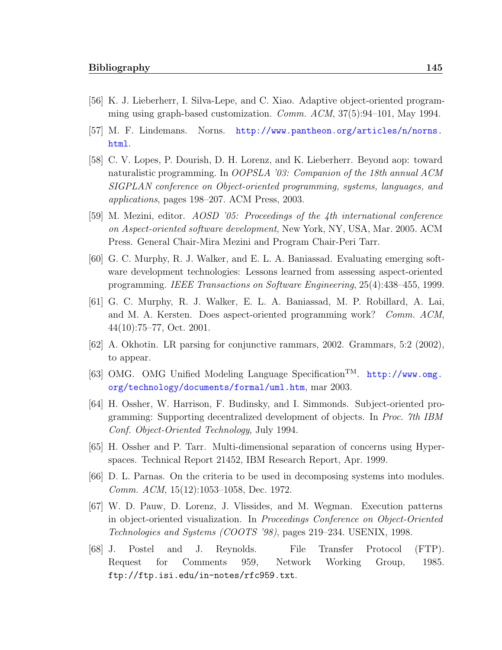- [56] K. J. Lieberherr, I. Silva-Lepe, and C. Xiao. Adaptive object-oriented programming using graph-based customization. Comm. ACM, 37(5):94–101, May 1994.
- [57] M. F. Lindemans. Norns. [http://www.pantheon.org/articles/n/norns.](http://www.pantheon.org/articles/n/norns.html) [html](http://www.pantheon.org/articles/n/norns.html).
- [58] C. V. Lopes, P. Dourish, D. H. Lorenz, and K. Lieberherr. Beyond aop: toward naturalistic programming. In OOPSLA '03: Companion of the 18th annual ACM SIGPLAN conference on Object-oriented programming, systems, languages, and applications, pages 198–207. ACM Press, 2003.
- [59] M. Mezini, editor. AOSD '05: Proceedings of the 4th international conference on Aspect-oriented software development, New York, NY, USA, Mar. 2005. ACM Press. General Chair-Mira Mezini and Program Chair-Peri Tarr.
- [60] G. C. Murphy, R. J. Walker, and E. L. A. Baniassad. Evaluating emerging software development technologies: Lessons learned from assessing aspect-oriented programming. IEEE Transactions on Software Engineering, 25(4):438–455, 1999.
- [61] G. C. Murphy, R. J. Walker, E. L. A. Baniassad, M. P. Robillard, A. Lai, and M. A. Kersten. Does aspect-oriented programming work? Comm. ACM, 44(10):75–77, Oct. 2001.
- [62] A. Okhotin. LR parsing for conjunctive rammars, 2002. Grammars, 5:2 (2002), to appear.
- [63] OMG. OMG Unified Modeling Language SpecificationTM. [http://www.omg.](http://www.omg.org/technology/documents/formal/uml.htm) [org/technology/documents/formal/uml.htm](http://www.omg.org/technology/documents/formal/uml.htm), mar 2003.
- [64] H. Ossher, W. Harrison, F. Budinsky, and I. Simmonds. Subject-oriented programming: Supporting decentralized development of objects. In Proc. 7th IBM Conf. Object-Oriented Technology, July 1994.
- [65] H. Ossher and P. Tarr. Multi-dimensional separation of concerns using Hyperspaces. Technical Report 21452, IBM Research Report, Apr. 1999.
- [66] D. L. Parnas. On the criteria to be used in decomposing systems into modules. Comm. ACM, 15(12):1053–1058, Dec. 1972.
- [67] W. D. Pauw, D. Lorenz, J. Vlissides, and M. Wegman. Execution patterns in object-oriented visualization. In Proceedings Conference on Object-Oriented Technologies and Systems (COOTS '98), pages 219–234. USENIX, 1998.
- <span id="page-156-0"></span>[68] J. Postel and J. Reynolds. File Transfer Protocol (FTP). Request for Comments 959, Network Working Group, 1985. ftp://ftp.isi.edu/in-notes/rfc959.txt.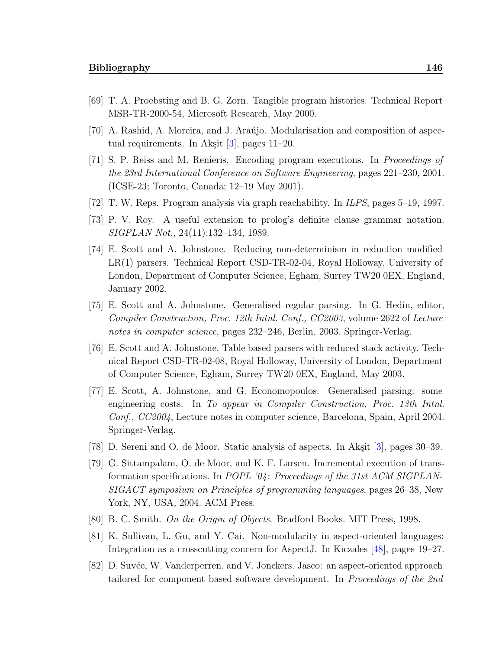- [69] T. A. Proebsting and B. G. Zorn. Tangible program histories. Technical Report MSR-TR-2000-54, Microsoft Research, May 2000.
- [70] A. Rashid, A. Moreira, and J. Ara´ujo. Modularisation and composition of aspectual requirements. In Akşit  $[3]$ , pages 11–20.
- [71] S. P. Reiss and M. Renieris. Encoding program executions. In Proceedings of the 23rd International Conference on Software Engineering, pages 221–230, 2001. (ICSE-23; Toronto, Canada; 12–19 May 2001).
- [72] T. W. Reps. Program analysis via graph reachability. In ILPS, pages 5–19, 1997.
- [73] P. V. Roy. A useful extension to prolog's definite clause grammar notation. SIGPLAN Not., 24(11):132–134, 1989.
- [74] E. Scott and A. Johnstone. Reducing non-determinism in reduction modified LR(1) parsers. Technical Report CSD-TR-02-04, Royal Holloway, University of London, Department of Computer Science, Egham, Surrey TW20 0EX, England, January 2002.
- [75] E. Scott and A. Johnstone. Generalised regular parsing. In G. Hedin, editor, Compiler Construction, Proc. 12th Intnl. Conf., CC2003, volume 2622 of Lecture notes in computer science, pages 232–246, Berlin, 2003. Springer-Verlag.
- [76] E. Scott and A. Johnstone. Table based parsers with reduced stack activity. Technical Report CSD-TR-02-08, Royal Holloway, University of London, Department of Computer Science, Egham, Surrey TW20 0EX, England, May 2003.
- [77] E. Scott, A. Johnstone, and G. Economopoulos. Generalised parsing: some engineering costs. In To appear in Compiler Construction, Proc. 13th Intnl. Conf., CC2004, Lecture notes in computer science, Barcelona, Spain, April 2004. Springer-Verlag.
- [78] D. Sereni and O. de Moor. Static analysis of aspects. In Akşit [\[3\]](#page-151-1), pages 30–39.
- [79] G. Sittampalam, O. de Moor, and K. F. Larsen. Incremental execution of transformation specifications. In POPL '04: Proceedings of the 31st ACM SIGPLAN-SIGACT symposium on Principles of programming languages, pages 26–38, New York, NY, USA, 2004. ACM Press.
- <span id="page-157-0"></span>[80] B. C. Smith. On the Origin of Objects. Bradford Books. MIT Press, 1998.
- [81] K. Sullivan, L. Gu, and Y. Cai. Non-modularity in aspect-oriented languages: Integration as a crosscutting concern for AspectJ. In Kiczales [\[48\]](#page-155-0), pages 19–27.
- [82] D. Suvée, W. Vanderperren, and V. Jonckers. Jasco: an aspect-oriented approach tailored for component based software development. In Proceedings of the 2nd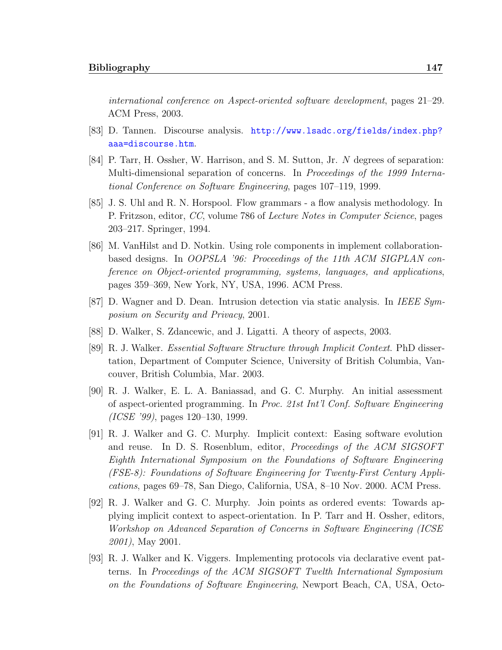international conference on Aspect-oriented software development, pages 21–29. ACM Press, 2003.

- [83] D. Tannen. Discourse analysis. [http://www.lsadc.org/fields/index.php?](http://www.lsadc.org/fields/index.php?aaa=discourse.htm) [aaa=discourse.htm](http://www.lsadc.org/fields/index.php?aaa=discourse.htm).
- <span id="page-158-0"></span>[84] P. Tarr, H. Ossher, W. Harrison, and S. M. Sutton, Jr. N degrees of separation: Multi-dimensional separation of concerns. In Proceedings of the 1999 International Conference on Software Engineering, pages 107–119, 1999.
- [85] J. S. Uhl and R. N. Horspool. Flow grammars a flow analysis methodology. In P. Fritzson, editor, CC, volume 786 of Lecture Notes in Computer Science, pages 203–217. Springer, 1994.
- [86] M. VanHilst and D. Notkin. Using role components in implement collaborationbased designs. In OOPSLA '96: Proceedings of the 11th ACM SIGPLAN conference on Object-oriented programming, systems, languages, and applications, pages 359–369, New York, NY, USA, 1996. ACM Press.
- [87] D. Wagner and D. Dean. Intrusion detection via static analysis. In IEEE Symposium on Security and Privacy, 2001.
- [88] D. Walker, S. Zdancewic, and J. Ligatti. A theory of aspects, 2003.
- [89] R. J. Walker. Essential Software Structure through Implicit Context. PhD dissertation, Department of Computer Science, University of British Columbia, Vancouver, British Columbia, Mar. 2003.
- [90] R. J. Walker, E. L. A. Baniassad, and G. C. Murphy. An initial assessment of aspect-oriented programming. In Proc. 21st Int'l Conf. Software Engineering (ICSE '99), pages 120–130, 1999.
- [91] R. J. Walker and G. C. Murphy. Implicit context: Easing software evolution and reuse. In D. S. Rosenblum, editor, *Proceedings of the ACM SIGSOFT* Eighth International Symposium on the Foundations of Software Engineering (FSE-8): Foundations of Software Engineering for Twenty-First Century Applications, pages 69–78, San Diego, California, USA, 8–10 Nov. 2000. ACM Press.
- [92] R. J. Walker and G. C. Murphy. Join points as ordered events: Towards applying implicit context to aspect-orientation. In P. Tarr and H. Ossher, editors, Workshop on Advanced Separation of Concerns in Software Engineering (ICSE 2001), May 2001.
- <span id="page-158-1"></span>[93] R. J. Walker and K. Viggers. Implementing protocols via declarative event patterns. In Proceedings of the ACM SIGSOFT Twelth International Symposium on the Foundations of Software Engineering, Newport Beach, CA, USA, Octo-